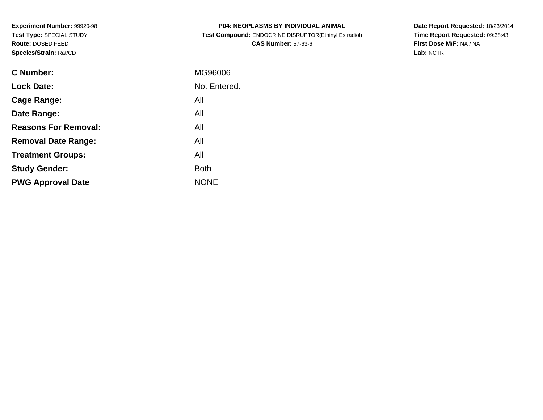**Experiment Number:** 99920-98**Test Type:** SPECIAL STUDY**Route:** DOSED FEED**Species/Strain:** Rat/CD

| <b>P04: NEOPLASMS BY INDIVIDUAL ANIMAL</b>            |
|-------------------------------------------------------|
| Test Compound: ENDOCRINE DISRUPTOR(Ethinyl Estradiol) |
| <b>CAS Number: 57-63-6</b>                            |

**Date Report Requested:** 10/23/2014 **Time Report Requested:** 09:38:43**First Dose M/F:** NA / NA**Lab:** NCTR

| C Number:                   | MG96006      |
|-----------------------------|--------------|
| <b>Lock Date:</b>           | Not Entered. |
| Cage Range:                 | All          |
| Date Range:                 | All          |
| <b>Reasons For Removal:</b> | All          |
| <b>Removal Date Range:</b>  | All          |
| <b>Treatment Groups:</b>    | All          |
| <b>Study Gender:</b>        | <b>Both</b>  |
| <b>PWG Approval Date</b>    | <b>NONE</b>  |
|                             |              |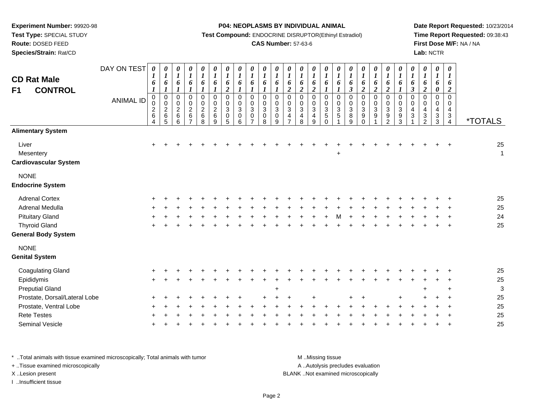**Test Type:** SPECIAL STUDY

**Route:** DOSED FEED

**Species/Strain:** Rat/CD

**P04: NEOPLASMS BY INDIVIDUAL ANIMAL**

**Test Compound:** ENDOCRINE DISRUPTOR(Ethinyl Estradiol)

## **CAS Number:** 57-63-6

**Date Report Requested:** 10/23/2014**Time Report Requested:** 09:38:43**First Dose M/F:** NA / NA**Lab:** NCTR

| <b>CD Rat Male</b><br><b>CONTROL</b><br>F <sub>1</sub> | DAY ON TEST<br><b>ANIMAL ID</b> | 0<br>$\boldsymbol{I}$<br>6<br>$\boldsymbol{l}$<br>$\pmb{0}$<br>0<br>$\frac{2}{6}$<br>4 | 0<br>$\boldsymbol{l}$<br>6<br>$\boldsymbol{l}$<br>$\mathbf 0$<br>$\pmb{0}$<br>$\sqrt{2}$<br>$\,6$<br>5 | 0<br>$\boldsymbol{l}$<br>6<br>1<br>$\pmb{0}$<br>$\mathbf 0$<br>$\sqrt{2}$<br>$\,6$<br>6 | 0<br>$\boldsymbol{l}$<br>6<br>1<br>0<br>$\mathsf 0$<br>$^2\phantom{1}6$<br>$\overline{ }$ | 0<br>$\boldsymbol{l}$<br>6<br>1<br>$\pmb{0}$<br>$\pmb{0}$<br>$\begin{array}{c} 2 \\ 6 \end{array}$<br>8 | $\pmb{\theta}$<br>$\boldsymbol{l}$<br>6<br>$\boldsymbol{l}$<br>$\mathbf 0$<br>$\pmb{0}$<br>$\boldsymbol{2}$<br>$\,6$<br>9 | $\boldsymbol{\theta}$<br>$\boldsymbol{l}$<br>6<br>$\overline{2}$<br>$\mathsf 0$<br>$\pmb{0}$<br>$\sqrt{3}$<br>$\pmb{0}$<br>5 | 0<br>$\boldsymbol{l}$<br>6<br>$\boldsymbol{l}$<br>$\mathbf 0$<br>$\mathbf 0$<br>3<br>0<br>6 | $\pmb{\theta}$<br>$\boldsymbol{l}$<br>6<br>$\boldsymbol{l}$<br>$\mathbf 0$<br>$\mathbf 0$<br>$\mathbf{3}$<br>$\mathbf 0$ | $\boldsymbol{\theta}$<br>$\boldsymbol{l}$<br>6<br>1<br>$\pmb{0}$<br>$\mathbf 0$<br>$\ensuremath{\mathsf{3}}$<br>$\pmb{0}$<br>8 | 0<br>$\boldsymbol{l}$<br>6<br>$\boldsymbol{l}$<br>$\pmb{0}$<br>$\pmb{0}$<br>$\ensuremath{\mathsf{3}}$<br>$\pmb{0}$<br>9 | $\boldsymbol{\theta}$<br>$\boldsymbol{l}$<br>6<br>$\overline{\mathbf{c}}$<br>$\pmb{0}$<br>$\mathbf 0$<br>$\mathbf 3$<br>$\frac{4}{7}$ | 0<br>$\boldsymbol{l}$<br>6<br>$\overline{c}$<br>$\mathbf 0$<br>$\pmb{0}$<br>$\sqrt{3}$<br>$\frac{4}{8}$ | 0<br>$\boldsymbol{l}$<br>6<br>$\boldsymbol{2}$<br>$\mathbf 0$<br>$\mathbf 0$<br>$\sqrt{3}$<br>4<br>9 | 0<br>$\boldsymbol{l}$<br>6<br>1<br>$\mathbf 0$<br>$\mathbf 0$<br>$\mathbf{3}$<br>$\mathbf 5$<br>$\Omega$ | 0<br>$\boldsymbol{l}$<br>6<br>$\boldsymbol{l}$<br>$\pmb{0}$<br>0<br>$\sqrt{3}$<br>5 | $\boldsymbol{\theta}$<br>$\boldsymbol{l}$<br>6<br>$\mathfrak{z}$<br>$\mathbf 0$<br>$\mathbf 0$<br>$\sqrt{3}$<br>8<br>9 | $\boldsymbol{\theta}$<br>$\boldsymbol{l}$<br>6<br>$\overline{\mathbf{c}}$<br>$\pmb{0}$<br>$\pmb{0}$<br>$\ensuremath{\mathsf{3}}$<br>$\boldsymbol{9}$<br>$\Omega$ | 0<br>$\boldsymbol{l}$<br>6<br>$\overline{2}$<br>$\mathsf{O}\xspace$<br>$\mathbf 0$<br>3<br>$\boldsymbol{9}$ | 0<br>$\boldsymbol{l}$<br>6<br>$\boldsymbol{2}$<br>$\pmb{0}$<br>$\mathsf 0$<br>$\mathbf{3}$<br>$\frac{9}{2}$ | 0<br>$\boldsymbol{l}$<br>6<br>$\boldsymbol{l}$<br>$\pmb{0}$<br>$\pmb{0}$<br>$\ensuremath{\mathsf{3}}$<br>$\frac{9}{3}$ | 0<br>$\boldsymbol{l}$<br>6<br>$\mathfrak{z}$<br>$\mathbf 0$<br>0<br>$\overline{\mathbf{4}}$<br>$\ensuremath{\mathsf{3}}$ | $\boldsymbol{\theta}$<br>$\boldsymbol{l}$<br>6<br>$\overline{2}$<br>$\mathbf 0$<br>0<br>$\overline{4}$<br>$\sqrt{3}$<br>2 | 0<br>$\boldsymbol{l}$<br>6<br>0<br>$\mathbf 0$<br>0<br>$\overline{\mathbf{4}}$<br>$\frac{3}{3}$ | $\boldsymbol{\theta}$<br>$\boldsymbol{l}$<br>6<br>$\overline{c}$<br>$\mathbf 0$<br>$\mathbf 0$<br>$\overline{\mathbf{4}}$<br>$\ensuremath{\mathsf{3}}$<br>$\overline{4}$ | <i><b>*TOTALS</b></i> |
|--------------------------------------------------------|---------------------------------|----------------------------------------------------------------------------------------|--------------------------------------------------------------------------------------------------------|-----------------------------------------------------------------------------------------|-------------------------------------------------------------------------------------------|---------------------------------------------------------------------------------------------------------|---------------------------------------------------------------------------------------------------------------------------|------------------------------------------------------------------------------------------------------------------------------|---------------------------------------------------------------------------------------------|--------------------------------------------------------------------------------------------------------------------------|--------------------------------------------------------------------------------------------------------------------------------|-------------------------------------------------------------------------------------------------------------------------|---------------------------------------------------------------------------------------------------------------------------------------|---------------------------------------------------------------------------------------------------------|------------------------------------------------------------------------------------------------------|----------------------------------------------------------------------------------------------------------|-------------------------------------------------------------------------------------|------------------------------------------------------------------------------------------------------------------------|------------------------------------------------------------------------------------------------------------------------------------------------------------------|-------------------------------------------------------------------------------------------------------------|-------------------------------------------------------------------------------------------------------------|------------------------------------------------------------------------------------------------------------------------|--------------------------------------------------------------------------------------------------------------------------|---------------------------------------------------------------------------------------------------------------------------|-------------------------------------------------------------------------------------------------|--------------------------------------------------------------------------------------------------------------------------------------------------------------------------|-----------------------|
| <b>Alimentary System</b>                               |                                 |                                                                                        |                                                                                                        |                                                                                         |                                                                                           |                                                                                                         |                                                                                                                           |                                                                                                                              |                                                                                             |                                                                                                                          |                                                                                                                                |                                                                                                                         |                                                                                                                                       |                                                                                                         |                                                                                                      |                                                                                                          |                                                                                     |                                                                                                                        |                                                                                                                                                                  |                                                                                                             |                                                                                                             |                                                                                                                        |                                                                                                                          |                                                                                                                           |                                                                                                 |                                                                                                                                                                          |                       |
| Liver<br>Mesentery<br><b>Cardiovascular System</b>     |                                 | $\ddot{}$                                                                              |                                                                                                        |                                                                                         |                                                                                           |                                                                                                         |                                                                                                                           |                                                                                                                              |                                                                                             |                                                                                                                          |                                                                                                                                |                                                                                                                         |                                                                                                                                       |                                                                                                         |                                                                                                      |                                                                                                          | +                                                                                   |                                                                                                                        |                                                                                                                                                                  |                                                                                                             |                                                                                                             |                                                                                                                        |                                                                                                                          |                                                                                                                           |                                                                                                 |                                                                                                                                                                          | 25<br>$\mathbf{1}$    |
| <b>NONE</b><br><b>Endocrine System</b>                 |                                 |                                                                                        |                                                                                                        |                                                                                         |                                                                                           |                                                                                                         |                                                                                                                           |                                                                                                                              |                                                                                             |                                                                                                                          |                                                                                                                                |                                                                                                                         |                                                                                                                                       |                                                                                                         |                                                                                                      |                                                                                                          |                                                                                     |                                                                                                                        |                                                                                                                                                                  |                                                                                                             |                                                                                                             |                                                                                                                        |                                                                                                                          |                                                                                                                           |                                                                                                 |                                                                                                                                                                          |                       |
| <b>Adrenal Cortex</b>                                  |                                 |                                                                                        |                                                                                                        |                                                                                         |                                                                                           |                                                                                                         |                                                                                                                           |                                                                                                                              |                                                                                             |                                                                                                                          |                                                                                                                                |                                                                                                                         |                                                                                                                                       |                                                                                                         |                                                                                                      |                                                                                                          |                                                                                     |                                                                                                                        |                                                                                                                                                                  |                                                                                                             |                                                                                                             |                                                                                                                        |                                                                                                                          |                                                                                                                           |                                                                                                 |                                                                                                                                                                          | 25                    |
| Adrenal Medulla                                        |                                 |                                                                                        |                                                                                                        |                                                                                         |                                                                                           |                                                                                                         |                                                                                                                           |                                                                                                                              |                                                                                             |                                                                                                                          |                                                                                                                                |                                                                                                                         |                                                                                                                                       |                                                                                                         |                                                                                                      |                                                                                                          |                                                                                     |                                                                                                                        |                                                                                                                                                                  |                                                                                                             |                                                                                                             |                                                                                                                        |                                                                                                                          |                                                                                                                           |                                                                                                 |                                                                                                                                                                          | 25                    |
| <b>Pituitary Gland</b>                                 |                                 |                                                                                        |                                                                                                        |                                                                                         |                                                                                           |                                                                                                         |                                                                                                                           |                                                                                                                              |                                                                                             |                                                                                                                          |                                                                                                                                |                                                                                                                         |                                                                                                                                       |                                                                                                         |                                                                                                      |                                                                                                          |                                                                                     |                                                                                                                        |                                                                                                                                                                  |                                                                                                             |                                                                                                             |                                                                                                                        |                                                                                                                          |                                                                                                                           |                                                                                                 |                                                                                                                                                                          | 24                    |
| <b>Thyroid Gland</b>                                   |                                 |                                                                                        |                                                                                                        |                                                                                         |                                                                                           |                                                                                                         |                                                                                                                           |                                                                                                                              |                                                                                             |                                                                                                                          |                                                                                                                                |                                                                                                                         |                                                                                                                                       |                                                                                                         |                                                                                                      |                                                                                                          |                                                                                     |                                                                                                                        |                                                                                                                                                                  |                                                                                                             |                                                                                                             |                                                                                                                        |                                                                                                                          |                                                                                                                           |                                                                                                 |                                                                                                                                                                          | 25                    |
| <b>General Body System</b>                             |                                 |                                                                                        |                                                                                                        |                                                                                         |                                                                                           |                                                                                                         |                                                                                                                           |                                                                                                                              |                                                                                             |                                                                                                                          |                                                                                                                                |                                                                                                                         |                                                                                                                                       |                                                                                                         |                                                                                                      |                                                                                                          |                                                                                     |                                                                                                                        |                                                                                                                                                                  |                                                                                                             |                                                                                                             |                                                                                                                        |                                                                                                                          |                                                                                                                           |                                                                                                 |                                                                                                                                                                          |                       |
| <b>NONE</b>                                            |                                 |                                                                                        |                                                                                                        |                                                                                         |                                                                                           |                                                                                                         |                                                                                                                           |                                                                                                                              |                                                                                             |                                                                                                                          |                                                                                                                                |                                                                                                                         |                                                                                                                                       |                                                                                                         |                                                                                                      |                                                                                                          |                                                                                     |                                                                                                                        |                                                                                                                                                                  |                                                                                                             |                                                                                                             |                                                                                                                        |                                                                                                                          |                                                                                                                           |                                                                                                 |                                                                                                                                                                          |                       |
| <b>Genital System</b>                                  |                                 |                                                                                        |                                                                                                        |                                                                                         |                                                                                           |                                                                                                         |                                                                                                                           |                                                                                                                              |                                                                                             |                                                                                                                          |                                                                                                                                |                                                                                                                         |                                                                                                                                       |                                                                                                         |                                                                                                      |                                                                                                          |                                                                                     |                                                                                                                        |                                                                                                                                                                  |                                                                                                             |                                                                                                             |                                                                                                                        |                                                                                                                          |                                                                                                                           |                                                                                                 |                                                                                                                                                                          |                       |
| <b>Coagulating Gland</b>                               |                                 |                                                                                        |                                                                                                        |                                                                                         |                                                                                           |                                                                                                         |                                                                                                                           |                                                                                                                              |                                                                                             |                                                                                                                          |                                                                                                                                |                                                                                                                         |                                                                                                                                       |                                                                                                         |                                                                                                      |                                                                                                          |                                                                                     |                                                                                                                        |                                                                                                                                                                  |                                                                                                             |                                                                                                             |                                                                                                                        |                                                                                                                          |                                                                                                                           |                                                                                                 |                                                                                                                                                                          | 25                    |
| Epididymis                                             |                                 |                                                                                        |                                                                                                        |                                                                                         |                                                                                           |                                                                                                         |                                                                                                                           |                                                                                                                              |                                                                                             |                                                                                                                          |                                                                                                                                |                                                                                                                         |                                                                                                                                       |                                                                                                         |                                                                                                      |                                                                                                          |                                                                                     |                                                                                                                        |                                                                                                                                                                  |                                                                                                             |                                                                                                             |                                                                                                                        |                                                                                                                          |                                                                                                                           |                                                                                                 |                                                                                                                                                                          | 25                    |
| <b>Preputial Gland</b>                                 |                                 |                                                                                        |                                                                                                        |                                                                                         |                                                                                           |                                                                                                         |                                                                                                                           |                                                                                                                              |                                                                                             |                                                                                                                          |                                                                                                                                | $\ddot{}$                                                                                                               |                                                                                                                                       |                                                                                                         |                                                                                                      |                                                                                                          |                                                                                     |                                                                                                                        |                                                                                                                                                                  |                                                                                                             |                                                                                                             |                                                                                                                        |                                                                                                                          |                                                                                                                           |                                                                                                 |                                                                                                                                                                          | 3                     |
| Prostate, Dorsal/Lateral Lobe                          |                                 |                                                                                        |                                                                                                        |                                                                                         |                                                                                           |                                                                                                         |                                                                                                                           |                                                                                                                              |                                                                                             |                                                                                                                          |                                                                                                                                |                                                                                                                         |                                                                                                                                       |                                                                                                         |                                                                                                      |                                                                                                          |                                                                                     |                                                                                                                        |                                                                                                                                                                  |                                                                                                             |                                                                                                             |                                                                                                                        |                                                                                                                          |                                                                                                                           |                                                                                                 |                                                                                                                                                                          | 25                    |
| Prostate, Ventral Lobe                                 |                                 |                                                                                        |                                                                                                        |                                                                                         |                                                                                           |                                                                                                         |                                                                                                                           |                                                                                                                              |                                                                                             |                                                                                                                          |                                                                                                                                |                                                                                                                         |                                                                                                                                       |                                                                                                         |                                                                                                      |                                                                                                          |                                                                                     |                                                                                                                        |                                                                                                                                                                  |                                                                                                             |                                                                                                             |                                                                                                                        |                                                                                                                          |                                                                                                                           |                                                                                                 |                                                                                                                                                                          | 25                    |
| <b>Rete Testes</b>                                     |                                 |                                                                                        |                                                                                                        |                                                                                         |                                                                                           |                                                                                                         |                                                                                                                           |                                                                                                                              |                                                                                             |                                                                                                                          |                                                                                                                                |                                                                                                                         |                                                                                                                                       |                                                                                                         |                                                                                                      |                                                                                                          |                                                                                     |                                                                                                                        |                                                                                                                                                                  |                                                                                                             |                                                                                                             |                                                                                                                        |                                                                                                                          |                                                                                                                           |                                                                                                 |                                                                                                                                                                          | 25                    |
| Seminal Vesicle                                        |                                 |                                                                                        |                                                                                                        |                                                                                         |                                                                                           |                                                                                                         |                                                                                                                           |                                                                                                                              |                                                                                             |                                                                                                                          |                                                                                                                                |                                                                                                                         |                                                                                                                                       |                                                                                                         |                                                                                                      |                                                                                                          |                                                                                     |                                                                                                                        |                                                                                                                                                                  |                                                                                                             |                                                                                                             |                                                                                                                        |                                                                                                                          |                                                                                                                           |                                                                                                 |                                                                                                                                                                          | 25                    |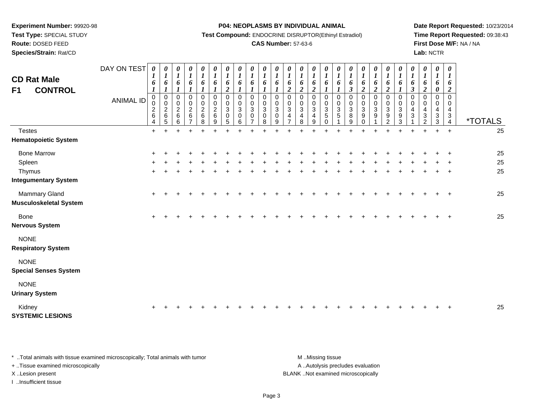**Test Type:** SPECIAL STUDY

# **Route:** DOSED FEED

**Species/Strain:** Rat/CD

#### **P04: NEOPLASMS BY INDIVIDUAL ANIMAL**

**Test Compound:** ENDOCRINE DISRUPTOR(Ethinyl Estradiol)

## **CAS Number:** 57-63-6

**Date Report Requested:** 10/23/2014**Time Report Requested:** 09:38:43**First Dose M/F:** NA / NA**Lab:** NCTR

| <b>CD Rat Male</b><br><b>CONTROL</b><br>F1     | DAY ON TEST<br><b>ANIMAL ID</b> | 0<br>1<br>6<br>$\boldsymbol{l}$<br>0<br>0<br>$\overline{\mathbf{c}}$<br>6<br>4 | 0<br>$\boldsymbol{l}$<br>6<br>$\boldsymbol{l}$<br>$\pmb{0}$<br>$\pmb{0}$<br>$\boldsymbol{2}$<br>6<br>5 | $\boldsymbol{\theta}$<br>$\boldsymbol{l}$<br>6<br>$\boldsymbol{l}$<br>$\mathbf 0$<br>$\mathbf 0$<br>$\overline{c}$<br>$6\phantom{1}6$<br>6 | 0<br>$\boldsymbol{l}$<br>6<br>0<br>$\pmb{0}$<br>$\begin{array}{c} 2 \\ 6 \end{array}$<br>$\overline{7}$ | 0<br>$\boldsymbol{l}$<br>6<br>1<br>0<br>$\mathbf 0$<br>$\sqrt{2}$<br>6<br>8 | $\pmb{\theta}$<br>$\boldsymbol{l}$<br>6<br>$\boldsymbol{l}$<br>$\pmb{0}$<br>0<br>$\overline{c}$<br>$\,6$<br>9 | $\pmb{\theta}$<br>$\boldsymbol{l}$<br>6<br>$\boldsymbol{2}$<br>$\pmb{0}$<br>$\pmb{0}$<br>$\sqrt{3}$<br>$\mathbf 0$<br>5 | $\boldsymbol{\theta}$<br>$\boldsymbol{l}$<br>6<br>$\mathbf 0$<br>$\mathbf 0$<br>3<br>$\mathbf 0$<br>6 | $\pmb{\theta}$<br>$\boldsymbol{l}$<br>6<br>$\mathbf 0$<br>$\mathbf 0$<br>$\mathbf{3}$<br>$\mathbf 0$<br>$\overline{7}$ | $\boldsymbol{\theta}$<br>$\boldsymbol{l}$<br>6<br>$\boldsymbol{l}$<br>$\mathbf 0$<br>$\mathbf 0$<br>$\mathbf{3}$<br>$\mathbf 0$<br>8 | 0<br>$\boldsymbol{l}$<br>6<br>0<br>0<br>$\overline{3}$<br>$\pmb{0}$<br>9 | $\boldsymbol{\theta}$<br>$\boldsymbol{l}$<br>6<br>$\boldsymbol{2}$<br>$\mathbf 0$<br>$\mathbf 0$<br>$\sqrt{3}$<br>$\overline{4}$<br>$\overline{7}$ | 0<br>$\boldsymbol{l}$<br>6<br>$\overline{2}$<br>$\mathbf 0$<br>0<br>$\ensuremath{\mathsf{3}}$<br>$\overline{4}$<br>8 | 0<br>$\boldsymbol{l}$<br>6<br>$\boldsymbol{2}$<br>$\pmb{0}$<br>$\mathbf 0$<br>$\ensuremath{\mathsf{3}}$<br>$\overline{4}$<br>9 | 0<br>$\boldsymbol{l}$<br>6<br>$\pmb{0}$<br>0<br>$\mathbf{3}$<br>$\sqrt{5}$<br>$\Omega$ | 0<br>$\boldsymbol{l}$<br>6<br>$\boldsymbol{l}$<br>$\pmb{0}$<br>$\pmb{0}$<br>$\overline{3}$<br>$\sqrt{5}$ | $\pmb{\theta}$<br>$\boldsymbol{l}$<br>6<br>$\mathfrak{z}$<br>$\pmb{0}$<br>$\mathbf 0$<br>$\ensuremath{\mathsf{3}}$<br>8<br>9 | 0<br>$\boldsymbol{l}$<br>6<br>$\boldsymbol{2}$<br>$\pmb{0}$<br>$\frac{0}{3}$<br>9<br>$\Omega$ | 0<br>$\boldsymbol{l}$<br>6<br>$\overline{2}$<br>$\pmb{0}$<br>$\mathbf 0$<br>$\overline{3}$<br>$\boldsymbol{9}$ | 0<br>$\boldsymbol{l}$<br>6<br>$\overline{c}$<br>0<br>$\pmb{0}$<br>$\overline{3}$<br>$\boldsymbol{9}$<br>$\overline{2}$ | 0<br>$\boldsymbol{l}$<br>6<br>$\mathbf{I}$<br>$\mathbf 0$<br>$\mathbf 0$<br>$\sqrt{3}$<br>$\boldsymbol{9}$<br>3 | 0<br>$\boldsymbol{l}$<br>6<br>$\mathfrak{z}$<br>$\mathbf 0$<br>$\mathbf 0$<br>4<br>3 | 0<br>$\boldsymbol{l}$<br>6<br>$\boldsymbol{2}$<br>$\mathbf 0$<br>0<br>4<br>$\sqrt{3}$<br>2 | $\boldsymbol{\theta}$<br>$\boldsymbol{l}$<br>6<br>$\boldsymbol{\theta}$<br>$\mathbf 0$<br>$\mathbf 0$<br>4<br>$\sqrt{3}$<br>3 | $\pmb{\theta}$<br>$\boldsymbol{l}$<br>6<br>$\boldsymbol{2}$<br>$\pmb{0}$<br>$\mathbf 0$<br>$\overline{4}$<br>$\ensuremath{\mathsf{3}}$<br>$\overline{4}$ | <i><b>*TOTALS</b></i> |
|------------------------------------------------|---------------------------------|--------------------------------------------------------------------------------|--------------------------------------------------------------------------------------------------------|--------------------------------------------------------------------------------------------------------------------------------------------|---------------------------------------------------------------------------------------------------------|-----------------------------------------------------------------------------|---------------------------------------------------------------------------------------------------------------|-------------------------------------------------------------------------------------------------------------------------|-------------------------------------------------------------------------------------------------------|------------------------------------------------------------------------------------------------------------------------|--------------------------------------------------------------------------------------------------------------------------------------|--------------------------------------------------------------------------|----------------------------------------------------------------------------------------------------------------------------------------------------|----------------------------------------------------------------------------------------------------------------------|--------------------------------------------------------------------------------------------------------------------------------|----------------------------------------------------------------------------------------|----------------------------------------------------------------------------------------------------------|------------------------------------------------------------------------------------------------------------------------------|-----------------------------------------------------------------------------------------------|----------------------------------------------------------------------------------------------------------------|------------------------------------------------------------------------------------------------------------------------|-----------------------------------------------------------------------------------------------------------------|--------------------------------------------------------------------------------------|--------------------------------------------------------------------------------------------|-------------------------------------------------------------------------------------------------------------------------------|----------------------------------------------------------------------------------------------------------------------------------------------------------|-----------------------|
| <b>Testes</b>                                  |                                 | $+$                                                                            |                                                                                                        |                                                                                                                                            |                                                                                                         |                                                                             |                                                                                                               |                                                                                                                         |                                                                                                       |                                                                                                                        |                                                                                                                                      |                                                                          |                                                                                                                                                    |                                                                                                                      |                                                                                                                                |                                                                                        |                                                                                                          |                                                                                                                              |                                                                                               |                                                                                                                |                                                                                                                        |                                                                                                                 |                                                                                      |                                                                                            |                                                                                                                               | $+$                                                                                                                                                      | 25                    |
| <b>Hematopoietic System</b>                    |                                 |                                                                                |                                                                                                        |                                                                                                                                            |                                                                                                         |                                                                             |                                                                                                               |                                                                                                                         |                                                                                                       |                                                                                                                        |                                                                                                                                      |                                                                          |                                                                                                                                                    |                                                                                                                      |                                                                                                                                |                                                                                        |                                                                                                          |                                                                                                                              |                                                                                               |                                                                                                                |                                                                                                                        |                                                                                                                 |                                                                                      |                                                                                            |                                                                                                                               |                                                                                                                                                          |                       |
| <b>Bone Marrow</b>                             |                                 |                                                                                |                                                                                                        |                                                                                                                                            |                                                                                                         |                                                                             |                                                                                                               |                                                                                                                         |                                                                                                       |                                                                                                                        |                                                                                                                                      |                                                                          |                                                                                                                                                    |                                                                                                                      |                                                                                                                                |                                                                                        |                                                                                                          |                                                                                                                              |                                                                                               |                                                                                                                |                                                                                                                        |                                                                                                                 |                                                                                      |                                                                                            |                                                                                                                               |                                                                                                                                                          | 25                    |
| Spleen                                         |                                 |                                                                                |                                                                                                        |                                                                                                                                            |                                                                                                         |                                                                             |                                                                                                               |                                                                                                                         |                                                                                                       |                                                                                                                        |                                                                                                                                      |                                                                          |                                                                                                                                                    |                                                                                                                      |                                                                                                                                |                                                                                        |                                                                                                          |                                                                                                                              |                                                                                               |                                                                                                                |                                                                                                                        |                                                                                                                 |                                                                                      |                                                                                            |                                                                                                                               |                                                                                                                                                          | 25                    |
| Thymus                                         |                                 | $\ddot{}$                                                                      |                                                                                                        |                                                                                                                                            |                                                                                                         |                                                                             |                                                                                                               |                                                                                                                         |                                                                                                       |                                                                                                                        |                                                                                                                                      |                                                                          |                                                                                                                                                    |                                                                                                                      |                                                                                                                                |                                                                                        |                                                                                                          |                                                                                                                              |                                                                                               |                                                                                                                |                                                                                                                        |                                                                                                                 |                                                                                      |                                                                                            |                                                                                                                               | $\ddot{}$                                                                                                                                                | 25                    |
| <b>Integumentary System</b>                    |                                 |                                                                                |                                                                                                        |                                                                                                                                            |                                                                                                         |                                                                             |                                                                                                               |                                                                                                                         |                                                                                                       |                                                                                                                        |                                                                                                                                      |                                                                          |                                                                                                                                                    |                                                                                                                      |                                                                                                                                |                                                                                        |                                                                                                          |                                                                                                                              |                                                                                               |                                                                                                                |                                                                                                                        |                                                                                                                 |                                                                                      |                                                                                            |                                                                                                                               |                                                                                                                                                          |                       |
| Mammary Gland<br><b>Musculoskeletal System</b> |                                 | $\pm$                                                                          |                                                                                                        |                                                                                                                                            |                                                                                                         |                                                                             |                                                                                                               |                                                                                                                         |                                                                                                       |                                                                                                                        |                                                                                                                                      |                                                                          |                                                                                                                                                    |                                                                                                                      |                                                                                                                                |                                                                                        |                                                                                                          |                                                                                                                              |                                                                                               |                                                                                                                |                                                                                                                        |                                                                                                                 |                                                                                      |                                                                                            |                                                                                                                               | $\overline{+}$                                                                                                                                           | 25                    |
| <b>Bone</b><br><b>Nervous System</b>           |                                 | ÷                                                                              |                                                                                                        |                                                                                                                                            |                                                                                                         |                                                                             |                                                                                                               |                                                                                                                         |                                                                                                       |                                                                                                                        |                                                                                                                                      |                                                                          |                                                                                                                                                    |                                                                                                                      |                                                                                                                                |                                                                                        |                                                                                                          |                                                                                                                              |                                                                                               |                                                                                                                |                                                                                                                        |                                                                                                                 |                                                                                      |                                                                                            |                                                                                                                               | $\ddot{}$                                                                                                                                                | 25                    |
| <b>NONE</b><br><b>Respiratory System</b>       |                                 |                                                                                |                                                                                                        |                                                                                                                                            |                                                                                                         |                                                                             |                                                                                                               |                                                                                                                         |                                                                                                       |                                                                                                                        |                                                                                                                                      |                                                                          |                                                                                                                                                    |                                                                                                                      |                                                                                                                                |                                                                                        |                                                                                                          |                                                                                                                              |                                                                                               |                                                                                                                |                                                                                                                        |                                                                                                                 |                                                                                      |                                                                                            |                                                                                                                               |                                                                                                                                                          |                       |
| <b>NONE</b><br><b>Special Senses System</b>    |                                 |                                                                                |                                                                                                        |                                                                                                                                            |                                                                                                         |                                                                             |                                                                                                               |                                                                                                                         |                                                                                                       |                                                                                                                        |                                                                                                                                      |                                                                          |                                                                                                                                                    |                                                                                                                      |                                                                                                                                |                                                                                        |                                                                                                          |                                                                                                                              |                                                                                               |                                                                                                                |                                                                                                                        |                                                                                                                 |                                                                                      |                                                                                            |                                                                                                                               |                                                                                                                                                          |                       |
| <b>NONE</b><br><b>Urinary System</b>           |                                 |                                                                                |                                                                                                        |                                                                                                                                            |                                                                                                         |                                                                             |                                                                                                               |                                                                                                                         |                                                                                                       |                                                                                                                        |                                                                                                                                      |                                                                          |                                                                                                                                                    |                                                                                                                      |                                                                                                                                |                                                                                        |                                                                                                          |                                                                                                                              |                                                                                               |                                                                                                                |                                                                                                                        |                                                                                                                 |                                                                                      |                                                                                            |                                                                                                                               |                                                                                                                                                          |                       |
| Kidney<br><b>SYSTEMIC LESIONS</b>              |                                 |                                                                                |                                                                                                        |                                                                                                                                            |                                                                                                         |                                                                             |                                                                                                               |                                                                                                                         |                                                                                                       |                                                                                                                        |                                                                                                                                      |                                                                          |                                                                                                                                                    |                                                                                                                      |                                                                                                                                |                                                                                        |                                                                                                          |                                                                                                                              |                                                                                               |                                                                                                                |                                                                                                                        |                                                                                                                 |                                                                                      |                                                                                            |                                                                                                                               |                                                                                                                                                          | 25                    |

\* ..Total animals with tissue examined microscopically; Total animals with tumor **M** . Missing tissue M ..Missing tissue + ..Tissue examined microscopically X ..Lesion present BLANK ..Not examined microscopically

I ..Insufficient tissue

A ..Autolysis precludes evaluation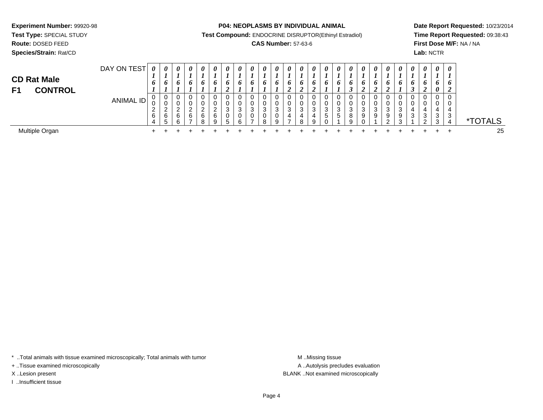**Test Type:** SPECIAL STUDY

**Route:** DOSED FEED

**Species/Strain:** Rat/CD

**P04: NEOPLASMS BY INDIVIDUAL ANIMAL**

**Test Compound:** ENDOCRINE DISRUPTOR(Ethinyl Estradiol)

## **CAS Number:** 57-63-6

**Date Report Requested:** 10/23/2014**Time Report Requested:** 09:38:43**First Dose M/F:** NA / NA**Lab:** NCTR

| <b>CD Rat Male</b><br><b>CONTROL</b><br>F <sub>1</sub> | DAY ON TEST | $\boldsymbol{\theta}$<br>o | 0<br>L,<br>$\bm{o}$   | $\boldsymbol{\theta}$<br>6 | $\boldsymbol{\theta}$<br>6        | $\boldsymbol{\theta}$<br>6 | 0<br>O                | 0<br>D  | 0<br>o | 0<br>o      | $\boldsymbol{\theta}$<br>6 | $\boldsymbol{\theta}$<br>6 | $\theta$<br>$\bm{o}$ | $\boldsymbol{\theta}$<br>$\bm{o}$ | 0<br>o<br>∠ | 0<br>o            | $\boldsymbol{\theta}$<br>O. | $\theta$<br>$\bm{o}$ | $\boldsymbol{\theta}$<br>o<br>◢ | $\theta$<br>o | $\theta$<br>o | $\theta$<br>O    | $\boldsymbol{\theta}$<br>6 | $\boldsymbol{\theta}$<br>6<br>◢ | $\boldsymbol{\theta}$<br>$\bm{b}$<br>$\boldsymbol{\theta}$ | $\boldsymbol{\theta}$<br>o |                       |
|--------------------------------------------------------|-------------|----------------------------|-----------------------|----------------------------|-----------------------------------|----------------------------|-----------------------|---------|--------|-------------|----------------------------|----------------------------|----------------------|-----------------------------------|-------------|-------------------|-----------------------------|----------------------|---------------------------------|---------------|---------------|------------------|----------------------------|---------------------------------|------------------------------------------------------------|----------------------------|-----------------------|
|                                                        | ANIMAL ID   | U<br>v<br>$\epsilon$<br>6  | 0<br>v<br>ົ<br>6<br>5 | $\sim$<br>6<br>R.          | 0<br>U<br>ົ<br><u>L</u><br>6<br>⇁ | ົ<br>6<br>Ω                | 0<br>0<br>ົ<br>6<br>9 | ົ<br>.h | 3      | 0<br>0<br>3 | 0<br>0<br>3<br>0<br>8      | 3<br>a                     | 3<br>4<br>-          | વ<br>◡<br>4<br>я                  | ີ<br>Q      | 3<br><sub>5</sub> | 5                           | 3<br>8<br>9          | 3<br>9                          | 3<br>9        | 9             | ۰Q<br>$\sqrt{2}$ | 0<br>0<br>3                | 0<br>0<br>4<br>3<br>ົ           | 0<br>3                                                     | 0<br>0<br>4<br>3<br>4      | <i><b>*TOTALS</b></i> |
| Multiple Organ                                         |             |                            |                       |                            |                                   |                            |                       |         |        |             |                            |                            |                      |                                   |             |                   |                             |                      |                                 |               |               |                  |                            |                                 |                                                            |                            | 25                    |

\* ..Total animals with tissue examined microscopically; Total animals with tumor **M** . Missing tissue M ..Missing tissue

+ ..Tissue examined microscopically

I ..Insufficient tissue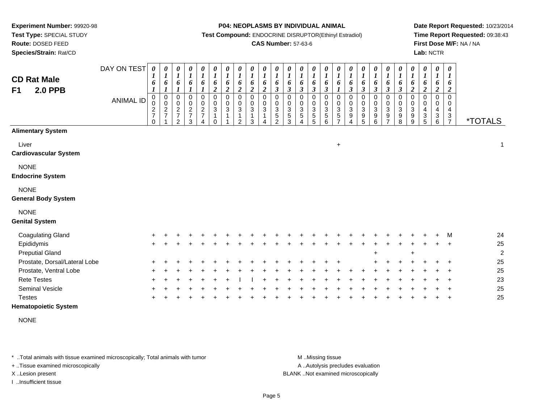**Route:** DOSED FEED

**Species/Strain:** Rat/CD

#### **P04: NEOPLASMS BY INDIVIDUAL ANIMAL**

**Test Compound:** ENDOCRINE DISRUPTOR(Ethinyl Estradiol)

## **CAS Number:** 57-63-6

**Date Report Requested:** 10/23/2014**Time Report Requested:** 09:38:43**First Dose M/F:** NA / NA**Lab:** NCTR

| <b>CD Rat Male</b><br><b>2.0 PPB</b><br>F1 | DAY ON TEST<br><b>ANIMAL ID</b> | 0<br>1<br>6<br>$\boldsymbol{l}$<br>$\pmb{0}$<br>0<br>$\frac{2}{7}$<br>$\Omega$ | 0<br>$\boldsymbol{l}$<br>6<br>$\boldsymbol{l}$<br>$\,0\,$<br>$\pmb{0}$<br>$\boldsymbol{2}$<br>$\overline{7}$ | 0<br>$\boldsymbol{l}$<br>6<br>$\boldsymbol{l}$<br>$\,0\,$<br>$\pmb{0}$<br>$\frac{2}{7}$<br>2 | 0<br>$\boldsymbol{l}$<br>6<br>$\boldsymbol{l}$<br>$\mathbf 0$<br>$\pmb{0}$<br>$\frac{2}{7}$<br>3 | 0<br>$\boldsymbol{l}$<br>6<br>$\boldsymbol{l}$<br>0<br>$\pmb{0}$<br>$\frac{2}{7}$<br>$\overline{4}$ | 0<br>$\boldsymbol{l}$<br>6<br>$\boldsymbol{2}$<br>$\pmb{0}$<br>$\mathbf 0$<br>$\sqrt{3}$<br>1<br>$\Omega$ | 0<br>$\boldsymbol{l}$<br>6<br>$\boldsymbol{2}$<br>$\pmb{0}$<br>$\pmb{0}$<br>$\ensuremath{\mathsf{3}}$ | $\frac{\theta}{I}$<br>6<br>$\boldsymbol{2}$<br>$\mathbf 0$<br>0<br>3<br>1<br>$\overline{2}$ | 0<br>$\boldsymbol{l}$<br>6<br>$\boldsymbol{2}$<br>0<br>0<br>$\mathbf{3}$<br>$\mathbf{1}$<br>3 | $\boldsymbol{\theta}$<br>$\boldsymbol{l}$<br>6<br>$\boldsymbol{2}$<br>$\mathbf 0$<br>0<br>$\sqrt{3}$ | 0<br>6<br>$\boldsymbol{\beta}$<br>$\Omega$<br>0<br>3<br>5<br>$\overline{2}$ | 0<br>$\boldsymbol{l}$<br>6<br>$\boldsymbol{\beta}$<br>0<br>0<br>$\sqrt{3}$<br>$\,$ 5 $\,$<br>3 | 0<br>$\boldsymbol{l}$<br>6<br>$\boldsymbol{\beta}$<br>$\mathbf 0$<br>0<br>$\ensuremath{\mathsf{3}}$<br>5<br>4 | 0<br>$\boldsymbol{l}$<br>6<br>$\boldsymbol{\beta}$<br>$\mathbf 0$<br>$\mathbf 0$<br>$\sqrt{3}$<br>$\sqrt{5}$<br>5 | 0<br>$\boldsymbol{l}$<br>6<br>$\boldsymbol{\beta}$<br>0<br>0<br>$\sqrt{3}$<br>5<br>6 | 0<br>$\boldsymbol{l}$<br>6<br>$\boldsymbol{l}$<br>0<br>0<br>$\sqrt{3}$<br>$\sqrt{5}$<br>$\overline{7}$ | 0<br>$\boldsymbol{l}$<br>6<br>$\mathfrak{z}$<br>$\pmb{0}$<br>$\mathbf 0$<br>$\sqrt{3}$<br>9<br>$\overline{4}$ | 0<br>$\boldsymbol{l}$<br>6<br>$\mathfrak{z}$<br>$\pmb{0}$<br>$\pmb{0}$<br>$\sqrt{3}$<br>$\boldsymbol{9}$<br>5 | $\frac{\boldsymbol{\theta}}{\boldsymbol{I}}$<br>6<br>$\mathfrak{z}$<br>0<br>$\mathbf 0$<br>3<br>$\boldsymbol{9}$<br>6 | 0<br>$\boldsymbol{l}$<br>6<br>$\boldsymbol{\beta}$<br>0<br>$\pmb{0}$<br>$\mathbf{3}$<br>9<br>$\overline{7}$ | 0<br>$\boldsymbol{l}$<br>6<br>$\boldsymbol{\beta}$<br>$\pmb{0}$<br>$\pmb{0}$<br>$\sqrt{3}$<br>9<br>8 | 0<br>$\boldsymbol{l}$<br>6<br>$\boldsymbol{2}$<br>$\mathbf 0$<br>0<br>3<br>9<br>9 | 0<br>$\boldsymbol{l}$<br>6<br>$\boldsymbol{2}$<br>$\mathbf 0$<br>0<br>$\overline{4}$<br>$\sqrt{3}$<br>5 | 0<br>$\boldsymbol{l}$<br>6<br>$\boldsymbol{2}$<br>0<br>0<br>4<br>$\ensuremath{\mathsf{3}}$<br>6 | $\boldsymbol{\theta}$<br>$\boldsymbol{l}$<br>6<br>$\boldsymbol{2}$<br>$\mathbf 0$<br>0<br>4<br>$\ensuremath{\mathsf{3}}$<br>$\overline{7}$ | <i><b>*TOTALS</b></i> |
|--------------------------------------------|---------------------------------|--------------------------------------------------------------------------------|--------------------------------------------------------------------------------------------------------------|----------------------------------------------------------------------------------------------|--------------------------------------------------------------------------------------------------|-----------------------------------------------------------------------------------------------------|-----------------------------------------------------------------------------------------------------------|-------------------------------------------------------------------------------------------------------|---------------------------------------------------------------------------------------------|-----------------------------------------------------------------------------------------------|------------------------------------------------------------------------------------------------------|-----------------------------------------------------------------------------|------------------------------------------------------------------------------------------------|---------------------------------------------------------------------------------------------------------------|-------------------------------------------------------------------------------------------------------------------|--------------------------------------------------------------------------------------|--------------------------------------------------------------------------------------------------------|---------------------------------------------------------------------------------------------------------------|---------------------------------------------------------------------------------------------------------------|-----------------------------------------------------------------------------------------------------------------------|-------------------------------------------------------------------------------------------------------------|------------------------------------------------------------------------------------------------------|-----------------------------------------------------------------------------------|---------------------------------------------------------------------------------------------------------|-------------------------------------------------------------------------------------------------|--------------------------------------------------------------------------------------------------------------------------------------------|-----------------------|
| <b>Alimentary System</b>                   |                                 |                                                                                |                                                                                                              |                                                                                              |                                                                                                  |                                                                                                     |                                                                                                           |                                                                                                       |                                                                                             |                                                                                               |                                                                                                      |                                                                             |                                                                                                |                                                                                                               |                                                                                                                   |                                                                                      |                                                                                                        |                                                                                                               |                                                                                                               |                                                                                                                       |                                                                                                             |                                                                                                      |                                                                                   |                                                                                                         |                                                                                                 |                                                                                                                                            |                       |
| Liver<br><b>Cardiovascular System</b>      |                                 |                                                                                |                                                                                                              |                                                                                              |                                                                                                  |                                                                                                     |                                                                                                           |                                                                                                       |                                                                                             |                                                                                               |                                                                                                      |                                                                             |                                                                                                |                                                                                                               |                                                                                                                   |                                                                                      | $\ddot{}$                                                                                              |                                                                                                               |                                                                                                               |                                                                                                                       |                                                                                                             |                                                                                                      |                                                                                   |                                                                                                         |                                                                                                 |                                                                                                                                            | $\mathbf{1}$          |
| <b>NONE</b><br><b>Endocrine System</b>     |                                 |                                                                                |                                                                                                              |                                                                                              |                                                                                                  |                                                                                                     |                                                                                                           |                                                                                                       |                                                                                             |                                                                                               |                                                                                                      |                                                                             |                                                                                                |                                                                                                               |                                                                                                                   |                                                                                      |                                                                                                        |                                                                                                               |                                                                                                               |                                                                                                                       |                                                                                                             |                                                                                                      |                                                                                   |                                                                                                         |                                                                                                 |                                                                                                                                            |                       |
| <b>NONE</b><br><b>General Body System</b>  |                                 |                                                                                |                                                                                                              |                                                                                              |                                                                                                  |                                                                                                     |                                                                                                           |                                                                                                       |                                                                                             |                                                                                               |                                                                                                      |                                                                             |                                                                                                |                                                                                                               |                                                                                                                   |                                                                                      |                                                                                                        |                                                                                                               |                                                                                                               |                                                                                                                       |                                                                                                             |                                                                                                      |                                                                                   |                                                                                                         |                                                                                                 |                                                                                                                                            |                       |
| <b>NONE</b><br><b>Genital System</b>       |                                 |                                                                                |                                                                                                              |                                                                                              |                                                                                                  |                                                                                                     |                                                                                                           |                                                                                                       |                                                                                             |                                                                                               |                                                                                                      |                                                                             |                                                                                                |                                                                                                               |                                                                                                                   |                                                                                      |                                                                                                        |                                                                                                               |                                                                                                               |                                                                                                                       |                                                                                                             |                                                                                                      |                                                                                   |                                                                                                         |                                                                                                 |                                                                                                                                            |                       |
| <b>Coagulating Gland</b>                   |                                 |                                                                                |                                                                                                              |                                                                                              |                                                                                                  |                                                                                                     |                                                                                                           |                                                                                                       |                                                                                             |                                                                                               |                                                                                                      |                                                                             |                                                                                                |                                                                                                               |                                                                                                                   |                                                                                      |                                                                                                        |                                                                                                               |                                                                                                               |                                                                                                                       |                                                                                                             |                                                                                                      |                                                                                   |                                                                                                         |                                                                                                 | M                                                                                                                                          | 24                    |
| Epididymis<br><b>Preputial Gland</b>       |                                 | $\pm$                                                                          |                                                                                                              |                                                                                              |                                                                                                  |                                                                                                     |                                                                                                           |                                                                                                       |                                                                                             |                                                                                               |                                                                                                      |                                                                             |                                                                                                |                                                                                                               |                                                                                                                   |                                                                                      |                                                                                                        |                                                                                                               |                                                                                                               |                                                                                                                       |                                                                                                             |                                                                                                      | $\ddot{}$                                                                         |                                                                                                         |                                                                                                 |                                                                                                                                            | 25<br>$\overline{2}$  |
| Prostate, Dorsal/Lateral Lobe              |                                 |                                                                                |                                                                                                              |                                                                                              |                                                                                                  |                                                                                                     |                                                                                                           |                                                                                                       |                                                                                             |                                                                                               |                                                                                                      |                                                                             |                                                                                                |                                                                                                               |                                                                                                                   |                                                                                      |                                                                                                        |                                                                                                               |                                                                                                               |                                                                                                                       |                                                                                                             |                                                                                                      |                                                                                   |                                                                                                         |                                                                                                 |                                                                                                                                            | 25                    |
| Prostate, Ventral Lobe                     |                                 |                                                                                |                                                                                                              |                                                                                              |                                                                                                  |                                                                                                     |                                                                                                           |                                                                                                       |                                                                                             |                                                                                               |                                                                                                      |                                                                             |                                                                                                |                                                                                                               |                                                                                                                   |                                                                                      |                                                                                                        |                                                                                                               |                                                                                                               |                                                                                                                       |                                                                                                             |                                                                                                      |                                                                                   |                                                                                                         |                                                                                                 |                                                                                                                                            | 25                    |
| <b>Rete Testes</b>                         |                                 |                                                                                |                                                                                                              |                                                                                              |                                                                                                  |                                                                                                     |                                                                                                           |                                                                                                       |                                                                                             |                                                                                               |                                                                                                      |                                                                             |                                                                                                |                                                                                                               |                                                                                                                   |                                                                                      |                                                                                                        |                                                                                                               |                                                                                                               |                                                                                                                       |                                                                                                             |                                                                                                      |                                                                                   |                                                                                                         |                                                                                                 |                                                                                                                                            | 23                    |
| Seminal Vesicle<br><b>Testes</b>           |                                 |                                                                                |                                                                                                              |                                                                                              |                                                                                                  |                                                                                                     |                                                                                                           |                                                                                                       |                                                                                             |                                                                                               |                                                                                                      |                                                                             |                                                                                                |                                                                                                               |                                                                                                                   |                                                                                      |                                                                                                        |                                                                                                               |                                                                                                               |                                                                                                                       |                                                                                                             |                                                                                                      |                                                                                   |                                                                                                         |                                                                                                 |                                                                                                                                            | 25<br>25              |

## **Hematopoietic System**

NONE

\* ..Total animals with tissue examined microscopically; Total animals with tumor **M** . Missing tissue M ..Missing tissue

+ ..Tissue examined microscopically

I ..Insufficient tissue

A ..Autolysis precludes evaluation

X ..Lesion present BLANK ..Not examined microscopically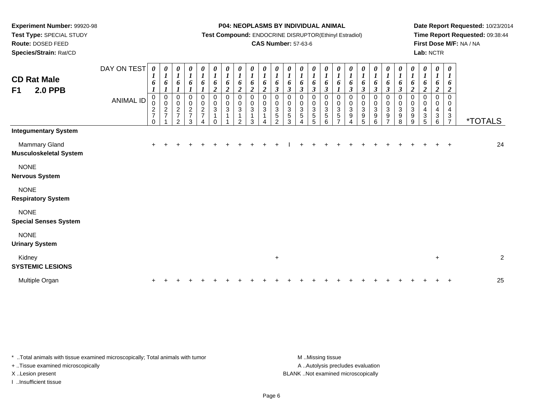**Route:** DOSED FEED

**Species/Strain:** Rat/CD

#### **P04: NEOPLASMS BY INDIVIDUAL ANIMAL**

**Test Compound:** ENDOCRINE DISRUPTOR(Ethinyl Estradiol)

## **CAS Number:** 57-63-6

**Date Report Requested:** 10/23/2014**Time Report Requested:** 09:38:44**First Dose M/F:** NA / NA**Lab:** NCTR

| <b>CD Rat Male</b><br><b>2.0 PPB</b><br>F1            | DAY ON TEST<br><b>ANIMAL ID</b> | 0<br>1<br>6<br>0<br>$\pmb{0}$<br>$\boldsymbol{2}$<br>$\overline{7}$<br>$\Omega$ | 0<br>$\boldsymbol{l}$<br>6<br>$\pmb{0}$<br>$\mathbf 0$<br>$\boldsymbol{2}$<br>$\overline{7}$ | 0<br>$\boldsymbol{l}$<br>6<br>0<br>$\mathbf 0$<br>$\overline{c}$<br>$\overline{7}$<br>$\overline{2}$ | $\boldsymbol{\theta}$<br>$\boldsymbol{l}$<br>6<br>0<br>$\mathbf 0$<br>$\overline{c}$<br>$\boldsymbol{7}$<br>3 | $\boldsymbol{l}$<br>6<br>0<br>$\mathbf 0$<br>$\boldsymbol{2}$<br>$\overline{7}$ | 0<br>$\boldsymbol{l}$<br>6<br>$\overline{c}$<br>0<br>$\pmb{0}$<br>$\ensuremath{\mathsf{3}}$ | 0<br>$\boldsymbol{l}$<br>6<br>$\overline{\mathbf{c}}$<br>0<br>$\pmb{0}$<br>$\sqrt{3}$ | 0<br>$\boldsymbol{l}$<br>6<br>$\boldsymbol{2}$<br>$\mathbf 0$<br>$\pmb{0}$<br>$\mathbf 3$<br>$\mathbf 1$<br>$\mathcal{P}$ | 0<br>$\boldsymbol{l}$<br>6<br>$\overline{2}$<br>0<br>0<br>$\sqrt{3}$<br>1<br>3 | $\boldsymbol{\theta}$<br>$\boldsymbol{l}$<br>6<br>$\overline{2}$<br>0<br>0<br>3 | 0<br>$\boldsymbol{l}$<br>6<br>$\boldsymbol{\beta}$<br>0<br>0<br>$\mathbf{3}$<br>$\sqrt{5}$<br>2 | $\frac{\theta}{I}$<br>6<br>$\boldsymbol{\beta}$<br>0<br>0<br>$\mathbf{3}$<br>5<br>3 | $\frac{\theta}{I}$<br>6<br>$\boldsymbol{\beta}$<br>0<br>0<br>3<br>5 | $\boldsymbol{\theta}$<br>$\boldsymbol{l}$<br>6<br>$\boldsymbol{\beta}$<br>0<br>0<br>$\sqrt{3}$<br>$\,$ 5 $\,$<br>5 | 0<br>$\boldsymbol{l}$<br>6<br>$\boldsymbol{\beta}$<br>0<br>0<br>$\ensuremath{\mathsf{3}}$<br>5<br>6 | 0<br>$\boldsymbol{l}$<br>6<br>1<br>0<br>0<br>$\mathbf{3}$<br>$\mathbf 5$<br>$\overline{ }$ | 0<br>$\boldsymbol{l}$<br>6<br>$\boldsymbol{\beta}$<br>0<br>0<br>$\sqrt{3}$<br>9<br>4 | 0<br>$\boldsymbol{l}$<br>6<br>$\mathfrak{z}$<br>0<br>$\mathbf 0$<br>$\ensuremath{\mathsf{3}}$<br>$\boldsymbol{9}$<br>$\overline{5}$ | $\boldsymbol{\theta}$<br>$\boldsymbol{l}$<br>6<br>$\mathfrak{z}$<br>0<br>$\pmb{0}$<br>$\mathbf{3}$<br>$\boldsymbol{9}$<br>6 | $\frac{\boldsymbol{0}}{\boldsymbol{1}}$<br>6<br>$\boldsymbol{\beta}$<br>$\pmb{0}$<br>$\frac{0}{3}$<br>$\overline{ }$ | $\frac{\theta}{I}$<br>6<br>$\mathfrak{z}$<br>0<br>$\frac{0}{3}$<br>$\boldsymbol{9}$<br>8 | $\frac{\theta}{I}$<br>6<br>$\boldsymbol{2}$<br>0<br>0<br>$\ensuremath{\mathsf{3}}$<br>$\boldsymbol{9}$<br>9 | $\boldsymbol{\theta}$<br>$\boldsymbol{l}$<br>6<br>$\boldsymbol{2}$<br>0<br>0<br>4<br>$\sqrt{3}$<br>5 | 0<br>$\boldsymbol{l}$<br>6<br>$\overline{c}$<br>$\mathbf 0$<br>0<br>4<br>3<br>6 | 0<br>$\boldsymbol{I}$<br>6<br>$\boldsymbol{2}$<br>$\Omega$<br>0<br>4<br>3<br>$\overline{7}$ | <i><b>*TOTALS</b></i> |
|-------------------------------------------------------|---------------------------------|---------------------------------------------------------------------------------|----------------------------------------------------------------------------------------------|------------------------------------------------------------------------------------------------------|---------------------------------------------------------------------------------------------------------------|---------------------------------------------------------------------------------|---------------------------------------------------------------------------------------------|---------------------------------------------------------------------------------------|---------------------------------------------------------------------------------------------------------------------------|--------------------------------------------------------------------------------|---------------------------------------------------------------------------------|-------------------------------------------------------------------------------------------------|-------------------------------------------------------------------------------------|---------------------------------------------------------------------|--------------------------------------------------------------------------------------------------------------------|-----------------------------------------------------------------------------------------------------|--------------------------------------------------------------------------------------------|--------------------------------------------------------------------------------------|-------------------------------------------------------------------------------------------------------------------------------------|-----------------------------------------------------------------------------------------------------------------------------|----------------------------------------------------------------------------------------------------------------------|------------------------------------------------------------------------------------------|-------------------------------------------------------------------------------------------------------------|------------------------------------------------------------------------------------------------------|---------------------------------------------------------------------------------|---------------------------------------------------------------------------------------------|-----------------------|
| <b>Integumentary System</b>                           |                                 |                                                                                 |                                                                                              |                                                                                                      |                                                                                                               |                                                                                 |                                                                                             |                                                                                       |                                                                                                                           |                                                                                |                                                                                 |                                                                                                 |                                                                                     |                                                                     |                                                                                                                    |                                                                                                     |                                                                                            |                                                                                      |                                                                                                                                     |                                                                                                                             |                                                                                                                      |                                                                                          |                                                                                                             |                                                                                                      |                                                                                 |                                                                                             |                       |
| <b>Mammary Gland</b><br><b>Musculoskeletal System</b> |                                 |                                                                                 |                                                                                              |                                                                                                      |                                                                                                               |                                                                                 |                                                                                             |                                                                                       |                                                                                                                           |                                                                                |                                                                                 |                                                                                                 |                                                                                     |                                                                     |                                                                                                                    |                                                                                                     |                                                                                            |                                                                                      |                                                                                                                                     |                                                                                                                             |                                                                                                                      |                                                                                          |                                                                                                             |                                                                                                      |                                                                                 |                                                                                             | 24                    |
| <b>NONE</b><br><b>Nervous System</b>                  |                                 |                                                                                 |                                                                                              |                                                                                                      |                                                                                                               |                                                                                 |                                                                                             |                                                                                       |                                                                                                                           |                                                                                |                                                                                 |                                                                                                 |                                                                                     |                                                                     |                                                                                                                    |                                                                                                     |                                                                                            |                                                                                      |                                                                                                                                     |                                                                                                                             |                                                                                                                      |                                                                                          |                                                                                                             |                                                                                                      |                                                                                 |                                                                                             |                       |
| <b>NONE</b><br><b>Respiratory System</b>              |                                 |                                                                                 |                                                                                              |                                                                                                      |                                                                                                               |                                                                                 |                                                                                             |                                                                                       |                                                                                                                           |                                                                                |                                                                                 |                                                                                                 |                                                                                     |                                                                     |                                                                                                                    |                                                                                                     |                                                                                            |                                                                                      |                                                                                                                                     |                                                                                                                             |                                                                                                                      |                                                                                          |                                                                                                             |                                                                                                      |                                                                                 |                                                                                             |                       |
| <b>NONE</b><br><b>Special Senses System</b>           |                                 |                                                                                 |                                                                                              |                                                                                                      |                                                                                                               |                                                                                 |                                                                                             |                                                                                       |                                                                                                                           |                                                                                |                                                                                 |                                                                                                 |                                                                                     |                                                                     |                                                                                                                    |                                                                                                     |                                                                                            |                                                                                      |                                                                                                                                     |                                                                                                                             |                                                                                                                      |                                                                                          |                                                                                                             |                                                                                                      |                                                                                 |                                                                                             |                       |
| <b>NONE</b><br><b>Urinary System</b>                  |                                 |                                                                                 |                                                                                              |                                                                                                      |                                                                                                               |                                                                                 |                                                                                             |                                                                                       |                                                                                                                           |                                                                                |                                                                                 |                                                                                                 |                                                                                     |                                                                     |                                                                                                                    |                                                                                                     |                                                                                            |                                                                                      |                                                                                                                                     |                                                                                                                             |                                                                                                                      |                                                                                          |                                                                                                             |                                                                                                      |                                                                                 |                                                                                             |                       |
| Kidney<br><b>SYSTEMIC LESIONS</b>                     |                                 |                                                                                 |                                                                                              |                                                                                                      |                                                                                                               |                                                                                 |                                                                                             |                                                                                       |                                                                                                                           |                                                                                |                                                                                 | $\ddot{}$                                                                                       |                                                                                     |                                                                     |                                                                                                                    |                                                                                                     |                                                                                            |                                                                                      |                                                                                                                                     |                                                                                                                             |                                                                                                                      |                                                                                          |                                                                                                             |                                                                                                      | $\ddot{}$                                                                       |                                                                                             | $\overline{c}$        |
| Multiple Organ                                        |                                 |                                                                                 |                                                                                              |                                                                                                      |                                                                                                               |                                                                                 |                                                                                             |                                                                                       |                                                                                                                           |                                                                                |                                                                                 |                                                                                                 |                                                                                     |                                                                     |                                                                                                                    |                                                                                                     |                                                                                            |                                                                                      |                                                                                                                                     |                                                                                                                             |                                                                                                                      |                                                                                          |                                                                                                             |                                                                                                      |                                                                                 |                                                                                             | 25                    |

\* ..Total animals with tissue examined microscopically; Total animals with tumor **M** . Missing tissue M ..Missing tissue

+ ..Tissue examined microscopically

I ..Insufficient tissue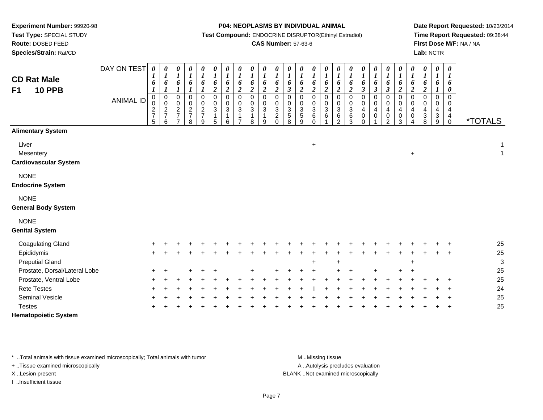**Route:** DOSED FEED

**Species/Strain:** Rat/CD

#### **P04: NEOPLASMS BY INDIVIDUAL ANIMAL**

**Test Compound:** ENDOCRINE DISRUPTOR(Ethinyl Estradiol)

## **CAS Number:** 57-63-6

**Date Report Requested:** 10/23/2014**Time Report Requested:** 09:38:44**First Dose M/F:** NA / NA**Lab:** NCTR

| <b>CD Rat Male</b><br><b>10 PPB</b><br>F <sub>1</sub> | DAY ON TEST<br><b>ANIMAL ID</b> | $\boldsymbol{\theta}$<br>1<br>6<br>0<br>$\pmb{0}$<br>$\frac{2}{7}$<br>5 | 0<br>$\boldsymbol{l}$<br>6<br>$\boldsymbol{l}$<br>0<br>$\mathbf 0$<br>$\overline{c}$<br>$\overline{7}$<br>6 | 0<br>$\boldsymbol{l}$<br>6<br>0<br>$\pmb{0}$<br>$\boldsymbol{2}$<br>$\overline{7}$ | $\boldsymbol{\theta}$<br>$\boldsymbol{l}$<br>6<br>1<br>$\mathbf 0$<br>$\mathbf 0$<br>$\frac{2}{7}$<br>8 | 0<br>$\boldsymbol{l}$<br>6<br>0<br>$\pmb{0}$<br>$\frac{2}{7}$<br>9 | 0<br>$\boldsymbol{l}$<br>6<br>$\overline{\mathbf{c}}$<br>0<br>$\pmb{0}$<br>$\ensuremath{\mathsf{3}}$<br>1<br>5 | $\boldsymbol{\theta}$<br>$\boldsymbol{l}$<br>6<br>$\overline{c}$<br>$\mathbf 0$<br>$\mathbf 0$<br>$\mathbf 3$<br>$\mathbf{1}$<br>6 | $\pmb{\theta}$<br>$\boldsymbol{l}$<br>6<br>$\overline{2}$<br>$\pmb{0}$<br>$\mathbf 0$<br>$\ensuremath{\mathsf{3}}$<br>7 | $\pmb{\theta}$<br>$\boldsymbol{l}$<br>6<br>$\boldsymbol{2}$<br>0<br>0<br>$\mathbf{3}$<br>1<br>8 | 0<br>$\boldsymbol{l}$<br>6<br>$\boldsymbol{2}$<br>$\Omega$<br>0<br>$\ensuremath{\mathsf{3}}$<br>$\mathbf{1}$<br>9 | $\pmb{\theta}$<br>$\boldsymbol{l}$<br>6<br>$\boldsymbol{2}$<br>$\Omega$<br>0<br>$\sqrt{3}$<br>$\overline{c}$<br>$\Omega$ | 0<br>$\boldsymbol{l}$<br>6<br>$\overline{\mathbf{3}}$<br>0<br>$\mathbf 0$<br>$\frac{3}{5}$<br>8 | 0<br>$\boldsymbol{l}$<br>6<br>$\overline{c}$<br>0<br>$\mathbf 0$<br>$\frac{3}{5}$<br>$\boldsymbol{9}$ | 0<br>$\boldsymbol{l}$<br>6<br>$\boldsymbol{2}$<br>$\mathbf 0$<br>$\mathbf 0$<br>$\sqrt{3}$<br>$\,6$<br>$\Omega$ | $\boldsymbol{\theta}$<br>$\boldsymbol{l}$<br>6<br>$\overline{\mathbf{c}}$<br>$\Omega$<br>$\pmb{0}$<br>$\ensuremath{\mathsf{3}}$<br>$\,6$ | $\boldsymbol{\theta}$<br>$\boldsymbol{l}$<br>6<br>$\boldsymbol{2}$<br>$\Omega$<br>0<br>$\sqrt{3}$<br>$\,6\,$<br>$\overline{c}$ | 0<br>$\boldsymbol{l}$<br>6<br>$\overline{c}$<br>$\Omega$<br>0<br>3<br>$6\phantom{1}6$<br>3 | 0<br>$\boldsymbol{l}$<br>6<br>$\boldsymbol{\beta}$<br>0<br>0<br>4<br>$\pmb{0}$<br>$\Omega$ | 0<br>$\boldsymbol{l}$<br>6<br>$\mathfrak{z}$<br>0<br>0<br>4<br>0 | 0<br>$\boldsymbol{l}$<br>6<br>$\mathfrak{z}$<br>0<br>$\pmb{0}$<br>$\overline{4}$<br>$\pmb{0}$<br>$\overline{2}$ | $\boldsymbol{\theta}$<br>$\boldsymbol{l}$<br>6<br>$\overline{c}$<br>$\Omega$<br>$\mathbf 0$<br>$\overline{4}$<br>$\pmb{0}$<br>3 | 0<br>$\boldsymbol{l}$<br>6<br>$\overline{2}$<br>$\Omega$<br>0<br>4<br>0 | $\pmb{\theta}$<br>$\boldsymbol{l}$<br>6<br>$\boldsymbol{2}$<br>0<br>0<br>4<br>$\ensuremath{\mathsf{3}}$<br>8 | $\boldsymbol{\theta}$<br>$\boldsymbol{l}$<br>6<br>$\Omega$<br>$\mathbf 0$<br>4<br>$\sqrt{3}$<br>9 | $\pmb{\theta}$<br>$\boldsymbol{l}$<br>6<br>$\boldsymbol{\theta}$<br>$\mathbf 0$<br>0<br>$\overline{\mathbf{4}}$<br>$\overline{4}$<br>$\mathsf 0$ | <i><b>*TOTALS</b></i>        |
|-------------------------------------------------------|---------------------------------|-------------------------------------------------------------------------|-------------------------------------------------------------------------------------------------------------|------------------------------------------------------------------------------------|---------------------------------------------------------------------------------------------------------|--------------------------------------------------------------------|----------------------------------------------------------------------------------------------------------------|------------------------------------------------------------------------------------------------------------------------------------|-------------------------------------------------------------------------------------------------------------------------|-------------------------------------------------------------------------------------------------|-------------------------------------------------------------------------------------------------------------------|--------------------------------------------------------------------------------------------------------------------------|-------------------------------------------------------------------------------------------------|-------------------------------------------------------------------------------------------------------|-----------------------------------------------------------------------------------------------------------------|------------------------------------------------------------------------------------------------------------------------------------------|--------------------------------------------------------------------------------------------------------------------------------|--------------------------------------------------------------------------------------------|--------------------------------------------------------------------------------------------|------------------------------------------------------------------|-----------------------------------------------------------------------------------------------------------------|---------------------------------------------------------------------------------------------------------------------------------|-------------------------------------------------------------------------|--------------------------------------------------------------------------------------------------------------|---------------------------------------------------------------------------------------------------|--------------------------------------------------------------------------------------------------------------------------------------------------|------------------------------|
| <b>Alimentary System</b>                              |                                 |                                                                         |                                                                                                             |                                                                                    |                                                                                                         |                                                                    |                                                                                                                |                                                                                                                                    |                                                                                                                         |                                                                                                 |                                                                                                                   |                                                                                                                          |                                                                                                 |                                                                                                       |                                                                                                                 |                                                                                                                                          |                                                                                                                                |                                                                                            |                                                                                            |                                                                  |                                                                                                                 |                                                                                                                                 |                                                                         |                                                                                                              |                                                                                                   |                                                                                                                                                  |                              |
| Liver<br>Mesentery<br><b>Cardiovascular System</b>    |                                 |                                                                         |                                                                                                             |                                                                                    |                                                                                                         |                                                                    |                                                                                                                |                                                                                                                                    |                                                                                                                         |                                                                                                 |                                                                                                                   |                                                                                                                          |                                                                                                 |                                                                                                       | $\ddot{}$                                                                                                       |                                                                                                                                          |                                                                                                                                |                                                                                            |                                                                                            |                                                                  |                                                                                                                 |                                                                                                                                 | $\ddot{}$                                                               |                                                                                                              |                                                                                                   |                                                                                                                                                  | $\mathbf{1}$<br>$\mathbf{1}$ |
| <b>NONE</b><br><b>Endocrine System</b>                |                                 |                                                                         |                                                                                                             |                                                                                    |                                                                                                         |                                                                    |                                                                                                                |                                                                                                                                    |                                                                                                                         |                                                                                                 |                                                                                                                   |                                                                                                                          |                                                                                                 |                                                                                                       |                                                                                                                 |                                                                                                                                          |                                                                                                                                |                                                                                            |                                                                                            |                                                                  |                                                                                                                 |                                                                                                                                 |                                                                         |                                                                                                              |                                                                                                   |                                                                                                                                                  |                              |
| <b>NONE</b><br><b>General Body System</b>             |                                 |                                                                         |                                                                                                             |                                                                                    |                                                                                                         |                                                                    |                                                                                                                |                                                                                                                                    |                                                                                                                         |                                                                                                 |                                                                                                                   |                                                                                                                          |                                                                                                 |                                                                                                       |                                                                                                                 |                                                                                                                                          |                                                                                                                                |                                                                                            |                                                                                            |                                                                  |                                                                                                                 |                                                                                                                                 |                                                                         |                                                                                                              |                                                                                                   |                                                                                                                                                  |                              |
| <b>NONE</b><br><b>Genital System</b>                  |                                 |                                                                         |                                                                                                             |                                                                                    |                                                                                                         |                                                                    |                                                                                                                |                                                                                                                                    |                                                                                                                         |                                                                                                 |                                                                                                                   |                                                                                                                          |                                                                                                 |                                                                                                       |                                                                                                                 |                                                                                                                                          |                                                                                                                                |                                                                                            |                                                                                            |                                                                  |                                                                                                                 |                                                                                                                                 |                                                                         |                                                                                                              |                                                                                                   |                                                                                                                                                  |                              |
| <b>Coagulating Gland</b>                              |                                 |                                                                         |                                                                                                             |                                                                                    |                                                                                                         |                                                                    |                                                                                                                |                                                                                                                                    |                                                                                                                         |                                                                                                 |                                                                                                                   |                                                                                                                          |                                                                                                 |                                                                                                       |                                                                                                                 |                                                                                                                                          |                                                                                                                                |                                                                                            |                                                                                            |                                                                  |                                                                                                                 |                                                                                                                                 |                                                                         |                                                                                                              |                                                                                                   |                                                                                                                                                  | 25                           |
| Epididymis                                            |                                 |                                                                         |                                                                                                             |                                                                                    |                                                                                                         |                                                                    |                                                                                                                |                                                                                                                                    |                                                                                                                         |                                                                                                 |                                                                                                                   |                                                                                                                          |                                                                                                 |                                                                                                       |                                                                                                                 |                                                                                                                                          |                                                                                                                                |                                                                                            |                                                                                            |                                                                  |                                                                                                                 |                                                                                                                                 |                                                                         |                                                                                                              |                                                                                                   |                                                                                                                                                  | 25                           |
| <b>Preputial Gland</b>                                |                                 |                                                                         |                                                                                                             |                                                                                    |                                                                                                         |                                                                    |                                                                                                                |                                                                                                                                    |                                                                                                                         |                                                                                                 |                                                                                                                   |                                                                                                                          |                                                                                                 |                                                                                                       | $\div$                                                                                                          |                                                                                                                                          | ÷                                                                                                                              |                                                                                            |                                                                                            |                                                                  |                                                                                                                 |                                                                                                                                 | $\ddot{}$                                                               |                                                                                                              |                                                                                                   |                                                                                                                                                  | $\ensuremath{\mathsf{3}}$    |
| Prostate, Dorsal/Lateral Lobe                         |                                 |                                                                         |                                                                                                             |                                                                                    |                                                                                                         |                                                                    |                                                                                                                |                                                                                                                                    |                                                                                                                         |                                                                                                 |                                                                                                                   |                                                                                                                          |                                                                                                 |                                                                                                       |                                                                                                                 |                                                                                                                                          |                                                                                                                                |                                                                                            |                                                                                            |                                                                  |                                                                                                                 |                                                                                                                                 |                                                                         |                                                                                                              |                                                                                                   |                                                                                                                                                  | 25                           |
| Prostate, Ventral Lobe                                |                                 |                                                                         |                                                                                                             |                                                                                    |                                                                                                         |                                                                    |                                                                                                                |                                                                                                                                    |                                                                                                                         |                                                                                                 |                                                                                                                   |                                                                                                                          |                                                                                                 |                                                                                                       |                                                                                                                 |                                                                                                                                          |                                                                                                                                |                                                                                            |                                                                                            |                                                                  |                                                                                                                 |                                                                                                                                 |                                                                         |                                                                                                              |                                                                                                   |                                                                                                                                                  | 25                           |
| <b>Rete Testes</b>                                    |                                 |                                                                         |                                                                                                             |                                                                                    |                                                                                                         |                                                                    |                                                                                                                |                                                                                                                                    |                                                                                                                         |                                                                                                 |                                                                                                                   |                                                                                                                          |                                                                                                 |                                                                                                       |                                                                                                                 |                                                                                                                                          |                                                                                                                                |                                                                                            |                                                                                            |                                                                  |                                                                                                                 |                                                                                                                                 |                                                                         |                                                                                                              |                                                                                                   |                                                                                                                                                  | 24                           |
| <b>Seminal Vesicle</b>                                |                                 |                                                                         |                                                                                                             |                                                                                    |                                                                                                         |                                                                    |                                                                                                                |                                                                                                                                    |                                                                                                                         |                                                                                                 |                                                                                                                   |                                                                                                                          |                                                                                                 |                                                                                                       |                                                                                                                 |                                                                                                                                          |                                                                                                                                |                                                                                            |                                                                                            |                                                                  |                                                                                                                 |                                                                                                                                 |                                                                         |                                                                                                              |                                                                                                   |                                                                                                                                                  | 25                           |
| <b>Testes</b>                                         |                                 |                                                                         |                                                                                                             |                                                                                    |                                                                                                         |                                                                    |                                                                                                                |                                                                                                                                    |                                                                                                                         |                                                                                                 |                                                                                                                   |                                                                                                                          |                                                                                                 |                                                                                                       |                                                                                                                 |                                                                                                                                          |                                                                                                                                |                                                                                            |                                                                                            |                                                                  |                                                                                                                 |                                                                                                                                 |                                                                         |                                                                                                              |                                                                                                   |                                                                                                                                                  | 25                           |
| <b>Hematopoietic System</b>                           |                                 |                                                                         |                                                                                                             |                                                                                    |                                                                                                         |                                                                    |                                                                                                                |                                                                                                                                    |                                                                                                                         |                                                                                                 |                                                                                                                   |                                                                                                                          |                                                                                                 |                                                                                                       |                                                                                                                 |                                                                                                                                          |                                                                                                                                |                                                                                            |                                                                                            |                                                                  |                                                                                                                 |                                                                                                                                 |                                                                         |                                                                                                              |                                                                                                   |                                                                                                                                                  |                              |

\* ..Total animals with tissue examined microscopically; Total animals with tumor **M** . Missing tissue M ..Missing tissue

+ ..Tissue examined microscopically

I ..Insufficient tissue

A ..Autolysis precludes evaluation

X ..Lesion present BLANK ..Not examined microscopically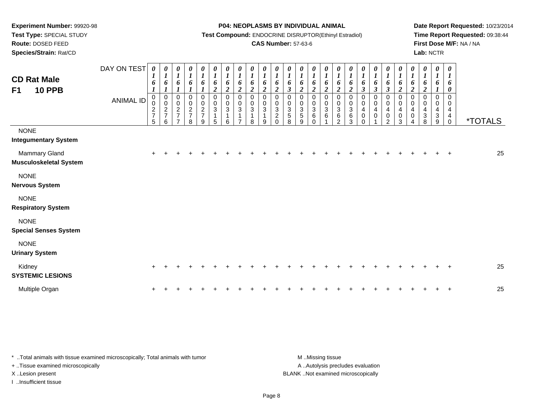**Route:** DOSED FEED

**Species/Strain:** Rat/CD

#### **P04: NEOPLASMS BY INDIVIDUAL ANIMAL**

**Test Compound:** ENDOCRINE DISRUPTOR(Ethinyl Estradiol)

## **CAS Number:** 57-63-6

**Date Report Requested:** 10/23/2014**Time Report Requested:** 09:38:44**First Dose M/F:** NA / NA**Lab:** NCTR

| <b>CD Rat Male</b><br><b>10 PPB</b><br>F <sub>1</sub> | DAY ON TEST<br><b>ANIMAL ID</b> | $\boldsymbol{\theta}$<br>$\boldsymbol{l}$<br>6<br>$\pmb{0}$<br>$\pmb{0}$<br>$\frac{2}{7}$<br>5 | 0<br>$\boldsymbol{l}$<br>6<br>$\pmb{0}$<br>$\pmb{0}$<br>$\frac{2}{7}$<br>6 | 0<br>$\boldsymbol{l}$<br>6<br>$\mathbf 0$<br>$\pmb{0}$<br>$\frac{2}{7}$<br>$\overline{\phantom{a}}$ | 0<br>$\boldsymbol{l}$<br>6<br>$\boldsymbol{l}$<br>$\mathbf 0$<br>$\,0\,$<br>$\frac{2}{7}$<br>8 | $\boldsymbol{\theta}$<br>$\boldsymbol{l}$<br>6<br>$\mathbf 0$<br>$\frac{0}{2}$<br>9 | 0<br>$\boldsymbol{l}$<br>$\boldsymbol{6}$<br>$\overline{2}$<br>$\pmb{0}$<br>$\mathbf 0$<br>3<br>1<br>5 | 0<br>$\boldsymbol{l}$<br>6<br>$\overline{2}$<br>$\mathbf 0$<br>$\pmb{0}$<br>$\mathbf{3}$<br>6 | $\boldsymbol{\theta}$<br>$\boldsymbol{I}$<br>6<br>$\boldsymbol{2}$<br>$\pmb{0}$<br>$\pmb{0}$<br>$\ensuremath{\mathsf{3}}$<br>$\mathbf{1}$<br>$\overline{7}$ | 0<br>$\boldsymbol{l}$<br>6<br>$\boldsymbol{2}$<br>$\mathbf 0$<br>0<br>3<br>1<br>8 | $\boldsymbol{\theta}$<br>$\boldsymbol{l}$<br>$\boldsymbol{6}$<br>$\boldsymbol{2}$<br>$\mathbf 0$<br>0<br>$\sqrt{3}$<br>$\overline{\mathbf{1}}$<br>9 | $\pmb{\theta}$<br>$\boldsymbol{l}$<br>6<br>$\boldsymbol{2}$<br>$\mathbf 0$<br>0<br>$\mathbf{3}$<br>$\overline{2}$<br>$\Omega$ | 0<br>$\boldsymbol{l}$<br>6<br>$\mathfrak{z}$<br>$\mathbf 0$<br>0<br>$\mathbf{3}$<br>5<br>8 | $\boldsymbol{\theta}$<br>$\boldsymbol{l}$<br>6<br>$\overline{2}$<br>0<br>$\mathbf 0$<br>$\frac{3}{5}$<br>9 | $\pmb{\theta}$<br>$\boldsymbol{l}$<br>6<br>$\overline{2}$<br>0<br>$\mathbf 0$<br>$\ensuremath{\mathsf{3}}$<br>6<br>$\Omega$ | 0<br>$\boldsymbol{l}$<br>6<br>$\overline{2}$<br>$\pmb{0}$<br>$\pmb{0}$<br>$\mathbf{3}$<br>6 | 0<br>$\boldsymbol{l}$<br>6<br>$\overline{\mathbf{c}}$<br>$\mathbf 0$<br>$\,0\,$<br>$\ensuremath{\mathsf{3}}$<br>$\,6\,$<br>$\mathcal{P}$ | $\boldsymbol{\theta}$<br>$\boldsymbol{l}$<br>$\boldsymbol{6}$<br>$\boldsymbol{2}$<br>$\mathbf 0$<br>$\boldsymbol{0}$<br>$\ensuremath{\mathsf{3}}$<br>$\,6$<br>3 | 0<br>$\boldsymbol{l}$<br>6<br>$\boldsymbol{\beta}$<br>0<br>0<br>4<br>$\mathbf 0$<br>$\Omega$ | $\boldsymbol{\theta}$<br>$\boldsymbol{l}$<br>6<br>$\boldsymbol{\beta}$<br>$\pmb{0}$<br>$\pmb{0}$<br>4<br>$\pmb{0}$ | 0<br>$\boldsymbol{l}$<br>6<br>$\mathbf{3}$<br>0<br>$\mathbf 0$<br>$\overline{4}$<br>0<br>$\mathcal{P}$ | $\pmb{\theta}$<br>$\boldsymbol{l}$<br>$\boldsymbol{6}$<br>$\overline{c}$<br>0<br>$\pmb{0}$<br>$\overline{4}$<br>$\pmb{0}$<br>3 | 0<br>$\boldsymbol{l}$<br>6<br>$\overline{2}$<br>$\mathbf 0$<br>$\mathbf 0$<br>4<br>$\mathbf 0$ | 0<br>$\boldsymbol{l}$<br>6<br>$\boldsymbol{2}$<br>$\pmb{0}$<br>$\pmb{0}$<br>$\overline{4}$<br>$\ensuremath{\mathsf{3}}$<br>8 | $\boldsymbol{\theta}$<br>$\boldsymbol{l}$<br>$\boldsymbol{6}$<br>$\mathbf 0$<br>0<br>$\overline{4}$<br>$\mathbf 3$<br>9 | $\boldsymbol{\theta}$<br>$\boldsymbol{I}$<br>6<br>0<br>$\Omega$<br>0<br>$\overline{4}$<br>4<br>$\mathbf 0$ | <i><b>*TOTALS</b></i> |
|-------------------------------------------------------|---------------------------------|------------------------------------------------------------------------------------------------|----------------------------------------------------------------------------|-----------------------------------------------------------------------------------------------------|------------------------------------------------------------------------------------------------|-------------------------------------------------------------------------------------|--------------------------------------------------------------------------------------------------------|-----------------------------------------------------------------------------------------------|-------------------------------------------------------------------------------------------------------------------------------------------------------------|-----------------------------------------------------------------------------------|-----------------------------------------------------------------------------------------------------------------------------------------------------|-------------------------------------------------------------------------------------------------------------------------------|--------------------------------------------------------------------------------------------|------------------------------------------------------------------------------------------------------------|-----------------------------------------------------------------------------------------------------------------------------|---------------------------------------------------------------------------------------------|------------------------------------------------------------------------------------------------------------------------------------------|-----------------------------------------------------------------------------------------------------------------------------------------------------------------|----------------------------------------------------------------------------------------------|--------------------------------------------------------------------------------------------------------------------|--------------------------------------------------------------------------------------------------------|--------------------------------------------------------------------------------------------------------------------------------|------------------------------------------------------------------------------------------------|------------------------------------------------------------------------------------------------------------------------------|-------------------------------------------------------------------------------------------------------------------------|------------------------------------------------------------------------------------------------------------|-----------------------|
| <b>NONE</b><br><b>Integumentary System</b>            |                                 |                                                                                                |                                                                            |                                                                                                     |                                                                                                |                                                                                     |                                                                                                        |                                                                                               |                                                                                                                                                             |                                                                                   |                                                                                                                                                     |                                                                                                                               |                                                                                            |                                                                                                            |                                                                                                                             |                                                                                             |                                                                                                                                          |                                                                                                                                                                 |                                                                                              |                                                                                                                    |                                                                                                        |                                                                                                                                |                                                                                                |                                                                                                                              |                                                                                                                         |                                                                                                            |                       |
| Mammary Gland<br><b>Musculoskeletal System</b>        |                                 |                                                                                                |                                                                            |                                                                                                     |                                                                                                |                                                                                     |                                                                                                        |                                                                                               |                                                                                                                                                             |                                                                                   |                                                                                                                                                     |                                                                                                                               |                                                                                            |                                                                                                            |                                                                                                                             |                                                                                             |                                                                                                                                          |                                                                                                                                                                 |                                                                                              |                                                                                                                    |                                                                                                        |                                                                                                                                |                                                                                                |                                                                                                                              |                                                                                                                         |                                                                                                            | 25                    |
| <b>NONE</b><br><b>Nervous System</b>                  |                                 |                                                                                                |                                                                            |                                                                                                     |                                                                                                |                                                                                     |                                                                                                        |                                                                                               |                                                                                                                                                             |                                                                                   |                                                                                                                                                     |                                                                                                                               |                                                                                            |                                                                                                            |                                                                                                                             |                                                                                             |                                                                                                                                          |                                                                                                                                                                 |                                                                                              |                                                                                                                    |                                                                                                        |                                                                                                                                |                                                                                                |                                                                                                                              |                                                                                                                         |                                                                                                            |                       |
| <b>NONE</b><br><b>Respiratory System</b>              |                                 |                                                                                                |                                                                            |                                                                                                     |                                                                                                |                                                                                     |                                                                                                        |                                                                                               |                                                                                                                                                             |                                                                                   |                                                                                                                                                     |                                                                                                                               |                                                                                            |                                                                                                            |                                                                                                                             |                                                                                             |                                                                                                                                          |                                                                                                                                                                 |                                                                                              |                                                                                                                    |                                                                                                        |                                                                                                                                |                                                                                                |                                                                                                                              |                                                                                                                         |                                                                                                            |                       |
| <b>NONE</b><br><b>Special Senses System</b>           |                                 |                                                                                                |                                                                            |                                                                                                     |                                                                                                |                                                                                     |                                                                                                        |                                                                                               |                                                                                                                                                             |                                                                                   |                                                                                                                                                     |                                                                                                                               |                                                                                            |                                                                                                            |                                                                                                                             |                                                                                             |                                                                                                                                          |                                                                                                                                                                 |                                                                                              |                                                                                                                    |                                                                                                        |                                                                                                                                |                                                                                                |                                                                                                                              |                                                                                                                         |                                                                                                            |                       |
| <b>NONE</b><br><b>Urinary System</b>                  |                                 |                                                                                                |                                                                            |                                                                                                     |                                                                                                |                                                                                     |                                                                                                        |                                                                                               |                                                                                                                                                             |                                                                                   |                                                                                                                                                     |                                                                                                                               |                                                                                            |                                                                                                            |                                                                                                                             |                                                                                             |                                                                                                                                          |                                                                                                                                                                 |                                                                                              |                                                                                                                    |                                                                                                        |                                                                                                                                |                                                                                                |                                                                                                                              |                                                                                                                         |                                                                                                            |                       |
| Kidney<br><b>SYSTEMIC LESIONS</b>                     |                                 |                                                                                                |                                                                            |                                                                                                     |                                                                                                |                                                                                     |                                                                                                        |                                                                                               |                                                                                                                                                             |                                                                                   |                                                                                                                                                     |                                                                                                                               |                                                                                            |                                                                                                            |                                                                                                                             |                                                                                             |                                                                                                                                          |                                                                                                                                                                 |                                                                                              |                                                                                                                    |                                                                                                        |                                                                                                                                |                                                                                                |                                                                                                                              |                                                                                                                         | +                                                                                                          | 25                    |
| Multiple Organ                                        |                                 |                                                                                                |                                                                            |                                                                                                     |                                                                                                |                                                                                     |                                                                                                        |                                                                                               |                                                                                                                                                             |                                                                                   |                                                                                                                                                     |                                                                                                                               |                                                                                            |                                                                                                            |                                                                                                                             |                                                                                             |                                                                                                                                          |                                                                                                                                                                 |                                                                                              |                                                                                                                    |                                                                                                        |                                                                                                                                |                                                                                                |                                                                                                                              |                                                                                                                         |                                                                                                            | 25                    |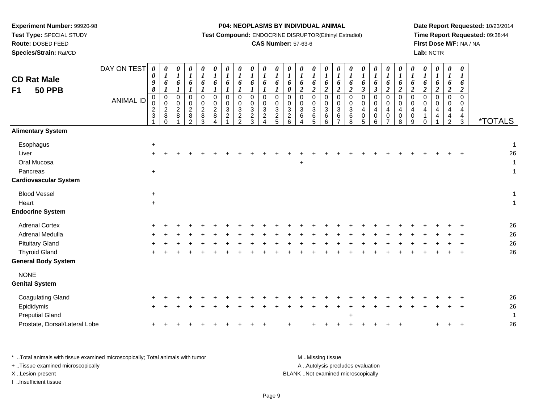**Test Type:** SPECIAL STUDY

**Route:** DOSED FEED

**Species/Strain:** Rat/CD

#### **P04: NEOPLASMS BY INDIVIDUAL ANIMAL**

**Test Compound:** ENDOCRINE DISRUPTOR(Ethinyl Estradiol)

## **CAS Number:** 57-63-6

**Date Report Requested:** 10/23/2014**Time Report Requested:** 09:38:44**First Dose M/F:** NA / NA**Lab:** NCTR

| <b>CD Rat Male</b><br><b>50 PPB</b><br>F <sub>1</sub>                                                                           | DAY ON TEST<br><b>ANIMAL ID</b> | 0<br>$\boldsymbol{\theta}$<br>9<br>$\pmb{8}$<br>0<br>0<br>$\sqrt{2}$<br>$\sqrt{3}$ | 0<br>$\boldsymbol{l}$<br>6<br>$\boldsymbol{l}$<br>0<br>$\mathsf 0$<br>$\overline{2}$<br>$\bf 8$<br>$\Omega$ | 0<br>$\boldsymbol{\mathit{1}}$<br>6<br>$\boldsymbol{l}$<br>$\boldsymbol{0}$<br>$\pmb{0}$<br>$\overline{c}$<br>$\,8\,$ | 0<br>$\boldsymbol{l}$<br>6<br>$\boldsymbol{l}$<br>$\mathbf 0$<br>0<br>$\overline{c}$<br>8<br>$\mathfrak{p}$ | 0<br>$\boldsymbol{l}$<br>6<br>$\boldsymbol{l}$<br>0<br>0<br>$\sqrt{2}$<br>$\bf 8$<br>3 | $\boldsymbol{\theta}$<br>$\bm{l}$<br>6<br>$\mathbf 0$<br>$\Omega$<br>$\overline{c}$<br>8 | 0<br>$\boldsymbol{l}$<br>6<br>$\mathbf 0$<br>0<br>$\mathbf{3}$<br>$\overline{c}$ | 0<br>$\boldsymbol{l}$<br>6<br>$\boldsymbol{l}$<br>$\pmb{0}$<br>$\mathbf 0$<br>$\ensuremath{\mathsf{3}}$<br>$\overline{c}$<br>$\overline{2}$ | $\boldsymbol{\theta}$<br>$\boldsymbol{l}$<br>6<br>$\boldsymbol{l}$<br>$\mathsf 0$<br>$\pmb{0}$<br>$\sqrt{3}$<br>$\sqrt{2}$<br>$\mathbf{3}$ | $\boldsymbol{\theta}$<br>$\boldsymbol{l}$<br>6<br>$\boldsymbol{l}$<br>0<br>0<br>$\ensuremath{\mathsf{3}}$<br>$\overline{c}$<br>4 | $\boldsymbol{\theta}$<br>$\boldsymbol{l}$<br>6<br>$\boldsymbol{l}$<br>$\mathbf 0$<br>$\pmb{0}$<br>$\sqrt{3}$<br>$\frac{2}{5}$ | 0<br>$\boldsymbol{l}$<br>6<br>$\boldsymbol{\theta}$<br>$\mathsf 0$<br>$\mathsf{O}\xspace$<br>$\ensuremath{\mathsf{3}}$<br>$\sqrt{2}$<br>6 | $\boldsymbol{\theta}$<br>$\boldsymbol{l}$<br>6<br>$\boldsymbol{2}$<br>0<br>$\pmb{0}$<br>$\ensuremath{\mathsf{3}}$<br>6<br>4 | 0<br>$\boldsymbol{l}$<br>6<br>$\boldsymbol{2}$<br>$\pmb{0}$<br>0<br>$\mathbf{3}$<br>6<br>5 | $\boldsymbol{\theta}$<br>$\boldsymbol{l}$<br>6<br>$\boldsymbol{2}$<br>$\pmb{0}$<br>$\mathbf 0$<br>$\sqrt{3}$<br>$\,6$<br>6 | $\boldsymbol{\theta}$<br>$\boldsymbol{l}$<br>6<br>$\overline{2}$<br>$\mathbf 0$<br>$\mathbf 0$<br>$\mathbf{3}$<br>6<br>$\overline{ }$ | $\boldsymbol{l}$<br>6<br>$\boldsymbol{2}$<br>$\mathbf 0$<br>$\Omega$<br>$\mathbf{3}$<br>6<br>8 | 0<br>$\boldsymbol{I}$<br>6<br>$\boldsymbol{\beta}$<br>$\mathbf 0$<br>$\mathbf 0$<br>4<br>$\pmb{0}$<br>5 | 0<br>$\boldsymbol{l}$<br>6<br>$\boldsymbol{\beta}$<br>$\pmb{0}$<br>0<br>$\overline{\mathbf{4}}$<br>$\mathbf 0$<br>6 | $\pmb{\theta}$<br>$\boldsymbol{l}$<br>6<br>$\overline{2}$<br>$\mathbf 0$<br>$\mathbf 0$<br>$\overline{4}$<br>$\mathbf 0$<br>$\overline{7}$ | 0<br>$\boldsymbol{l}$<br>6<br>$\boldsymbol{2}$<br>$\mathbf 0$<br>0<br>4<br>$\,0\,$<br>8 | 0<br>$\boldsymbol{l}$<br>6<br>$\boldsymbol{2}$<br>$\pmb{0}$<br>$\mathbf 0$<br>4<br>$\mathbf 0$<br>9 | 0<br>$\boldsymbol{l}$<br>6<br>$\overline{2}$<br>$\mathbf 0$<br>$\Omega$<br>4<br>1<br>$\Omega$ | 0<br>$\boldsymbol{l}$<br>6<br>$\boldsymbol{2}$<br>$\mathbf 0$<br>$\mathbf 0$<br>4<br>4 | $\boldsymbol{\theta}$<br>$\boldsymbol{l}$<br>6<br>$\boldsymbol{2}$<br>$\pmb{0}$<br>0<br>4<br>$\overline{4}$<br>$\overline{c}$ | $\boldsymbol{\theta}$<br>$\boldsymbol{l}$<br>6<br>$\boldsymbol{2}$<br>$\pmb{0}$<br>$\mathbf 0$<br>4<br>$\overline{4}$<br>3 | <i><b>*TOTALS</b></i>         |
|---------------------------------------------------------------------------------------------------------------------------------|---------------------------------|------------------------------------------------------------------------------------|-------------------------------------------------------------------------------------------------------------|-----------------------------------------------------------------------------------------------------------------------|-------------------------------------------------------------------------------------------------------------|----------------------------------------------------------------------------------------|------------------------------------------------------------------------------------------|----------------------------------------------------------------------------------|---------------------------------------------------------------------------------------------------------------------------------------------|--------------------------------------------------------------------------------------------------------------------------------------------|----------------------------------------------------------------------------------------------------------------------------------|-------------------------------------------------------------------------------------------------------------------------------|-------------------------------------------------------------------------------------------------------------------------------------------|-----------------------------------------------------------------------------------------------------------------------------|--------------------------------------------------------------------------------------------|----------------------------------------------------------------------------------------------------------------------------|---------------------------------------------------------------------------------------------------------------------------------------|------------------------------------------------------------------------------------------------|---------------------------------------------------------------------------------------------------------|---------------------------------------------------------------------------------------------------------------------|--------------------------------------------------------------------------------------------------------------------------------------------|-----------------------------------------------------------------------------------------|-----------------------------------------------------------------------------------------------------|-----------------------------------------------------------------------------------------------|----------------------------------------------------------------------------------------|-------------------------------------------------------------------------------------------------------------------------------|----------------------------------------------------------------------------------------------------------------------------|-------------------------------|
| <b>Alimentary System</b>                                                                                                        |                                 |                                                                                    |                                                                                                             |                                                                                                                       |                                                                                                             |                                                                                        |                                                                                          |                                                                                  |                                                                                                                                             |                                                                                                                                            |                                                                                                                                  |                                                                                                                               |                                                                                                                                           |                                                                                                                             |                                                                                            |                                                                                                                            |                                                                                                                                       |                                                                                                |                                                                                                         |                                                                                                                     |                                                                                                                                            |                                                                                         |                                                                                                     |                                                                                               |                                                                                        |                                                                                                                               |                                                                                                                            |                               |
| Esophagus<br>Liver<br>Oral Mucosa<br>Pancreas<br><b>Cardiovascular System</b>                                                   |                                 | $\ddot{}$<br>$+$<br>$\ddot{}$                                                      |                                                                                                             |                                                                                                                       |                                                                                                             |                                                                                        |                                                                                          |                                                                                  |                                                                                                                                             |                                                                                                                                            |                                                                                                                                  |                                                                                                                               |                                                                                                                                           | $\ddot{}$                                                                                                                   |                                                                                            |                                                                                                                            |                                                                                                                                       |                                                                                                |                                                                                                         |                                                                                                                     |                                                                                                                                            |                                                                                         |                                                                                                     |                                                                                               |                                                                                        |                                                                                                                               |                                                                                                                            | 1<br>26<br>1<br>1             |
| <b>Blood Vessel</b><br>Heart                                                                                                    |                                 | +<br>$+$                                                                           |                                                                                                             |                                                                                                                       |                                                                                                             |                                                                                        |                                                                                          |                                                                                  |                                                                                                                                             |                                                                                                                                            |                                                                                                                                  |                                                                                                                               |                                                                                                                                           |                                                                                                                             |                                                                                            |                                                                                                                            |                                                                                                                                       |                                                                                                |                                                                                                         |                                                                                                                     |                                                                                                                                            |                                                                                         |                                                                                                     |                                                                                               |                                                                                        |                                                                                                                               |                                                                                                                            | 1<br>1                        |
| <b>Endocrine System</b>                                                                                                         |                                 |                                                                                    |                                                                                                             |                                                                                                                       |                                                                                                             |                                                                                        |                                                                                          |                                                                                  |                                                                                                                                             |                                                                                                                                            |                                                                                                                                  |                                                                                                                               |                                                                                                                                           |                                                                                                                             |                                                                                            |                                                                                                                            |                                                                                                                                       |                                                                                                |                                                                                                         |                                                                                                                     |                                                                                                                                            |                                                                                         |                                                                                                     |                                                                                               |                                                                                        |                                                                                                                               |                                                                                                                            |                               |
| <b>Adrenal Cortex</b><br><b>Adrenal Medulla</b><br><b>Pituitary Gland</b><br><b>Thyroid Gland</b><br><b>General Body System</b> |                                 |                                                                                    |                                                                                                             |                                                                                                                       |                                                                                                             |                                                                                        |                                                                                          |                                                                                  |                                                                                                                                             |                                                                                                                                            |                                                                                                                                  |                                                                                                                               |                                                                                                                                           |                                                                                                                             |                                                                                            |                                                                                                                            |                                                                                                                                       |                                                                                                |                                                                                                         |                                                                                                                     |                                                                                                                                            |                                                                                         |                                                                                                     |                                                                                               |                                                                                        |                                                                                                                               |                                                                                                                            | 26<br>26<br>26<br>26          |
| <b>NONE</b><br><b>Genital System</b>                                                                                            |                                 |                                                                                    |                                                                                                             |                                                                                                                       |                                                                                                             |                                                                                        |                                                                                          |                                                                                  |                                                                                                                                             |                                                                                                                                            |                                                                                                                                  |                                                                                                                               |                                                                                                                                           |                                                                                                                             |                                                                                            |                                                                                                                            |                                                                                                                                       |                                                                                                |                                                                                                         |                                                                                                                     |                                                                                                                                            |                                                                                         |                                                                                                     |                                                                                               |                                                                                        |                                                                                                                               |                                                                                                                            |                               |
| <b>Coagulating Gland</b><br>Epididymis<br><b>Preputial Gland</b><br>Prostate, Dorsal/Lateral Lobe                               |                                 |                                                                                    |                                                                                                             |                                                                                                                       |                                                                                                             |                                                                                        |                                                                                          |                                                                                  |                                                                                                                                             |                                                                                                                                            |                                                                                                                                  |                                                                                                                               |                                                                                                                                           |                                                                                                                             |                                                                                            |                                                                                                                            |                                                                                                                                       |                                                                                                |                                                                                                         |                                                                                                                     |                                                                                                                                            |                                                                                         |                                                                                                     |                                                                                               | +                                                                                      | ÷.                                                                                                                            | $+$                                                                                                                        | 26<br>26<br>$\mathbf 1$<br>26 |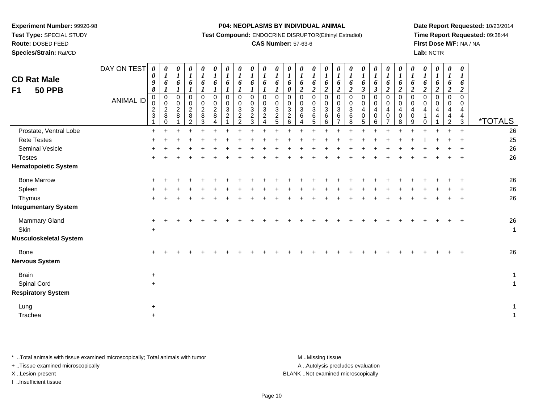**Test Type:** SPECIAL STUDY

**Route:** DOSED FEED

**Species/Strain:** Rat/CD

#### **P04: NEOPLASMS BY INDIVIDUAL ANIMAL**

**Test Compound:** ENDOCRINE DISRUPTOR(Ethinyl Estradiol)

## **CAS Number:** 57-63-6

**Date Report Requested:** 10/23/2014**Time Report Requested:** 09:38:44**First Dose M/F:** NA / NA**Lab:** NCTR

| <b>CD Rat Male</b><br><b>50 PPB</b><br>F <sub>1</sub> | DAY ON TEST<br><b>ANIMAL ID</b> | $\boldsymbol{\theta}$<br>$\pmb{\theta}$<br>9<br>$\pmb{8}$<br>$\mathbf 0$<br>$\mathbf 0$<br>$\frac{2}{3}$ | 0<br>$\boldsymbol{l}$<br>6<br>$\boldsymbol{l}$<br>0<br>$\overline{0}$<br>$\frac{2}{8}$<br>$\Omega$ | 0<br>$\boldsymbol{l}$<br>6<br>$\mathsf 0$<br>$\mathbf 0$<br>$_{\rm 8}^2$ | $\frac{\theta}{1}$<br>6<br>$\boldsymbol{l}$<br>$\Omega$<br>0<br>$\frac{2}{8}$<br>$\overline{2}$ | 0<br>$\boldsymbol{l}$<br>6<br>$\boldsymbol{l}$<br>$\Omega$<br>$\mathbf 0$<br>$\overline{c}$<br>8<br>3 | 0<br>$\boldsymbol{l}$<br>6<br>$\boldsymbol{l}$<br>$\pmb{0}$<br>0<br>$\overline{2}$<br>$\overline{8}$<br>$\boldsymbol{\Lambda}$ | 0<br>$\boldsymbol{l}$<br>6<br>0<br>0<br>3<br>$\overline{c}$ | 0<br>$\boldsymbol{l}$<br>6<br>$\boldsymbol{l}$<br>$\mathbf 0$<br>$\mathbf 0$<br>$\mathbf{3}$<br>$\boldsymbol{2}$<br>$\overline{2}$ | 0<br>$\boldsymbol{l}$<br>6<br>$\Omega$<br>0<br>3<br>$\overline{\mathbf{c}}$<br>3 | $\boldsymbol{l}$<br>6<br>$\Omega$<br>0<br>3<br>$\overline{c}$<br>$\overline{A}$ | 0<br>$\boldsymbol{l}$<br>6<br>$\mathbf 0$<br>$\mathbf 0$<br>$\ensuremath{\mathsf{3}}$<br>$\overline{2}$<br>5 | 0<br>$\boldsymbol{I}$<br>6<br>$\boldsymbol{\theta}$<br>$\pmb{0}$<br>0<br>3<br>$\overline{c}$<br>6 | 0<br>$\overline{\mathbf{I}}$<br>6<br>$\boldsymbol{2}$<br>$\mathsf 0$<br>$\mathsf{O}\xspace$<br>$\mathbf{3}$<br>6<br>$\overline{\mathbf{4}}$ | 0<br>$\boldsymbol{l}$<br>6<br>$\boldsymbol{2}$<br>$\overline{0}$<br>$\mathbf 0$<br>$\sqrt{3}$<br>$\,6$<br>5 | 0<br>$\boldsymbol{l}$<br>6<br>$\boldsymbol{2}$<br>$\Omega$<br>0<br>$\mathbf{3}$<br>6<br>6 | 0<br>$\boldsymbol{l}$<br>6<br>$\boldsymbol{2}$<br>$\mathbf 0$<br>$\mathbf 0$<br>3<br>6<br>$\overline{7}$ | 0<br>$\boldsymbol{l}$<br>6<br>$\boldsymbol{2}$<br>0<br>0<br>3<br>6<br>8 | 0<br>$\boldsymbol{l}$<br>6<br>$\boldsymbol{\beta}$<br>0<br>0<br>4<br>0<br>5 | 0<br>$\boldsymbol{l}$<br>6<br>$\boldsymbol{\beta}$<br>$\mathbf 0$<br>$\mathbf 0$<br>$\overline{4}$<br>$\mathbf 0$<br>6 | 0<br>$\boldsymbol{l}$<br>6<br>$\boldsymbol{2}$<br>$\Omega$<br>0<br>4<br>0<br>$\overline{7}$ | $\boldsymbol{l}$<br>6<br>$\boldsymbol{2}$<br>$\Omega$<br>0<br>4<br>0<br>8 | 0<br>$\boldsymbol{l}$<br>6<br>$\boldsymbol{2}$<br>$\mathbf 0$<br>0<br>4<br>0<br>9 | 0<br>$\boldsymbol{l}$<br>6<br>$\boldsymbol{2}$<br>$\mathbf 0$<br>0<br>4<br>1<br>$\Omega$ | 0<br>$\boldsymbol{l}$<br>6<br>$\overline{2}$<br>$\Omega$<br>0<br>4<br>4 | 0<br>$\boldsymbol{l}$<br>6<br>$\boldsymbol{2}$<br>$\mathbf 0$<br>0<br>4<br>$\overline{4}$<br>2 | 0<br>$\boldsymbol{l}$<br>6<br>$\overline{2}$<br>$\Omega$<br>$\Omega$<br>4<br>$\frac{4}{3}$ | <i><b>*TOTALS</b></i> |
|-------------------------------------------------------|---------------------------------|----------------------------------------------------------------------------------------------------------|----------------------------------------------------------------------------------------------------|--------------------------------------------------------------------------|-------------------------------------------------------------------------------------------------|-------------------------------------------------------------------------------------------------------|--------------------------------------------------------------------------------------------------------------------------------|-------------------------------------------------------------|------------------------------------------------------------------------------------------------------------------------------------|----------------------------------------------------------------------------------|---------------------------------------------------------------------------------|--------------------------------------------------------------------------------------------------------------|---------------------------------------------------------------------------------------------------|---------------------------------------------------------------------------------------------------------------------------------------------|-------------------------------------------------------------------------------------------------------------|-------------------------------------------------------------------------------------------|----------------------------------------------------------------------------------------------------------|-------------------------------------------------------------------------|-----------------------------------------------------------------------------|------------------------------------------------------------------------------------------------------------------------|---------------------------------------------------------------------------------------------|---------------------------------------------------------------------------|-----------------------------------------------------------------------------------|------------------------------------------------------------------------------------------|-------------------------------------------------------------------------|------------------------------------------------------------------------------------------------|--------------------------------------------------------------------------------------------|-----------------------|
| Prostate, Ventral Lobe                                |                                 | $\ddot{}$                                                                                                |                                                                                                    |                                                                          |                                                                                                 |                                                                                                       |                                                                                                                                |                                                             |                                                                                                                                    |                                                                                  |                                                                                 |                                                                                                              |                                                                                                   |                                                                                                                                             |                                                                                                             |                                                                                           |                                                                                                          |                                                                         |                                                                             |                                                                                                                        |                                                                                             |                                                                           |                                                                                   |                                                                                          |                                                                         | $\ddot{}$                                                                                      | $\ddot{}$                                                                                  | 26                    |
| <b>Rete Testes</b>                                    |                                 |                                                                                                          |                                                                                                    |                                                                          |                                                                                                 |                                                                                                       |                                                                                                                                |                                                             |                                                                                                                                    |                                                                                  |                                                                                 |                                                                                                              |                                                                                                   |                                                                                                                                             |                                                                                                             |                                                                                           |                                                                                                          |                                                                         |                                                                             |                                                                                                                        |                                                                                             |                                                                           |                                                                                   |                                                                                          |                                                                         |                                                                                                |                                                                                            | 25                    |
| Seminal Vesicle                                       |                                 |                                                                                                          |                                                                                                    |                                                                          |                                                                                                 |                                                                                                       |                                                                                                                                |                                                             |                                                                                                                                    |                                                                                  |                                                                                 |                                                                                                              |                                                                                                   |                                                                                                                                             |                                                                                                             |                                                                                           |                                                                                                          |                                                                         |                                                                             |                                                                                                                        |                                                                                             |                                                                           |                                                                                   |                                                                                          |                                                                         |                                                                                                |                                                                                            | 26                    |
| <b>Testes</b>                                         |                                 |                                                                                                          |                                                                                                    |                                                                          |                                                                                                 |                                                                                                       |                                                                                                                                |                                                             |                                                                                                                                    |                                                                                  |                                                                                 |                                                                                                              |                                                                                                   |                                                                                                                                             |                                                                                                             |                                                                                           |                                                                                                          |                                                                         |                                                                             |                                                                                                                        |                                                                                             |                                                                           |                                                                                   |                                                                                          |                                                                         |                                                                                                |                                                                                            | 26                    |
| <b>Hematopoietic System</b>                           |                                 |                                                                                                          |                                                                                                    |                                                                          |                                                                                                 |                                                                                                       |                                                                                                                                |                                                             |                                                                                                                                    |                                                                                  |                                                                                 |                                                                                                              |                                                                                                   |                                                                                                                                             |                                                                                                             |                                                                                           |                                                                                                          |                                                                         |                                                                             |                                                                                                                        |                                                                                             |                                                                           |                                                                                   |                                                                                          |                                                                         |                                                                                                |                                                                                            |                       |
| <b>Bone Marrow</b>                                    |                                 |                                                                                                          |                                                                                                    |                                                                          |                                                                                                 |                                                                                                       |                                                                                                                                |                                                             |                                                                                                                                    |                                                                                  |                                                                                 |                                                                                                              |                                                                                                   |                                                                                                                                             |                                                                                                             |                                                                                           |                                                                                                          |                                                                         |                                                                             |                                                                                                                        |                                                                                             |                                                                           |                                                                                   |                                                                                          |                                                                         |                                                                                                |                                                                                            | 26                    |
| Spleen                                                |                                 |                                                                                                          |                                                                                                    |                                                                          |                                                                                                 |                                                                                                       |                                                                                                                                |                                                             |                                                                                                                                    |                                                                                  |                                                                                 |                                                                                                              |                                                                                                   |                                                                                                                                             |                                                                                                             |                                                                                           |                                                                                                          |                                                                         |                                                                             |                                                                                                                        |                                                                                             |                                                                           |                                                                                   |                                                                                          |                                                                         |                                                                                                |                                                                                            | 26                    |
| Thymus                                                |                                 |                                                                                                          |                                                                                                    |                                                                          |                                                                                                 |                                                                                                       |                                                                                                                                |                                                             |                                                                                                                                    |                                                                                  |                                                                                 |                                                                                                              |                                                                                                   |                                                                                                                                             |                                                                                                             |                                                                                           |                                                                                                          |                                                                         |                                                                             |                                                                                                                        |                                                                                             |                                                                           |                                                                                   |                                                                                          |                                                                         |                                                                                                |                                                                                            | 26                    |
| <b>Integumentary System</b>                           |                                 |                                                                                                          |                                                                                                    |                                                                          |                                                                                                 |                                                                                                       |                                                                                                                                |                                                             |                                                                                                                                    |                                                                                  |                                                                                 |                                                                                                              |                                                                                                   |                                                                                                                                             |                                                                                                             |                                                                                           |                                                                                                          |                                                                         |                                                                             |                                                                                                                        |                                                                                             |                                                                           |                                                                                   |                                                                                          |                                                                         |                                                                                                |                                                                                            |                       |
| Mammary Gland                                         |                                 |                                                                                                          |                                                                                                    |                                                                          |                                                                                                 |                                                                                                       |                                                                                                                                |                                                             |                                                                                                                                    |                                                                                  |                                                                                 |                                                                                                              |                                                                                                   |                                                                                                                                             |                                                                                                             |                                                                                           |                                                                                                          |                                                                         |                                                                             |                                                                                                                        |                                                                                             |                                                                           |                                                                                   |                                                                                          |                                                                         |                                                                                                |                                                                                            | 26                    |
| Skin                                                  |                                 | $\ddot{}$                                                                                                |                                                                                                    |                                                                          |                                                                                                 |                                                                                                       |                                                                                                                                |                                                             |                                                                                                                                    |                                                                                  |                                                                                 |                                                                                                              |                                                                                                   |                                                                                                                                             |                                                                                                             |                                                                                           |                                                                                                          |                                                                         |                                                                             |                                                                                                                        |                                                                                             |                                                                           |                                                                                   |                                                                                          |                                                                         |                                                                                                |                                                                                            | $\overline{1}$        |
| <b>Musculoskeletal System</b>                         |                                 |                                                                                                          |                                                                                                    |                                                                          |                                                                                                 |                                                                                                       |                                                                                                                                |                                                             |                                                                                                                                    |                                                                                  |                                                                                 |                                                                                                              |                                                                                                   |                                                                                                                                             |                                                                                                             |                                                                                           |                                                                                                          |                                                                         |                                                                             |                                                                                                                        |                                                                                             |                                                                           |                                                                                   |                                                                                          |                                                                         |                                                                                                |                                                                                            |                       |
| Bone                                                  |                                 | $\pm$                                                                                                    |                                                                                                    |                                                                          |                                                                                                 |                                                                                                       |                                                                                                                                |                                                             |                                                                                                                                    |                                                                                  |                                                                                 |                                                                                                              |                                                                                                   |                                                                                                                                             |                                                                                                             |                                                                                           |                                                                                                          |                                                                         |                                                                             |                                                                                                                        |                                                                                             |                                                                           |                                                                                   |                                                                                          |                                                                         |                                                                                                |                                                                                            | 26                    |
| <b>Nervous System</b>                                 |                                 |                                                                                                          |                                                                                                    |                                                                          |                                                                                                 |                                                                                                       |                                                                                                                                |                                                             |                                                                                                                                    |                                                                                  |                                                                                 |                                                                                                              |                                                                                                   |                                                                                                                                             |                                                                                                             |                                                                                           |                                                                                                          |                                                                         |                                                                             |                                                                                                                        |                                                                                             |                                                                           |                                                                                   |                                                                                          |                                                                         |                                                                                                |                                                                                            |                       |
| <b>Brain</b>                                          |                                 | $\ddot{}$                                                                                                |                                                                                                    |                                                                          |                                                                                                 |                                                                                                       |                                                                                                                                |                                                             |                                                                                                                                    |                                                                                  |                                                                                 |                                                                                                              |                                                                                                   |                                                                                                                                             |                                                                                                             |                                                                                           |                                                                                                          |                                                                         |                                                                             |                                                                                                                        |                                                                                             |                                                                           |                                                                                   |                                                                                          |                                                                         |                                                                                                |                                                                                            | $\overline{1}$        |
| Spinal Cord                                           |                                 | $\ddot{}$                                                                                                |                                                                                                    |                                                                          |                                                                                                 |                                                                                                       |                                                                                                                                |                                                             |                                                                                                                                    |                                                                                  |                                                                                 |                                                                                                              |                                                                                                   |                                                                                                                                             |                                                                                                             |                                                                                           |                                                                                                          |                                                                         |                                                                             |                                                                                                                        |                                                                                             |                                                                           |                                                                                   |                                                                                          |                                                                         |                                                                                                |                                                                                            | $\mathbf{1}$          |
| <b>Respiratory System</b>                             |                                 |                                                                                                          |                                                                                                    |                                                                          |                                                                                                 |                                                                                                       |                                                                                                                                |                                                             |                                                                                                                                    |                                                                                  |                                                                                 |                                                                                                              |                                                                                                   |                                                                                                                                             |                                                                                                             |                                                                                           |                                                                                                          |                                                                         |                                                                             |                                                                                                                        |                                                                                             |                                                                           |                                                                                   |                                                                                          |                                                                         |                                                                                                |                                                                                            |                       |
| Lung                                                  |                                 | $\ddot{}$                                                                                                |                                                                                                    |                                                                          |                                                                                                 |                                                                                                       |                                                                                                                                |                                                             |                                                                                                                                    |                                                                                  |                                                                                 |                                                                                                              |                                                                                                   |                                                                                                                                             |                                                                                                             |                                                                                           |                                                                                                          |                                                                         |                                                                             |                                                                                                                        |                                                                                             |                                                                           |                                                                                   |                                                                                          |                                                                         |                                                                                                |                                                                                            | $\overline{1}$        |
| Trachea                                               |                                 | $\ddot{}$                                                                                                |                                                                                                    |                                                                          |                                                                                                 |                                                                                                       |                                                                                                                                |                                                             |                                                                                                                                    |                                                                                  |                                                                                 |                                                                                                              |                                                                                                   |                                                                                                                                             |                                                                                                             |                                                                                           |                                                                                                          |                                                                         |                                                                             |                                                                                                                        |                                                                                             |                                                                           |                                                                                   |                                                                                          |                                                                         |                                                                                                |                                                                                            | $\overline{1}$        |
|                                                       |                                 |                                                                                                          |                                                                                                    |                                                                          |                                                                                                 |                                                                                                       |                                                                                                                                |                                                             |                                                                                                                                    |                                                                                  |                                                                                 |                                                                                                              |                                                                                                   |                                                                                                                                             |                                                                                                             |                                                                                           |                                                                                                          |                                                                         |                                                                             |                                                                                                                        |                                                                                             |                                                                           |                                                                                   |                                                                                          |                                                                         |                                                                                                |                                                                                            |                       |

\* ..Total animals with tissue examined microscopically; Total animals with tumor **M** . Missing tissue M ..Missing tissue

+ ..Tissue examined microscopically

I ..Insufficient tissue

A ..Autolysis precludes evaluation

X ..Lesion present BLANK ..Not examined microscopically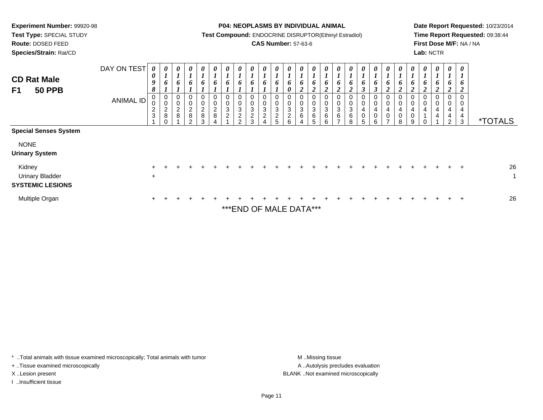**Test Type:** SPECIAL STUDY

**Route:** DOSED FEED

**Species/Strain:** Rat/CD

#### **P04: NEOPLASMS BY INDIVIDUAL ANIMAL**

**Test Compound:** ENDOCRINE DISRUPTOR(Ethinyl Estradiol)

## **CAS Number:** 57-63-6

**Date Report Requested:** 10/23/2014**Time Report Requested:** 09:38:44**First Dose M/F:** NA / NA**Lab:** NCTR

| <b>CD Rat Male</b><br><b>50 PPB</b><br>F1                   | DAY ON TEST<br><b>ANIMAL ID</b> | 0<br>0<br>9<br>8<br>0<br>0<br>$\frac{2}{3}$ | 0<br>$\mathbf{I}$<br>6<br>0<br>$\mathbf 0$<br>$_{8}^{\rm 2}$<br>$\Omega$ | 0<br>$\mathbf{r}$<br>$\mathbf{I}$<br>6<br>0<br>$\pmb{0}$<br>$\frac{2}{8}$ | $\boldsymbol{\theta}$<br>6<br>$\pmb{0}$<br>$\mathbf 0$<br>$\frac{2}{8}$<br>$\Omega$ | 0<br>6<br>0<br>$\pmb{0}$<br>$\frac{2}{8}$<br>3 | U<br>$\boldsymbol{l}$<br>6<br>$\boldsymbol{0}$<br>$\pmb{0}$<br>$\sqrt{2}$<br>8 | 0<br>6<br>0<br>0<br>3<br>$\overline{c}$ | 0<br>6<br>0<br>$\mathbf 0$<br>3<br>$\sqrt{2}$<br><sub>2</sub> | 0<br>6<br>0<br>$\pmb{0}$<br>$\mathbf{3}$<br>$\overline{c}$<br>3 | $\boldsymbol{\theta}$<br>L<br>6<br>0<br>$\mathbf 0$<br>3<br>$\overline{c}$ | $\boldsymbol{\theta}$<br>6<br>0<br>$\pmb{0}$<br>3<br>$\overline{c}$<br>5 | 0<br>6<br>0<br>0<br>0<br>$\ensuremath{\mathsf{3}}$<br>$\overline{\mathbf{c}}$<br>6 | $\boldsymbol{\theta}$<br>$\mathbf{I}$<br>6<br>$\mathbf{\hat{z}}$<br>◢<br>0<br>$\pmb{0}$<br>$\ensuremath{\mathsf{3}}$<br>6 | $\boldsymbol{\theta}$<br>$\boldsymbol{l}$<br>6<br>$\overline{2}$<br>$\boldsymbol{0}$<br>$\pmb{0}$<br>3<br>$\,6$ | 0<br>6<br>0<br>0<br>3<br>6<br>R. | 6<br>ി<br>∠<br>0<br>$\mathbf 0$<br>3<br>6 | $\boldsymbol{\theta}$<br>6<br>0<br>$\pmb{0}$<br>3<br>6<br>$\circ$ | $\boldsymbol{\theta}$<br>6<br>$\rightarrow$<br>0<br>$\pmb{0}$<br>4<br>0<br>5 | 0<br>6<br>0<br>$\mathbf 0$<br>4<br>$\mathbf 0$<br>R. | 0<br>$\bm{o}$<br>0<br>$\pmb{0}$<br>4<br>$\pmb{0}$<br>⇁ | 0<br>6<br>◢<br>0<br>$\pmb{0}$<br>4<br>$\pmb{0}$<br>8 | U<br>$\boldsymbol{l}$<br>$\bm{b}$<br>$\boldsymbol{2}$<br>0<br>$\boldsymbol{0}$<br>4<br>$\pmb{0}$<br>9 | 0<br>6<br>0<br>0<br>4 | 0<br>6<br>$\boldsymbol{2}$<br>0<br>0<br>4<br>$\overline{4}$ | $\boldsymbol{\theta}$<br>6<br>2<br>0<br>$\pmb{0}$<br>$\overline{4}$<br>$\overline{4}$<br>$\mathcal{P}$ | 0<br>$\overline{\phantom{a}}$<br>$\bm{o}$<br>2<br>0<br>0<br>4<br>4<br>3 | <i><b>*TOTALS</b></i> |
|-------------------------------------------------------------|---------------------------------|---------------------------------------------|--------------------------------------------------------------------------|---------------------------------------------------------------------------|-------------------------------------------------------------------------------------|------------------------------------------------|--------------------------------------------------------------------------------|-----------------------------------------|---------------------------------------------------------------|-----------------------------------------------------------------|----------------------------------------------------------------------------|--------------------------------------------------------------------------|------------------------------------------------------------------------------------|---------------------------------------------------------------------------------------------------------------------------|-----------------------------------------------------------------------------------------------------------------|----------------------------------|-------------------------------------------|-------------------------------------------------------------------|------------------------------------------------------------------------------|------------------------------------------------------|--------------------------------------------------------|------------------------------------------------------|-------------------------------------------------------------------------------------------------------|-----------------------|-------------------------------------------------------------|--------------------------------------------------------------------------------------------------------|-------------------------------------------------------------------------|-----------------------|
| <b>Special Senses System</b>                                |                                 |                                             |                                                                          |                                                                           |                                                                                     |                                                |                                                                                |                                         |                                                               |                                                                 |                                                                            |                                                                          |                                                                                    |                                                                                                                           |                                                                                                                 |                                  |                                           |                                                                   |                                                                              |                                                      |                                                        |                                                      |                                                                                                       |                       |                                                             |                                                                                                        |                                                                         |                       |
| <b>NONE</b><br><b>Urinary System</b>                        |                                 |                                             |                                                                          |                                                                           |                                                                                     |                                                |                                                                                |                                         |                                                               |                                                                 |                                                                            |                                                                          |                                                                                    |                                                                                                                           |                                                                                                                 |                                  |                                           |                                                                   |                                                                              |                                                      |                                                        |                                                      |                                                                                                       |                       |                                                             |                                                                                                        |                                                                         |                       |
| Kidney<br><b>Urinary Bladder</b><br><b>SYSTEMIC LESIONS</b> |                                 | $\ddot{}$                                   |                                                                          |                                                                           |                                                                                     |                                                |                                                                                |                                         |                                                               |                                                                 |                                                                            |                                                                          |                                                                                    |                                                                                                                           |                                                                                                                 |                                  |                                           |                                                                   |                                                                              |                                                      |                                                        |                                                      |                                                                                                       |                       |                                                             |                                                                                                        | $\overline{+}$                                                          | 26<br>1               |
| Multiple Organ                                              |                                 |                                             |                                                                          |                                                                           |                                                                                     |                                                |                                                                                |                                         | *** END OF MALE DATA***                                       |                                                                 |                                                                            |                                                                          |                                                                                    |                                                                                                                           |                                                                                                                 |                                  |                                           |                                                                   |                                                                              |                                                      |                                                        |                                                      |                                                                                                       |                       |                                                             |                                                                                                        | $\pm$                                                                   | 26                    |

\* ..Total animals with tissue examined microscopically; Total animals with tumor **M** . Missing tissue M ..Missing tissue

+ ..Tissue examined microscopically

I ..Insufficient tissue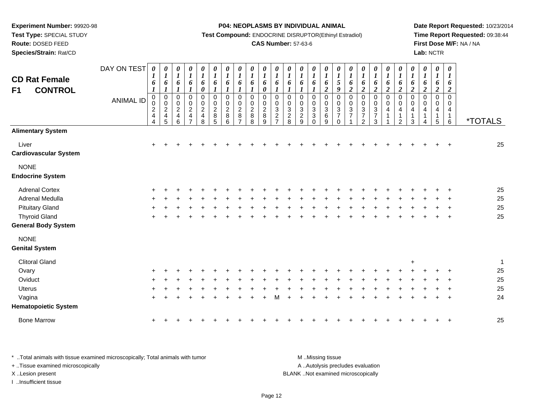**Test Type:** SPECIAL STUDY

**Route:** DOSED FEED

**Species/Strain:** Rat/CD

**P04: NEOPLASMS BY INDIVIDUAL ANIMAL**

**Test Compound:** ENDOCRINE DISRUPTOR(Ethinyl Estradiol)

## **CAS Number:** 57-63-6

**Date Report Requested:** 10/23/2014**Time Report Requested:** 09:38:44**First Dose M/F:** NA / NA**Lab:** NCTR

| <b>CD Rat Female</b><br><b>CONTROL</b><br>F1 | DAY ON TEST<br><b>ANIMAL ID</b> | $\boldsymbol{\theta}$<br>$\boldsymbol{l}$<br>6<br>$\boldsymbol{l}$<br>$\mathbf 0$<br>0<br>$\overline{c}$<br>$\overline{\mathbf{4}}$<br>4 | 0<br>$\boldsymbol{l}$<br>6<br>1<br>$\pmb{0}$<br>$\ddot{\mathbf{0}}$<br>$\frac{2}{4}$<br>5 | 0<br>$\boldsymbol{I}$<br>6<br>0<br>$\mathbf 0$<br>$\boldsymbol{2}$<br>$\overline{\mathbf{4}}$<br>6 | $\boldsymbol{\theta}$<br>$\boldsymbol{l}$<br>6<br>1<br>$\pmb{0}$<br>$\pmb{0}$<br>$\boldsymbol{2}$<br>4 | 0<br>$\boldsymbol{\mathit{1}}$<br>6<br>$\boldsymbol{\theta}$<br>$\boldsymbol{0}$<br>0<br>$\overline{c}$<br>4<br>8 | 0<br>$\boldsymbol{l}$<br>6<br>$\boldsymbol{\mathit{1}}$<br>$\pmb{0}$<br>$\pmb{0}$<br>$\boldsymbol{2}$<br>8<br>5 | $\boldsymbol{\theta}$<br>$\boldsymbol{l}$<br>6<br>$\mathbf 0$<br>0<br>$\overline{c}$<br>8<br>6 | 0<br>$\boldsymbol{l}$<br>6<br>$\mathbf 0$<br>0<br>$\overline{c}$<br>8 | 0<br>$\boldsymbol{l}$<br>6<br>1<br>0<br>0<br>$\overline{c}$<br>8<br>8 | 0<br>$\boldsymbol{l}$<br>6<br>0<br>$\mathbf 0$<br>0<br>$\overline{c}$<br>8<br>9 | 0<br>$\boldsymbol{l}$<br>6<br>0<br>0<br>$\mathbf{3}$<br>$\overline{c}$<br>$\overline{7}$ | 0<br>$\boldsymbol{l}$<br>6<br>$\mathbf 0$<br>0<br>$\mathbf{3}$<br>$\overline{c}$<br>8 | 0<br>$\boldsymbol{l}$<br>6<br>1<br>$\mathbf 0$<br>0<br>$\sqrt{3}$<br>$\overline{c}$<br>9 | 0<br>$\boldsymbol{l}$<br>6<br>$\mathbf{I}$<br>$\,0\,$<br>$\pmb{0}$<br>$\sqrt{3}$<br>$\sqrt{3}$<br>$\pmb{0}$ | 0<br>$\boldsymbol{l}$<br>6<br>$\overline{2}$<br>0<br>0<br>$\mathbf{3}$<br>$\,6\,$<br>$\boldsymbol{9}$ | 0<br>$\boldsymbol{l}$<br>$\mathfrak{s}$<br>9<br>0<br>$\pmb{0}$<br>$\mathbf{3}$<br>$\overline{7}$<br>$\mathbf 0$ | $\boldsymbol{\theta}$<br>$\boldsymbol{l}$<br>6<br>$\boldsymbol{2}$<br>$\mathbf 0$<br>0<br>$\mathbf{3}$<br>$\overline{7}$ | 0<br>$\boldsymbol{l}$<br>6<br>$\boldsymbol{2}$<br>$\pmb{0}$<br>$\begin{smallmatrix}0\0\3\end{smallmatrix}$<br>$\overline{7}$<br>$\overline{2}$ | 0<br>$\boldsymbol{l}$<br>6<br>$\overline{2}$<br>0<br>$\mathbf 0$<br>$\ensuremath{\mathsf{3}}$<br>$\overline{7}$<br>$\mathbf{3}$ | 0<br>$\boldsymbol{l}$<br>6<br>$\overline{2}$<br>$\pmb{0}$<br>$\pmb{0}$<br>$\overline{4}$ | 0<br>$\boldsymbol{I}$<br>6<br>$\boldsymbol{2}$<br>$\pmb{0}$<br>$\pmb{0}$<br>4<br>$\mathbf 1$<br>$\overline{2}$ | 0<br>$\boldsymbol{l}$<br>6<br>$\boldsymbol{2}$<br>$\mathbf 0$<br>0<br>4<br>$\mathbf 1$<br>$\mathbf{3}$ | $\boldsymbol{\theta}$<br>$\boldsymbol{l}$<br>6<br>2<br>0<br>0<br>4<br>$\mathbf{1}$<br>4 | 0<br>$\boldsymbol{l}$<br>6<br>$\boldsymbol{2}$<br>0<br>0<br>4<br>$\mathbf 1$<br>5 | $\boldsymbol{\theta}$<br>$\boldsymbol{\mathit{1}}$<br>6<br>2<br>$\mathbf 0$<br>$\Omega$<br>4<br>$\mathbf{1}$<br>$6\phantom{1}6$ | <i><b>*TOTALS</b></i> |
|----------------------------------------------|---------------------------------|------------------------------------------------------------------------------------------------------------------------------------------|-------------------------------------------------------------------------------------------|----------------------------------------------------------------------------------------------------|--------------------------------------------------------------------------------------------------------|-------------------------------------------------------------------------------------------------------------------|-----------------------------------------------------------------------------------------------------------------|------------------------------------------------------------------------------------------------|-----------------------------------------------------------------------|-----------------------------------------------------------------------|---------------------------------------------------------------------------------|------------------------------------------------------------------------------------------|---------------------------------------------------------------------------------------|------------------------------------------------------------------------------------------|-------------------------------------------------------------------------------------------------------------|-------------------------------------------------------------------------------------------------------|-----------------------------------------------------------------------------------------------------------------|--------------------------------------------------------------------------------------------------------------------------|------------------------------------------------------------------------------------------------------------------------------------------------|---------------------------------------------------------------------------------------------------------------------------------|------------------------------------------------------------------------------------------|----------------------------------------------------------------------------------------------------------------|--------------------------------------------------------------------------------------------------------|-----------------------------------------------------------------------------------------|-----------------------------------------------------------------------------------|---------------------------------------------------------------------------------------------------------------------------------|-----------------------|
| <b>Alimentary System</b>                     |                                 |                                                                                                                                          |                                                                                           |                                                                                                    |                                                                                                        |                                                                                                                   |                                                                                                                 |                                                                                                |                                                                       |                                                                       |                                                                                 |                                                                                          |                                                                                       |                                                                                          |                                                                                                             |                                                                                                       |                                                                                                                 |                                                                                                                          |                                                                                                                                                |                                                                                                                                 |                                                                                          |                                                                                                                |                                                                                                        |                                                                                         |                                                                                   |                                                                                                                                 |                       |
| Liver<br><b>Cardiovascular System</b>        |                                 | $\ddot{}$                                                                                                                                |                                                                                           |                                                                                                    |                                                                                                        |                                                                                                                   |                                                                                                                 |                                                                                                |                                                                       |                                                                       |                                                                                 |                                                                                          |                                                                                       |                                                                                          |                                                                                                             |                                                                                                       |                                                                                                                 |                                                                                                                          |                                                                                                                                                |                                                                                                                                 |                                                                                          |                                                                                                                |                                                                                                        |                                                                                         |                                                                                   | $\ddot{}$                                                                                                                       | 25                    |
| <b>NONE</b><br><b>Endocrine System</b>       |                                 |                                                                                                                                          |                                                                                           |                                                                                                    |                                                                                                        |                                                                                                                   |                                                                                                                 |                                                                                                |                                                                       |                                                                       |                                                                                 |                                                                                          |                                                                                       |                                                                                          |                                                                                                             |                                                                                                       |                                                                                                                 |                                                                                                                          |                                                                                                                                                |                                                                                                                                 |                                                                                          |                                                                                                                |                                                                                                        |                                                                                         |                                                                                   |                                                                                                                                 |                       |
| <b>Adrenal Cortex</b>                        |                                 |                                                                                                                                          |                                                                                           |                                                                                                    |                                                                                                        |                                                                                                                   |                                                                                                                 |                                                                                                |                                                                       |                                                                       |                                                                                 |                                                                                          |                                                                                       |                                                                                          |                                                                                                             |                                                                                                       |                                                                                                                 |                                                                                                                          |                                                                                                                                                |                                                                                                                                 |                                                                                          |                                                                                                                |                                                                                                        |                                                                                         |                                                                                   |                                                                                                                                 | 25                    |
| Adrenal Medulla                              |                                 |                                                                                                                                          |                                                                                           |                                                                                                    |                                                                                                        |                                                                                                                   |                                                                                                                 |                                                                                                |                                                                       |                                                                       |                                                                                 |                                                                                          |                                                                                       |                                                                                          |                                                                                                             |                                                                                                       |                                                                                                                 |                                                                                                                          |                                                                                                                                                |                                                                                                                                 |                                                                                          |                                                                                                                |                                                                                                        |                                                                                         |                                                                                   |                                                                                                                                 | 25                    |
| <b>Pituitary Gland</b>                       |                                 |                                                                                                                                          |                                                                                           |                                                                                                    |                                                                                                        |                                                                                                                   |                                                                                                                 |                                                                                                |                                                                       |                                                                       |                                                                                 |                                                                                          |                                                                                       |                                                                                          |                                                                                                             |                                                                                                       |                                                                                                                 |                                                                                                                          |                                                                                                                                                |                                                                                                                                 |                                                                                          |                                                                                                                |                                                                                                        |                                                                                         |                                                                                   |                                                                                                                                 | 25                    |
| <b>Thyroid Gland</b>                         |                                 |                                                                                                                                          |                                                                                           |                                                                                                    |                                                                                                        |                                                                                                                   |                                                                                                                 |                                                                                                |                                                                       |                                                                       |                                                                                 |                                                                                          |                                                                                       |                                                                                          |                                                                                                             |                                                                                                       |                                                                                                                 |                                                                                                                          |                                                                                                                                                |                                                                                                                                 |                                                                                          |                                                                                                                |                                                                                                        |                                                                                         |                                                                                   |                                                                                                                                 | 25                    |
| <b>General Body System</b>                   |                                 |                                                                                                                                          |                                                                                           |                                                                                                    |                                                                                                        |                                                                                                                   |                                                                                                                 |                                                                                                |                                                                       |                                                                       |                                                                                 |                                                                                          |                                                                                       |                                                                                          |                                                                                                             |                                                                                                       |                                                                                                                 |                                                                                                                          |                                                                                                                                                |                                                                                                                                 |                                                                                          |                                                                                                                |                                                                                                        |                                                                                         |                                                                                   |                                                                                                                                 |                       |
| <b>NONE</b>                                  |                                 |                                                                                                                                          |                                                                                           |                                                                                                    |                                                                                                        |                                                                                                                   |                                                                                                                 |                                                                                                |                                                                       |                                                                       |                                                                                 |                                                                                          |                                                                                       |                                                                                          |                                                                                                             |                                                                                                       |                                                                                                                 |                                                                                                                          |                                                                                                                                                |                                                                                                                                 |                                                                                          |                                                                                                                |                                                                                                        |                                                                                         |                                                                                   |                                                                                                                                 |                       |
| <b>Genital System</b>                        |                                 |                                                                                                                                          |                                                                                           |                                                                                                    |                                                                                                        |                                                                                                                   |                                                                                                                 |                                                                                                |                                                                       |                                                                       |                                                                                 |                                                                                          |                                                                                       |                                                                                          |                                                                                                             |                                                                                                       |                                                                                                                 |                                                                                                                          |                                                                                                                                                |                                                                                                                                 |                                                                                          |                                                                                                                |                                                                                                        |                                                                                         |                                                                                   |                                                                                                                                 |                       |
| <b>Clitoral Gland</b>                        |                                 |                                                                                                                                          |                                                                                           |                                                                                                    |                                                                                                        |                                                                                                                   |                                                                                                                 |                                                                                                |                                                                       |                                                                       |                                                                                 |                                                                                          |                                                                                       |                                                                                          |                                                                                                             |                                                                                                       |                                                                                                                 |                                                                                                                          |                                                                                                                                                |                                                                                                                                 |                                                                                          |                                                                                                                | $\ddot{}$                                                                                              |                                                                                         |                                                                                   |                                                                                                                                 | $\overline{1}$        |
| Ovary                                        |                                 |                                                                                                                                          |                                                                                           |                                                                                                    |                                                                                                        |                                                                                                                   |                                                                                                                 |                                                                                                |                                                                       |                                                                       |                                                                                 |                                                                                          |                                                                                       |                                                                                          |                                                                                                             |                                                                                                       |                                                                                                                 |                                                                                                                          |                                                                                                                                                |                                                                                                                                 |                                                                                          |                                                                                                                |                                                                                                        |                                                                                         |                                                                                   |                                                                                                                                 | 25                    |
| Oviduct                                      |                                 |                                                                                                                                          |                                                                                           |                                                                                                    |                                                                                                        |                                                                                                                   |                                                                                                                 |                                                                                                |                                                                       |                                                                       |                                                                                 |                                                                                          |                                                                                       |                                                                                          |                                                                                                             |                                                                                                       |                                                                                                                 |                                                                                                                          |                                                                                                                                                |                                                                                                                                 |                                                                                          |                                                                                                                |                                                                                                        |                                                                                         |                                                                                   |                                                                                                                                 | 25                    |
| <b>Uterus</b>                                |                                 |                                                                                                                                          |                                                                                           |                                                                                                    |                                                                                                        |                                                                                                                   |                                                                                                                 |                                                                                                |                                                                       |                                                                       |                                                                                 |                                                                                          |                                                                                       |                                                                                          |                                                                                                             |                                                                                                       |                                                                                                                 |                                                                                                                          |                                                                                                                                                |                                                                                                                                 |                                                                                          |                                                                                                                |                                                                                                        |                                                                                         |                                                                                   |                                                                                                                                 | 25                    |
| Vagina                                       |                                 |                                                                                                                                          |                                                                                           |                                                                                                    |                                                                                                        |                                                                                                                   |                                                                                                                 |                                                                                                |                                                                       |                                                                       |                                                                                 | м                                                                                        |                                                                                       |                                                                                          |                                                                                                             |                                                                                                       |                                                                                                                 |                                                                                                                          |                                                                                                                                                |                                                                                                                                 |                                                                                          |                                                                                                                |                                                                                                        |                                                                                         |                                                                                   |                                                                                                                                 | 24                    |
| <b>Hematopoietic System</b>                  |                                 |                                                                                                                                          |                                                                                           |                                                                                                    |                                                                                                        |                                                                                                                   |                                                                                                                 |                                                                                                |                                                                       |                                                                       |                                                                                 |                                                                                          |                                                                                       |                                                                                          |                                                                                                             |                                                                                                       |                                                                                                                 |                                                                                                                          |                                                                                                                                                |                                                                                                                                 |                                                                                          |                                                                                                                |                                                                                                        |                                                                                         |                                                                                   |                                                                                                                                 |                       |
| <b>Bone Marrow</b>                           |                                 |                                                                                                                                          |                                                                                           |                                                                                                    |                                                                                                        |                                                                                                                   |                                                                                                                 |                                                                                                |                                                                       |                                                                       |                                                                                 |                                                                                          |                                                                                       |                                                                                          |                                                                                                             |                                                                                                       |                                                                                                                 |                                                                                                                          |                                                                                                                                                |                                                                                                                                 |                                                                                          |                                                                                                                |                                                                                                        |                                                                                         |                                                                                   |                                                                                                                                 | 25                    |
|                                              |                                 |                                                                                                                                          |                                                                                           |                                                                                                    |                                                                                                        |                                                                                                                   |                                                                                                                 |                                                                                                |                                                                       |                                                                       |                                                                                 |                                                                                          |                                                                                       |                                                                                          |                                                                                                             |                                                                                                       |                                                                                                                 |                                                                                                                          |                                                                                                                                                |                                                                                                                                 |                                                                                          |                                                                                                                |                                                                                                        |                                                                                         |                                                                                   |                                                                                                                                 |                       |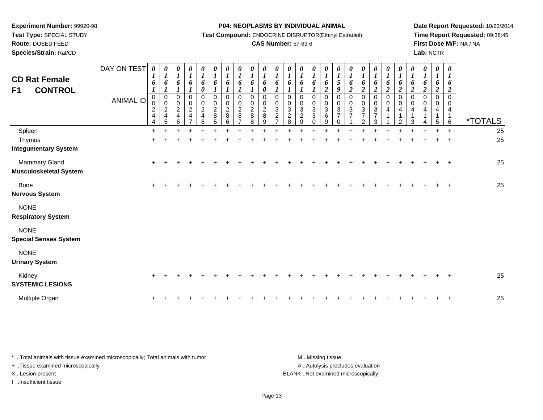**Test Type:** SPECIAL STUDY

# **Route:** DOSED FEED

**Species/Strain:** Rat/CD

#### **P04: NEOPLASMS BY INDIVIDUAL ANIMAL**

**Test Compound:** ENDOCRINE DISRUPTOR(Ethinyl Estradiol)

## **CAS Number:** 57-63-6

**Date Report Requested:** 10/23/2014**Time Report Requested:** 09:38:45**First Dose M/F:** NA / NA**Lab:** NCTR

| <b>CD Rat Female</b><br><b>CONTROL</b><br>F <sub>1</sub> | DAY ON TEST<br><b>ANIMAL ID</b> | $\theta$<br>1<br>6<br>$\boldsymbol{l}$<br>0<br>0<br>$\overline{c}$<br>$\overline{\mathbf{4}}$<br>4 | $\boldsymbol{\theta}$<br>$\boldsymbol{l}$<br>6<br>$\boldsymbol{l}$<br>0<br>$\pmb{0}$<br>$\boldsymbol{2}$<br>$\overline{\mathbf{4}}$<br>$\overline{5}$ | $\boldsymbol{\theta}$<br>1<br>6<br>0<br>$\pmb{0}$<br>$\boldsymbol{2}$<br>$\overline{\mathbf{4}}$<br>6 | $\frac{\boldsymbol{\theta}}{\boldsymbol{I}}$<br>6<br>0<br>$\mathsf{O}$<br>$\overline{2}$<br>$\overline{4}$<br>$\overline{7}$ | 0<br>$\boldsymbol{l}$<br>6<br>0<br>0<br>$\pmb{0}$<br>$\overline{c}$<br>$\overline{\mathbf{4}}$<br>8 | $\boldsymbol{\theta}$<br>$\boldsymbol{l}$<br>6<br>$\mathbf 0$<br>$\mathbf 0$<br>$\overline{c}$<br>$\bf 8$<br>$\overline{5}$ | 0<br>$\boldsymbol{l}$<br>6<br>0<br>0<br>$\overline{c}$<br>8<br>6 | 0<br>$\boldsymbol{l}$<br>6<br>$\Omega$<br>$\mathbf 0$<br>$\overline{c}$<br>8 | $\boldsymbol{\theta}$<br>$\boldsymbol{l}$<br>6<br>$\boldsymbol{l}$<br>$\Omega$<br>$\mathbf 0$<br>$\overline{2}$<br>8<br>8 | $\boldsymbol{\theta}$<br>6<br>$\boldsymbol{\theta}$<br>$\mathbf 0$<br>$\mathbf 0$<br>$\sqrt{2}$<br>$\bf 8$<br>9 | 0<br>$\boldsymbol{l}$<br>6<br>0<br>0<br>3<br>$\overline{c}$<br>$\overline{ }$ | 0<br>$\boldsymbol{l}$<br>6<br>0<br>$\pmb{0}$<br>$\ensuremath{\mathsf{3}}$<br>$_{\rm 8}^2$ | $\boldsymbol{\theta}$<br>$\boldsymbol{l}$<br>6<br>$\Omega$<br>$\mathbf 0$<br>$\sqrt{3}$<br>$\sqrt{2}$<br>$\boldsymbol{9}$ | 0<br>$\boldsymbol{l}$<br>6<br>0<br>0<br>$\ensuremath{\mathsf{3}}$<br>3<br>0 | 0<br>$\boldsymbol{l}$<br>6<br>$\boldsymbol{2}$<br>0<br>0<br>$\sqrt{3}$<br>6<br>9 | $\boldsymbol{\theta}$<br>1<br>5<br>9<br>0<br>$\mathbf 0$<br>3<br>7 | 0<br>6<br>$\boldsymbol{2}$<br>0<br>$\mathbf 0$<br>$\sqrt{3}$<br>$\overline{ }$ | $\frac{\theta}{I}$<br>6<br>$\overline{2}$<br>0<br>$\mathbf 0$<br>$\ensuremath{\mathsf{3}}$<br>$\overline{7}$<br>$\overline{2}$ | 0<br>$\boldsymbol{l}$<br>6<br>$\boldsymbol{2}$<br>0<br>$\pmb{0}$<br>$\ensuremath{\mathsf{3}}$<br>$\overline{7}$<br>3 | 0<br>$\boldsymbol{l}$<br>6<br>$\overline{2}$<br>$\Omega$<br>$\mathbf 0$<br>$\overline{4}$<br>1 | 0<br>$\boldsymbol{l}$<br>6<br>$\overline{2}$<br>$\Omega$<br>$\mathbf 0$<br>4<br>2 | 0<br>$\boldsymbol{l}$<br>6<br>2<br>$\Omega$<br>0<br>4<br>3 | $\boldsymbol{\theta}$<br>$\boldsymbol{l}$<br>6<br>$\overline{c}$<br>$\Omega$<br>$\Omega$<br>4 | 0<br>6<br>$\boldsymbol{2}$<br>$\pmb{0}$<br>$\mathbf 0$<br>4<br>5 | $\boldsymbol{\theta}$<br>$\boldsymbol{l}$<br>6<br>$\overline{\mathbf{c}}$<br>$\Omega$<br>0<br>4<br>1<br>$6\phantom{1}$ | <i><b>*TOTALS</b></i> |
|----------------------------------------------------------|---------------------------------|----------------------------------------------------------------------------------------------------|-------------------------------------------------------------------------------------------------------------------------------------------------------|-------------------------------------------------------------------------------------------------------|------------------------------------------------------------------------------------------------------------------------------|-----------------------------------------------------------------------------------------------------|-----------------------------------------------------------------------------------------------------------------------------|------------------------------------------------------------------|------------------------------------------------------------------------------|---------------------------------------------------------------------------------------------------------------------------|-----------------------------------------------------------------------------------------------------------------|-------------------------------------------------------------------------------|-------------------------------------------------------------------------------------------|---------------------------------------------------------------------------------------------------------------------------|-----------------------------------------------------------------------------|----------------------------------------------------------------------------------|--------------------------------------------------------------------|--------------------------------------------------------------------------------|--------------------------------------------------------------------------------------------------------------------------------|----------------------------------------------------------------------------------------------------------------------|------------------------------------------------------------------------------------------------|-----------------------------------------------------------------------------------|------------------------------------------------------------|-----------------------------------------------------------------------------------------------|------------------------------------------------------------------|------------------------------------------------------------------------------------------------------------------------|-----------------------|
| Spleen                                                   |                                 | $\ddot{}$                                                                                          |                                                                                                                                                       |                                                                                                       |                                                                                                                              |                                                                                                     |                                                                                                                             |                                                                  |                                                                              |                                                                                                                           |                                                                                                                 |                                                                               |                                                                                           |                                                                                                                           |                                                                             |                                                                                  |                                                                    |                                                                                |                                                                                                                                |                                                                                                                      |                                                                                                |                                                                                   |                                                            |                                                                                               |                                                                  | $\ddot{}$                                                                                                              | 25                    |
| Thymus                                                   |                                 | $\ddot{}$                                                                                          |                                                                                                                                                       |                                                                                                       |                                                                                                                              |                                                                                                     |                                                                                                                             |                                                                  |                                                                              |                                                                                                                           |                                                                                                                 |                                                                               |                                                                                           |                                                                                                                           |                                                                             |                                                                                  |                                                                    |                                                                                |                                                                                                                                |                                                                                                                      |                                                                                                |                                                                                   |                                                            |                                                                                               |                                                                  |                                                                                                                        | 25                    |
| <b>Integumentary System</b>                              |                                 |                                                                                                    |                                                                                                                                                       |                                                                                                       |                                                                                                                              |                                                                                                     |                                                                                                                             |                                                                  |                                                                              |                                                                                                                           |                                                                                                                 |                                                                               |                                                                                           |                                                                                                                           |                                                                             |                                                                                  |                                                                    |                                                                                |                                                                                                                                |                                                                                                                      |                                                                                                |                                                                                   |                                                            |                                                                                               |                                                                  |                                                                                                                        |                       |
| Mammary Gland                                            |                                 |                                                                                                    |                                                                                                                                                       |                                                                                                       |                                                                                                                              |                                                                                                     |                                                                                                                             |                                                                  |                                                                              |                                                                                                                           |                                                                                                                 |                                                                               |                                                                                           |                                                                                                                           |                                                                             |                                                                                  |                                                                    |                                                                                |                                                                                                                                |                                                                                                                      |                                                                                                |                                                                                   |                                                            |                                                                                               |                                                                  | $\overline{+}$                                                                                                         | 25                    |
| <b>Musculoskeletal System</b>                            |                                 |                                                                                                    |                                                                                                                                                       |                                                                                                       |                                                                                                                              |                                                                                                     |                                                                                                                             |                                                                  |                                                                              |                                                                                                                           |                                                                                                                 |                                                                               |                                                                                           |                                                                                                                           |                                                                             |                                                                                  |                                                                    |                                                                                |                                                                                                                                |                                                                                                                      |                                                                                                |                                                                                   |                                                            |                                                                                               |                                                                  |                                                                                                                        |                       |
| Bone<br><b>Nervous System</b>                            |                                 |                                                                                                    |                                                                                                                                                       |                                                                                                       |                                                                                                                              |                                                                                                     |                                                                                                                             |                                                                  |                                                                              |                                                                                                                           |                                                                                                                 |                                                                               |                                                                                           |                                                                                                                           |                                                                             |                                                                                  |                                                                    |                                                                                |                                                                                                                                |                                                                                                                      |                                                                                                |                                                                                   |                                                            |                                                                                               |                                                                  |                                                                                                                        | 25                    |
| <b>NONE</b><br><b>Respiratory System</b>                 |                                 |                                                                                                    |                                                                                                                                                       |                                                                                                       |                                                                                                                              |                                                                                                     |                                                                                                                             |                                                                  |                                                                              |                                                                                                                           |                                                                                                                 |                                                                               |                                                                                           |                                                                                                                           |                                                                             |                                                                                  |                                                                    |                                                                                |                                                                                                                                |                                                                                                                      |                                                                                                |                                                                                   |                                                            |                                                                                               |                                                                  |                                                                                                                        |                       |
| <b>NONE</b><br><b>Special Senses System</b>              |                                 |                                                                                                    |                                                                                                                                                       |                                                                                                       |                                                                                                                              |                                                                                                     |                                                                                                                             |                                                                  |                                                                              |                                                                                                                           |                                                                                                                 |                                                                               |                                                                                           |                                                                                                                           |                                                                             |                                                                                  |                                                                    |                                                                                |                                                                                                                                |                                                                                                                      |                                                                                                |                                                                                   |                                                            |                                                                                               |                                                                  |                                                                                                                        |                       |
| <b>NONE</b><br><b>Urinary System</b>                     |                                 |                                                                                                    |                                                                                                                                                       |                                                                                                       |                                                                                                                              |                                                                                                     |                                                                                                                             |                                                                  |                                                                              |                                                                                                                           |                                                                                                                 |                                                                               |                                                                                           |                                                                                                                           |                                                                             |                                                                                  |                                                                    |                                                                                |                                                                                                                                |                                                                                                                      |                                                                                                |                                                                                   |                                                            |                                                                                               |                                                                  |                                                                                                                        |                       |
| Kidney<br><b>SYSTEMIC LESIONS</b>                        |                                 |                                                                                                    |                                                                                                                                                       |                                                                                                       |                                                                                                                              |                                                                                                     |                                                                                                                             |                                                                  |                                                                              |                                                                                                                           |                                                                                                                 |                                                                               |                                                                                           |                                                                                                                           |                                                                             |                                                                                  |                                                                    |                                                                                |                                                                                                                                |                                                                                                                      |                                                                                                |                                                                                   |                                                            |                                                                                               |                                                                  |                                                                                                                        | 25                    |
| Multiple Organ                                           |                                 |                                                                                                    |                                                                                                                                                       |                                                                                                       |                                                                                                                              |                                                                                                     |                                                                                                                             |                                                                  |                                                                              |                                                                                                                           |                                                                                                                 |                                                                               |                                                                                           |                                                                                                                           |                                                                             |                                                                                  |                                                                    |                                                                                |                                                                                                                                |                                                                                                                      |                                                                                                |                                                                                   |                                                            |                                                                                               |                                                                  |                                                                                                                        | 25                    |

| * Total animals with tissue examined microscopically; Total animals with tumor | M Missing tissue                   |
|--------------------------------------------------------------------------------|------------------------------------|
| + . Tissue examined microscopically                                            | A Autolysis precludes evaluation   |
| X Lesion present                                                               | BLANK Not examined microscopically |
| …Insufficient tissue                                                           |                                    |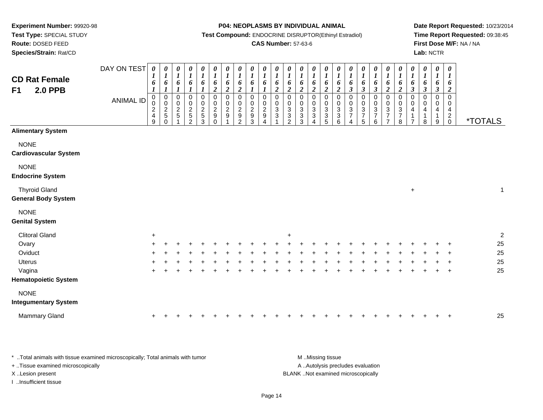**Route:** DOSED FEED

**Species/Strain:** Rat/CD

#### **P04: NEOPLASMS BY INDIVIDUAL ANIMAL**

**Test Compound:** ENDOCRINE DISRUPTOR(Ethinyl Estradiol)

## **CAS Number:** 57-63-6

**Date Report Requested:** 10/23/2014**Time Report Requested:** 09:38:45**First Dose M/F:** NA / NA**Lab:** NCTR

| <b>CD Rat Female</b><br><b>2.0 PPB</b><br>F1       | DAY ON TEST<br><b>ANIMAL ID</b> | 0<br>$\boldsymbol{l}$<br>6<br>$\boldsymbol{l}$<br>$\pmb{0}$<br>$\mathbf 0$<br>$\frac{2}{4}$<br>9 | 0<br>$\boldsymbol{I}$<br>$\pmb{6}$<br>$\boldsymbol{l}$<br>$\overline{0}$<br>$\pmb{0}$<br>$\frac{2}{5}$<br>$\Omega$ | 0<br>$\boldsymbol{l}$<br>$\pmb{6}$<br>$\boldsymbol{l}$<br>0<br>$\pmb{0}$<br>$\frac{2}{5}$ | 0<br>$\boldsymbol{l}$<br>$\pmb{6}$<br>$\boldsymbol{l}$<br>$\pmb{0}$<br>$\pmb{0}$<br>$\frac{2}{5}$<br>$\overline{2}$ | 0<br>$\boldsymbol{l}$<br>6<br>$\boldsymbol{l}$<br>$\pmb{0}$<br>$\pmb{0}$<br>$\frac{2}{5}$<br>3 | 0<br>$\boldsymbol{l}$<br>6<br>$\boldsymbol{2}$<br>$\pmb{0}$<br>$\pmb{0}$<br>$\overline{c}$<br>$\boldsymbol{9}$<br>$\Omega$ | 0<br>$\boldsymbol{l}$<br>6<br>$\boldsymbol{2}$<br>$\pmb{0}$<br>$\pmb{0}$<br>$\overline{c}$<br>$\boldsymbol{9}$<br>$\overline{ }$ | 0<br>$\boldsymbol{l}$<br>6<br>$\overline{2}$<br>$\mathbf 0$<br>$\mathsf{O}\xspace$<br>$\frac{2}{9}$<br>$\overline{2}$ | 0<br>$\boldsymbol{l}$<br>6<br>$\boldsymbol{l}$<br>$\mathbf 0$<br>0<br>$\frac{2}{9}$<br>3 | $\boldsymbol{\theta}$<br>$\boldsymbol{l}$<br>6<br>$\boldsymbol{l}$<br>$\boldsymbol{0}$<br>$\mathbf 0$<br>$\overline{c}$<br>$\boldsymbol{9}$<br>$\boldsymbol{\Lambda}$ | $\begin{matrix} 0 \\ 1 \end{matrix}$<br>6<br>$\boldsymbol{2}$<br>$\pmb{0}$<br>$\pmb{0}$<br>$\frac{3}{3}$ | 0<br>$\boldsymbol{l}$<br>6<br>$\boldsymbol{2}$<br>0<br>$\mathbf 0$<br>$\sqrt{3}$<br>$\frac{3}{2}$ | 0<br>$\boldsymbol{l}$<br>6<br>$\boldsymbol{2}$<br>$\mathbf 0$<br>$\boldsymbol{0}$<br>$\mathbf{3}$<br>$\ensuremath{\mathsf{3}}$<br>3 | 0<br>$\boldsymbol{l}$<br>6<br>$\boldsymbol{2}$<br>$\mathbf 0$<br>$\pmb{0}$<br>$\ensuremath{\mathsf{3}}$<br>$\ensuremath{\mathsf{3}}$<br>4 | 0<br>$\boldsymbol{l}$<br>6<br>$\boldsymbol{2}$<br>0<br>$\pmb{0}$<br>3<br>3<br>5 | 0<br>$\boldsymbol{l}$<br>6<br>$\boldsymbol{2}$<br>$\pmb{0}$<br>$\pmb{0}$<br>$\sqrt{3}$<br>$\ensuremath{\mathsf{3}}$<br>$6\phantom{a}$ | $\boldsymbol{\theta}$<br>$\boldsymbol{l}$<br>$\boldsymbol{\delta}$<br>$\boldsymbol{\beta}$<br>$\pmb{0}$<br>$\pmb{0}$<br>$\sqrt{3}$<br>$\overline{7}$<br>$\overline{4}$ | $\frac{\boldsymbol{\theta}}{\boldsymbol{I}}$<br>6<br>$\mathfrak{z}$<br>0<br>$\mathsf{O}\xspace$<br>$\mathbf 3$<br>$\boldsymbol{7}$<br>5 | 0<br>$\boldsymbol{l}$<br>6<br>$\boldsymbol{\mathfrak{z}}$<br>0<br>$\pmb{0}$<br>$\ensuremath{\mathsf{3}}$<br>$\boldsymbol{7}$<br>6 | 0<br>$\boldsymbol{l}$<br>6<br>$\boldsymbol{2}$<br>$\pmb{0}$<br>$\mathbf 0$<br>$\ensuremath{\mathsf{3}}$<br>$\boldsymbol{7}$<br>$\overline{7}$ | $\frac{\boldsymbol{\theta}}{\boldsymbol{I}}$<br>6<br>$\overline{2}$<br>$\mathbf 0$<br>$\mathbf 0$<br>$\ensuremath{\mathsf{3}}$<br>$\boldsymbol{7}$<br>8 | $\boldsymbol{\theta}$<br>$\boldsymbol{l}$<br>6<br>$\mathfrak{z}$<br>$\Omega$<br>0<br>4<br>$\overline{7}$ | 0<br>$\boldsymbol{l}$<br>6<br>$\boldsymbol{\beta}$<br>$\Omega$<br>0<br>4<br>1<br>8 | 0<br>$\boldsymbol{l}$<br>6<br>$\boldsymbol{\beta}$<br>$\mathbf 0$<br>0<br>4<br>9 | 0<br>$\boldsymbol{l}$<br>6<br>$\overline{2}$<br>0<br>0<br>4<br>$^2_{\rm 0}$ | <i><b>*TOTALS</b></i> |
|----------------------------------------------------|---------------------------------|--------------------------------------------------------------------------------------------------|--------------------------------------------------------------------------------------------------------------------|-------------------------------------------------------------------------------------------|---------------------------------------------------------------------------------------------------------------------|------------------------------------------------------------------------------------------------|----------------------------------------------------------------------------------------------------------------------------|----------------------------------------------------------------------------------------------------------------------------------|-----------------------------------------------------------------------------------------------------------------------|------------------------------------------------------------------------------------------|-----------------------------------------------------------------------------------------------------------------------------------------------------------------------|----------------------------------------------------------------------------------------------------------|---------------------------------------------------------------------------------------------------|-------------------------------------------------------------------------------------------------------------------------------------|-------------------------------------------------------------------------------------------------------------------------------------------|---------------------------------------------------------------------------------|---------------------------------------------------------------------------------------------------------------------------------------|------------------------------------------------------------------------------------------------------------------------------------------------------------------------|-----------------------------------------------------------------------------------------------------------------------------------------|-----------------------------------------------------------------------------------------------------------------------------------|-----------------------------------------------------------------------------------------------------------------------------------------------|---------------------------------------------------------------------------------------------------------------------------------------------------------|----------------------------------------------------------------------------------------------------------|------------------------------------------------------------------------------------|----------------------------------------------------------------------------------|-----------------------------------------------------------------------------|-----------------------|
| <b>Alimentary System</b>                           |                                 |                                                                                                  |                                                                                                                    |                                                                                           |                                                                                                                     |                                                                                                |                                                                                                                            |                                                                                                                                  |                                                                                                                       |                                                                                          |                                                                                                                                                                       |                                                                                                          |                                                                                                   |                                                                                                                                     |                                                                                                                                           |                                                                                 |                                                                                                                                       |                                                                                                                                                                        |                                                                                                                                         |                                                                                                                                   |                                                                                                                                               |                                                                                                                                                         |                                                                                                          |                                                                                    |                                                                                  |                                                                             |                       |
| <b>NONE</b><br><b>Cardiovascular System</b>        |                                 |                                                                                                  |                                                                                                                    |                                                                                           |                                                                                                                     |                                                                                                |                                                                                                                            |                                                                                                                                  |                                                                                                                       |                                                                                          |                                                                                                                                                                       |                                                                                                          |                                                                                                   |                                                                                                                                     |                                                                                                                                           |                                                                                 |                                                                                                                                       |                                                                                                                                                                        |                                                                                                                                         |                                                                                                                                   |                                                                                                                                               |                                                                                                                                                         |                                                                                                          |                                                                                    |                                                                                  |                                                                             |                       |
| <b>NONE</b><br><b>Endocrine System</b>             |                                 |                                                                                                  |                                                                                                                    |                                                                                           |                                                                                                                     |                                                                                                |                                                                                                                            |                                                                                                                                  |                                                                                                                       |                                                                                          |                                                                                                                                                                       |                                                                                                          |                                                                                                   |                                                                                                                                     |                                                                                                                                           |                                                                                 |                                                                                                                                       |                                                                                                                                                                        |                                                                                                                                         |                                                                                                                                   |                                                                                                                                               |                                                                                                                                                         |                                                                                                          |                                                                                    |                                                                                  |                                                                             |                       |
| <b>Thyroid Gland</b><br><b>General Body System</b> |                                 |                                                                                                  |                                                                                                                    |                                                                                           |                                                                                                                     |                                                                                                |                                                                                                                            |                                                                                                                                  |                                                                                                                       |                                                                                          |                                                                                                                                                                       |                                                                                                          |                                                                                                   |                                                                                                                                     |                                                                                                                                           |                                                                                 |                                                                                                                                       |                                                                                                                                                                        |                                                                                                                                         |                                                                                                                                   |                                                                                                                                               |                                                                                                                                                         | $\ddot{}$                                                                                                |                                                                                    |                                                                                  |                                                                             | $\mathbf{1}$          |
| <b>NONE</b><br><b>Genital System</b>               |                                 |                                                                                                  |                                                                                                                    |                                                                                           |                                                                                                                     |                                                                                                |                                                                                                                            |                                                                                                                                  |                                                                                                                       |                                                                                          |                                                                                                                                                                       |                                                                                                          |                                                                                                   |                                                                                                                                     |                                                                                                                                           |                                                                                 |                                                                                                                                       |                                                                                                                                                                        |                                                                                                                                         |                                                                                                                                   |                                                                                                                                               |                                                                                                                                                         |                                                                                                          |                                                                                    |                                                                                  |                                                                             |                       |
| <b>Clitoral Gland</b>                              |                                 | $\ddot{}$                                                                                        |                                                                                                                    |                                                                                           |                                                                                                                     |                                                                                                |                                                                                                                            |                                                                                                                                  |                                                                                                                       |                                                                                          |                                                                                                                                                                       |                                                                                                          | +                                                                                                 |                                                                                                                                     |                                                                                                                                           |                                                                                 |                                                                                                                                       |                                                                                                                                                                        |                                                                                                                                         |                                                                                                                                   |                                                                                                                                               |                                                                                                                                                         |                                                                                                          |                                                                                    |                                                                                  |                                                                             | $\boldsymbol{2}$      |
| Ovary                                              |                                 |                                                                                                  |                                                                                                                    |                                                                                           |                                                                                                                     |                                                                                                |                                                                                                                            |                                                                                                                                  |                                                                                                                       |                                                                                          |                                                                                                                                                                       |                                                                                                          |                                                                                                   |                                                                                                                                     |                                                                                                                                           |                                                                                 |                                                                                                                                       |                                                                                                                                                                        |                                                                                                                                         |                                                                                                                                   |                                                                                                                                               |                                                                                                                                                         |                                                                                                          |                                                                                    |                                                                                  | $\ddot{}$                                                                   | 25                    |
| Oviduct                                            |                                 |                                                                                                  |                                                                                                                    |                                                                                           |                                                                                                                     |                                                                                                |                                                                                                                            |                                                                                                                                  |                                                                                                                       |                                                                                          |                                                                                                                                                                       |                                                                                                          |                                                                                                   |                                                                                                                                     |                                                                                                                                           |                                                                                 |                                                                                                                                       |                                                                                                                                                                        |                                                                                                                                         |                                                                                                                                   |                                                                                                                                               |                                                                                                                                                         |                                                                                                          |                                                                                    |                                                                                  |                                                                             | 25                    |
| <b>Uterus</b>                                      |                                 |                                                                                                  |                                                                                                                    |                                                                                           |                                                                                                                     |                                                                                                |                                                                                                                            |                                                                                                                                  |                                                                                                                       |                                                                                          |                                                                                                                                                                       |                                                                                                          |                                                                                                   |                                                                                                                                     |                                                                                                                                           |                                                                                 |                                                                                                                                       |                                                                                                                                                                        |                                                                                                                                         |                                                                                                                                   |                                                                                                                                               |                                                                                                                                                         |                                                                                                          |                                                                                    |                                                                                  | $\ddot{}$                                                                   | 25                    |
| Vagina                                             |                                 |                                                                                                  |                                                                                                                    |                                                                                           |                                                                                                                     |                                                                                                |                                                                                                                            |                                                                                                                                  |                                                                                                                       |                                                                                          |                                                                                                                                                                       |                                                                                                          |                                                                                                   |                                                                                                                                     |                                                                                                                                           |                                                                                 |                                                                                                                                       |                                                                                                                                                                        |                                                                                                                                         |                                                                                                                                   |                                                                                                                                               |                                                                                                                                                         |                                                                                                          |                                                                                    |                                                                                  | $\overline{+}$                                                              | 25                    |
| <b>Hematopoietic System</b>                        |                                 |                                                                                                  |                                                                                                                    |                                                                                           |                                                                                                                     |                                                                                                |                                                                                                                            |                                                                                                                                  |                                                                                                                       |                                                                                          |                                                                                                                                                                       |                                                                                                          |                                                                                                   |                                                                                                                                     |                                                                                                                                           |                                                                                 |                                                                                                                                       |                                                                                                                                                                        |                                                                                                                                         |                                                                                                                                   |                                                                                                                                               |                                                                                                                                                         |                                                                                                          |                                                                                    |                                                                                  |                                                                             |                       |
| <b>NONE</b><br><b>Integumentary System</b>         |                                 |                                                                                                  |                                                                                                                    |                                                                                           |                                                                                                                     |                                                                                                |                                                                                                                            |                                                                                                                                  |                                                                                                                       |                                                                                          |                                                                                                                                                                       |                                                                                                          |                                                                                                   |                                                                                                                                     |                                                                                                                                           |                                                                                 |                                                                                                                                       |                                                                                                                                                                        |                                                                                                                                         |                                                                                                                                   |                                                                                                                                               |                                                                                                                                                         |                                                                                                          |                                                                                    |                                                                                  |                                                                             |                       |
| <b>Mammary Gland</b>                               |                                 |                                                                                                  |                                                                                                                    |                                                                                           |                                                                                                                     |                                                                                                |                                                                                                                            |                                                                                                                                  |                                                                                                                       |                                                                                          |                                                                                                                                                                       |                                                                                                          |                                                                                                   |                                                                                                                                     |                                                                                                                                           |                                                                                 |                                                                                                                                       |                                                                                                                                                                        |                                                                                                                                         |                                                                                                                                   |                                                                                                                                               |                                                                                                                                                         |                                                                                                          |                                                                                    |                                                                                  |                                                                             | 25                    |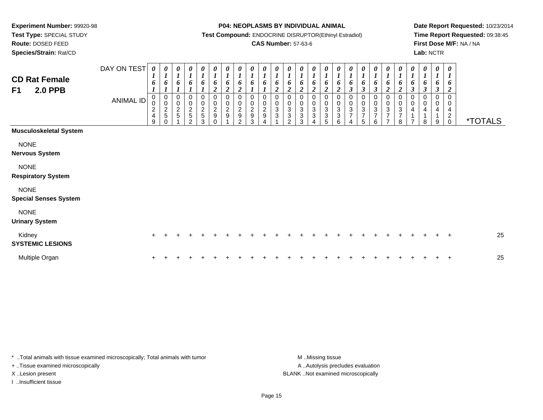**Route:** DOSED FEED

**Species/Strain:** Rat/CD

#### **P04: NEOPLASMS BY INDIVIDUAL ANIMAL**

**Test Compound:** ENDOCRINE DISRUPTOR(Ethinyl Estradiol)

## **CAS Number:** 57-63-6

**Date Report Requested:** 10/23/2014**Time Report Requested:** 09:38:45**First Dose M/F:** NA / NA**Lab:** NCTR

| <b>CD Rat Female</b><br><b>2.0 PPB</b><br>F1 | DAY ON TEST<br><b>ANIMAL ID</b> | $\boldsymbol{\theta}$<br>6<br>$\mathbf 0$<br>$\pmb{0}$<br>$\frac{2}{4}$<br>9 | 0<br>6<br>$\pmb{0}$<br>$\pmb{0}$<br>$\frac{2}{5}$<br>$\Omega$ | 0<br>$\boldsymbol{l}$<br>6<br>0<br>$\pmb{0}$<br>$\frac{2}{5}$ | $\pmb{\theta}$<br>$\boldsymbol{l}$<br>6<br>0<br>$\begin{array}{c} 0 \\ 2 \\ 5 \end{array}$<br>$\mathfrak{p}$ | $\pmb{\theta}$<br>$\boldsymbol{l}$<br>6<br>$\,0\,$<br>$\begin{array}{c} 0 \\ 2 \\ 5 \end{array}$<br>3 | 0<br>$\boldsymbol{l}$<br>6<br>$\overline{2}$<br>0<br>$\frac{0}{2}$<br>$\Omega$ | 0<br>$\boldsymbol{l}$<br>6<br>$\overline{2}$<br>0<br>$\pmb{0}$<br>$\frac{2}{9}$ | 0<br>6<br>$\boldsymbol{2}$<br>$\,0\,$<br>$\pmb{0}$<br>$\frac{2}{9}$<br>$\mathfrak{p}$ | $\boldsymbol{\theta}$<br>6<br>$\mathbf 0$<br>$\pmb{0}$<br>$\overline{c}$<br>9<br>3 | 0<br>$\boldsymbol{l}$<br>6<br>$\pmb{0}$<br>$\overline{c}$<br>$\boldsymbol{9}$ | $\boldsymbol{l}$<br>o<br>$\boldsymbol{2}$<br>$\mathbf 0$<br>$\pmb{0}$<br>$\mathbf{3}$<br>3 | 0<br>6<br>$\overline{\mathbf{c}}$<br>0<br>0<br>$\ensuremath{\mathsf{3}}$<br>3<br>$\mathcal{P}$ | 0<br>6<br>$\boldsymbol{2}$<br>0<br>0<br>3<br>$\ensuremath{\mathsf{3}}$<br>3 | $\boldsymbol{\theta}$<br>$\boldsymbol{l}$<br>6<br>$\overline{2}$<br>$\mathbf 0$<br>$\pmb{0}$<br>$\mathsf 3$<br>$\ensuremath{\mathsf{3}}$ | 0<br>$\boldsymbol{l}$<br>6<br>$\overline{2}$<br>0<br>$\pmb{0}$<br>$\ensuremath{\mathsf{3}}$<br>$\ensuremath{\mathsf{3}}$<br>5 | 0<br>$\boldsymbol{l}$<br>6<br>$\boldsymbol{2}$<br>0<br>0<br>3<br>$\mathbf{3}$<br>6 | $\boldsymbol{l}$<br>6<br>$\mathfrak{z}$<br>$\begin{array}{c} 0 \\ 3 \\ 7 \end{array}$<br>4 | 0<br>1<br>6<br>$\boldsymbol{\beta}$<br>0<br>$\pmb{0}$<br>$\ensuremath{\mathsf{3}}$<br>$\overline{7}$<br>5 | 0<br>6<br>$\boldsymbol{\beta}$<br>0<br>$_{3}^{\rm 0}$<br>$\overline{7}$<br>6 | 0<br>$\boldsymbol{l}$<br>6<br>$\overline{2}$<br>0<br>$\pmb{0}$<br>$\ensuremath{\mathsf{3}}$<br>$\overline{7}$<br>$\overline{ }$ | 0<br>$\boldsymbol{l}$<br>6<br>$\boldsymbol{2}$<br>0<br>$\pmb{0}$<br>$\ensuremath{\mathsf{3}}$<br>$\overline{7}$<br>8 | 0<br>$\boldsymbol{l}$<br>6<br>3<br>$\mathbf 0$<br>$\,0\,$<br>$\overline{4}$<br>⇁ | $\boldsymbol{\theta}$<br>$\boldsymbol{l}$<br>6<br>$\boldsymbol{\beta}$<br>0<br>0<br>$\overline{4}$<br>8 | 0<br>$\boldsymbol{l}$<br>3<br>$\Omega$<br>0<br>9 | 0<br>6<br>2<br>$\mathbf 0$<br>0<br>4<br>$\overline{c}$<br>$\pmb{0}$ | <i><b>*TOTALS</b></i> |
|----------------------------------------------|---------------------------------|------------------------------------------------------------------------------|---------------------------------------------------------------|---------------------------------------------------------------|--------------------------------------------------------------------------------------------------------------|-------------------------------------------------------------------------------------------------------|--------------------------------------------------------------------------------|---------------------------------------------------------------------------------|---------------------------------------------------------------------------------------|------------------------------------------------------------------------------------|-------------------------------------------------------------------------------|--------------------------------------------------------------------------------------------|------------------------------------------------------------------------------------------------|-----------------------------------------------------------------------------|------------------------------------------------------------------------------------------------------------------------------------------|-------------------------------------------------------------------------------------------------------------------------------|------------------------------------------------------------------------------------|--------------------------------------------------------------------------------------------|-----------------------------------------------------------------------------------------------------------|------------------------------------------------------------------------------|---------------------------------------------------------------------------------------------------------------------------------|----------------------------------------------------------------------------------------------------------------------|----------------------------------------------------------------------------------|---------------------------------------------------------------------------------------------------------|--------------------------------------------------|---------------------------------------------------------------------|-----------------------|
| <b>Musculoskeletal System</b>                |                                 |                                                                              |                                                               |                                                               |                                                                                                              |                                                                                                       |                                                                                |                                                                                 |                                                                                       |                                                                                    |                                                                               |                                                                                            |                                                                                                |                                                                             |                                                                                                                                          |                                                                                                                               |                                                                                    |                                                                                            |                                                                                                           |                                                                              |                                                                                                                                 |                                                                                                                      |                                                                                  |                                                                                                         |                                                  |                                                                     |                       |
| <b>NONE</b><br><b>Nervous System</b>         |                                 |                                                                              |                                                               |                                                               |                                                                                                              |                                                                                                       |                                                                                |                                                                                 |                                                                                       |                                                                                    |                                                                               |                                                                                            |                                                                                                |                                                                             |                                                                                                                                          |                                                                                                                               |                                                                                    |                                                                                            |                                                                                                           |                                                                              |                                                                                                                                 |                                                                                                                      |                                                                                  |                                                                                                         |                                                  |                                                                     |                       |
| <b>NONE</b><br><b>Respiratory System</b>     |                                 |                                                                              |                                                               |                                                               |                                                                                                              |                                                                                                       |                                                                                |                                                                                 |                                                                                       |                                                                                    |                                                                               |                                                                                            |                                                                                                |                                                                             |                                                                                                                                          |                                                                                                                               |                                                                                    |                                                                                            |                                                                                                           |                                                                              |                                                                                                                                 |                                                                                                                      |                                                                                  |                                                                                                         |                                                  |                                                                     |                       |
| <b>NONE</b><br><b>Special Senses System</b>  |                                 |                                                                              |                                                               |                                                               |                                                                                                              |                                                                                                       |                                                                                |                                                                                 |                                                                                       |                                                                                    |                                                                               |                                                                                            |                                                                                                |                                                                             |                                                                                                                                          |                                                                                                                               |                                                                                    |                                                                                            |                                                                                                           |                                                                              |                                                                                                                                 |                                                                                                                      |                                                                                  |                                                                                                         |                                                  |                                                                     |                       |
| <b>NONE</b><br><b>Urinary System</b>         |                                 |                                                                              |                                                               |                                                               |                                                                                                              |                                                                                                       |                                                                                |                                                                                 |                                                                                       |                                                                                    |                                                                               |                                                                                            |                                                                                                |                                                                             |                                                                                                                                          |                                                                                                                               |                                                                                    |                                                                                            |                                                                                                           |                                                                              |                                                                                                                                 |                                                                                                                      |                                                                                  |                                                                                                         |                                                  |                                                                     |                       |
| Kidney<br><b>SYSTEMIC LESIONS</b>            |                                 |                                                                              |                                                               |                                                               |                                                                                                              |                                                                                                       |                                                                                |                                                                                 |                                                                                       |                                                                                    |                                                                               |                                                                                            |                                                                                                |                                                                             |                                                                                                                                          |                                                                                                                               |                                                                                    |                                                                                            |                                                                                                           |                                                                              |                                                                                                                                 |                                                                                                                      |                                                                                  |                                                                                                         |                                                  | $\pm$                                                               | 25                    |
| Multiple Organ                               |                                 |                                                                              |                                                               |                                                               |                                                                                                              |                                                                                                       |                                                                                |                                                                                 |                                                                                       |                                                                                    |                                                                               |                                                                                            |                                                                                                |                                                                             |                                                                                                                                          |                                                                                                                               |                                                                                    |                                                                                            |                                                                                                           |                                                                              |                                                                                                                                 |                                                                                                                      |                                                                                  |                                                                                                         |                                                  | $\pm$                                                               | 25                    |

\* ..Total animals with tissue examined microscopically; Total animals with tumor **M** . Missing tissue M ..Missing tissue

+ ..Tissue examined microscopically

I ..Insufficient tissue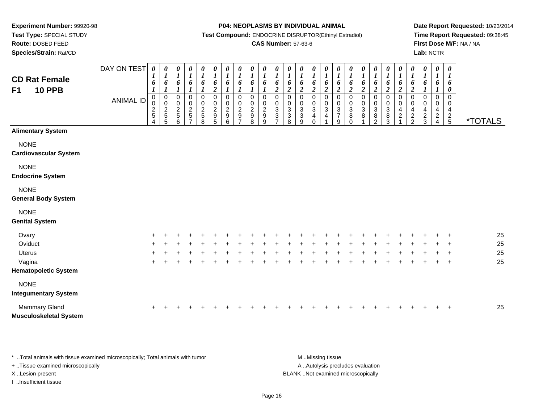**Route:** DOSED FEED

**Species/Strain:** Rat/CD

#### **P04: NEOPLASMS BY INDIVIDUAL ANIMAL**

**Test Compound:** ENDOCRINE DISRUPTOR(Ethinyl Estradiol)

## **CAS Number:** 57-63-6

**Date Report Requested:** 10/23/2014**Time Report Requested:** 09:38:45**First Dose M/F:** NA / NA**Lab:** NCTR

| <b>CD Rat Female</b><br><b>10 PPB</b><br>F <sub>1</sub> | DAY ON TEST<br><b>ANIMAL ID</b> | $\boldsymbol{\theta}$<br>6<br>0<br>$\pmb{0}$<br>$\frac{2}{5}$<br>4 | 0<br>$\boldsymbol{l}$<br>6<br>$\mathbf 0$<br>$\pmb{0}$<br>$\sqrt{2}$<br>5<br>5 | 0<br>$\boldsymbol{l}$<br>6<br>$\pmb{0}$<br>$\,0\,$<br>$\frac{2}{5}$<br>6 | $\pmb{\theta}$<br>$\boldsymbol{l}$<br>6<br>$\mathbf{I}$<br>$\pmb{0}$<br>0<br>$\frac{2}{5}$<br>$\overline{7}$ | $\pmb{\theta}$<br>$\boldsymbol{l}$<br>6<br>0<br>$\begin{array}{c} 0 \\ 2 \\ 5 \end{array}$<br>8 | $\pmb{\theta}$<br>$\boldsymbol{l}$<br>6<br>$\boldsymbol{2}$<br>0<br>$\frac{0}{2}$<br>$\sqrt{5}$ | 0<br>$\boldsymbol{l}$<br>6<br>$\pmb{0}$<br>$\pmb{0}$<br>$\boldsymbol{2}$<br>9<br>6 | $\frac{\theta}{I}$<br>6<br>$\pmb{0}$<br>$\pmb{0}$<br>$\frac{2}{9}$<br>$\overline{7}$ | $\boldsymbol{\theta}$<br>$\boldsymbol{l}$<br>6<br>$\mathbf 0$<br>0<br>$\overline{2}$<br>9<br>8 | 0<br>$\boldsymbol{l}$<br>6<br>$\mathbf 0$<br>0<br>$\boldsymbol{2}$<br>9<br>9 | 0<br>$\boldsymbol{l}$<br>6<br>$\overline{c}$<br>$\pmb{0}$<br>$\pmb{0}$<br>$\overline{3}$<br>$\sqrt{3}$ | $\pmb{\theta}$<br>$\boldsymbol{l}$<br>6<br>$\overline{c}$<br>0<br>0<br>$\mathbf{3}$<br>$\sqrt{3}$<br>8 | 0<br>$\boldsymbol{l}$<br>6<br>$\overline{2}$<br>0<br>0<br>$\overline{3}$<br>$\ensuremath{\mathsf{3}}$<br>$9\,$ | $\pmb{\theta}$<br>$\boldsymbol{l}$<br>6<br>$\boldsymbol{2}$<br>$\pmb{0}$<br>0<br>$\sqrt{3}$<br>4<br>$\mathbf 0$ | 0<br>$\boldsymbol{l}$<br>6<br>$\overline{c}$<br>$\mathbf 0$<br>0<br>3<br>4 | 0<br>$\boldsymbol{l}$<br>6<br>$\boldsymbol{2}$<br>$\mathbf 0$<br>0<br>$\ensuremath{\mathsf{3}}$<br>$\boldsymbol{7}$<br>$\boldsymbol{9}$ | $\boldsymbol{\theta}$<br>$\boldsymbol{l}$<br>6<br>$\boldsymbol{2}$<br>$\mathsf 0$<br>0<br>$\mathbf{3}$<br>8<br>$\Omega$ | $\pmb{\theta}$<br>$\boldsymbol{l}$<br>6<br>$\overline{2}$<br>$\mathsf{O}$<br>0<br>$\overline{3}$<br>8 | $\pmb{\theta}$<br>$\boldsymbol{l}$<br>6<br>$\overline{\mathbf{c}}$<br>0<br>$\pmb{0}$<br>$\overline{3}$<br>$\bf 8$<br>$\overline{2}$ | $\pmb{\theta}$<br>$\boldsymbol{l}$<br>6<br>$\overline{c}$<br>$\pmb{0}$<br>$\pmb{0}$<br>$\overline{3}$<br>8<br>3 | $\pmb{\theta}$<br>$\boldsymbol{l}$<br>6<br>$\boldsymbol{2}$<br>$\pmb{0}$<br>0<br>$\overline{4}$<br>$\overline{c}$ | $\pmb{\theta}$<br>$\boldsymbol{l}$<br>6<br>$\boldsymbol{2}$<br>$\Omega$<br>0<br>4<br>$\frac{2}{2}$ | 0<br>$\boldsymbol{l}$<br>6<br>$\Omega$<br>0<br>4<br>$\overline{\mathbf{c}}$<br>$\mathbf{3}$ | 0<br>$\boldsymbol{l}$<br>6<br>0<br>0<br>4<br>$\overline{c}$<br>$\overline{4}$ | $\boldsymbol{\theta}$<br>6<br>0<br>$\Omega$<br>0<br>4<br>$rac{2}{5}$ | <i><b>*TOTALS</b></i> |
|---------------------------------------------------------|---------------------------------|--------------------------------------------------------------------|--------------------------------------------------------------------------------|--------------------------------------------------------------------------|--------------------------------------------------------------------------------------------------------------|-------------------------------------------------------------------------------------------------|-------------------------------------------------------------------------------------------------|------------------------------------------------------------------------------------|--------------------------------------------------------------------------------------|------------------------------------------------------------------------------------------------|------------------------------------------------------------------------------|--------------------------------------------------------------------------------------------------------|--------------------------------------------------------------------------------------------------------|----------------------------------------------------------------------------------------------------------------|-----------------------------------------------------------------------------------------------------------------|----------------------------------------------------------------------------|-----------------------------------------------------------------------------------------------------------------------------------------|-------------------------------------------------------------------------------------------------------------------------|-------------------------------------------------------------------------------------------------------|-------------------------------------------------------------------------------------------------------------------------------------|-----------------------------------------------------------------------------------------------------------------|-------------------------------------------------------------------------------------------------------------------|----------------------------------------------------------------------------------------------------|---------------------------------------------------------------------------------------------|-------------------------------------------------------------------------------|----------------------------------------------------------------------|-----------------------|
| <b>Alimentary System</b>                                |                                 |                                                                    |                                                                                |                                                                          |                                                                                                              |                                                                                                 |                                                                                                 |                                                                                    |                                                                                      |                                                                                                |                                                                              |                                                                                                        |                                                                                                        |                                                                                                                |                                                                                                                 |                                                                            |                                                                                                                                         |                                                                                                                         |                                                                                                       |                                                                                                                                     |                                                                                                                 |                                                                                                                   |                                                                                                    |                                                                                             |                                                                               |                                                                      |                       |
| <b>NONE</b><br><b>Cardiovascular System</b>             |                                 |                                                                    |                                                                                |                                                                          |                                                                                                              |                                                                                                 |                                                                                                 |                                                                                    |                                                                                      |                                                                                                |                                                                              |                                                                                                        |                                                                                                        |                                                                                                                |                                                                                                                 |                                                                            |                                                                                                                                         |                                                                                                                         |                                                                                                       |                                                                                                                                     |                                                                                                                 |                                                                                                                   |                                                                                                    |                                                                                             |                                                                               |                                                                      |                       |
| <b>NONE</b><br><b>Endocrine System</b>                  |                                 |                                                                    |                                                                                |                                                                          |                                                                                                              |                                                                                                 |                                                                                                 |                                                                                    |                                                                                      |                                                                                                |                                                                              |                                                                                                        |                                                                                                        |                                                                                                                |                                                                                                                 |                                                                            |                                                                                                                                         |                                                                                                                         |                                                                                                       |                                                                                                                                     |                                                                                                                 |                                                                                                                   |                                                                                                    |                                                                                             |                                                                               |                                                                      |                       |
| <b>NONE</b><br><b>General Body System</b>               |                                 |                                                                    |                                                                                |                                                                          |                                                                                                              |                                                                                                 |                                                                                                 |                                                                                    |                                                                                      |                                                                                                |                                                                              |                                                                                                        |                                                                                                        |                                                                                                                |                                                                                                                 |                                                                            |                                                                                                                                         |                                                                                                                         |                                                                                                       |                                                                                                                                     |                                                                                                                 |                                                                                                                   |                                                                                                    |                                                                                             |                                                                               |                                                                      |                       |
| <b>NONE</b><br><b>Genital System</b>                    |                                 |                                                                    |                                                                                |                                                                          |                                                                                                              |                                                                                                 |                                                                                                 |                                                                                    |                                                                                      |                                                                                                |                                                                              |                                                                                                        |                                                                                                        |                                                                                                                |                                                                                                                 |                                                                            |                                                                                                                                         |                                                                                                                         |                                                                                                       |                                                                                                                                     |                                                                                                                 |                                                                                                                   |                                                                                                    |                                                                                             |                                                                               |                                                                      |                       |
| Ovary                                                   |                                 |                                                                    |                                                                                |                                                                          |                                                                                                              |                                                                                                 |                                                                                                 |                                                                                    |                                                                                      |                                                                                                |                                                                              |                                                                                                        |                                                                                                        |                                                                                                                |                                                                                                                 |                                                                            |                                                                                                                                         |                                                                                                                         |                                                                                                       |                                                                                                                                     |                                                                                                                 |                                                                                                                   |                                                                                                    |                                                                                             |                                                                               |                                                                      | 25                    |
| Oviduct                                                 |                                 |                                                                    |                                                                                |                                                                          |                                                                                                              |                                                                                                 |                                                                                                 |                                                                                    |                                                                                      |                                                                                                |                                                                              |                                                                                                        |                                                                                                        |                                                                                                                |                                                                                                                 |                                                                            |                                                                                                                                         |                                                                                                                         |                                                                                                       |                                                                                                                                     |                                                                                                                 |                                                                                                                   |                                                                                                    |                                                                                             |                                                                               | $\ddot{}$                                                            | 25                    |
| Uterus                                                  |                                 |                                                                    |                                                                                |                                                                          |                                                                                                              |                                                                                                 |                                                                                                 |                                                                                    |                                                                                      |                                                                                                |                                                                              |                                                                                                        |                                                                                                        |                                                                                                                |                                                                                                                 |                                                                            |                                                                                                                                         |                                                                                                                         |                                                                                                       |                                                                                                                                     |                                                                                                                 |                                                                                                                   |                                                                                                    |                                                                                             |                                                                               | $\ddot{}$                                                            | 25                    |
| Vagina<br><b>Hematopoietic System</b>                   |                                 |                                                                    |                                                                                |                                                                          |                                                                                                              |                                                                                                 |                                                                                                 |                                                                                    |                                                                                      |                                                                                                |                                                                              |                                                                                                        |                                                                                                        |                                                                                                                |                                                                                                                 |                                                                            |                                                                                                                                         |                                                                                                                         |                                                                                                       |                                                                                                                                     |                                                                                                                 |                                                                                                                   |                                                                                                    |                                                                                             |                                                                               | $\ddot{}$                                                            | 25                    |
| <b>NONE</b><br><b>Integumentary System</b>              |                                 |                                                                    |                                                                                |                                                                          |                                                                                                              |                                                                                                 |                                                                                                 |                                                                                    |                                                                                      |                                                                                                |                                                                              |                                                                                                        |                                                                                                        |                                                                                                                |                                                                                                                 |                                                                            |                                                                                                                                         |                                                                                                                         |                                                                                                       |                                                                                                                                     |                                                                                                                 |                                                                                                                   |                                                                                                    |                                                                                             |                                                                               |                                                                      |                       |
| Mammary Gland<br><b>Musculoskeletal System</b>          |                                 |                                                                    |                                                                                |                                                                          |                                                                                                              |                                                                                                 |                                                                                                 |                                                                                    |                                                                                      |                                                                                                |                                                                              |                                                                                                        |                                                                                                        |                                                                                                                |                                                                                                                 |                                                                            |                                                                                                                                         |                                                                                                                         |                                                                                                       |                                                                                                                                     |                                                                                                                 |                                                                                                                   |                                                                                                    |                                                                                             |                                                                               | $\overline{+}$                                                       | 25                    |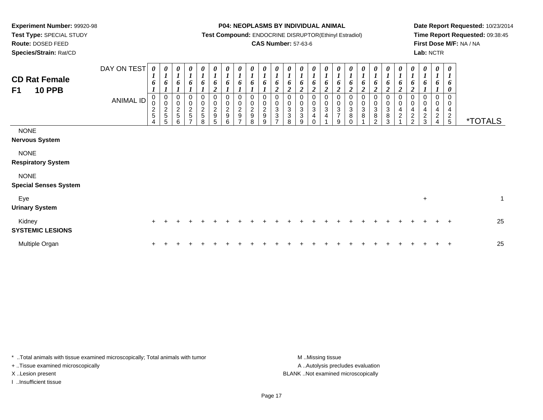**Route:** DOSED FEED

**Species/Strain:** Rat/CD

**P04: NEOPLASMS BY INDIVIDUAL ANIMAL**

**Test Compound:** ENDOCRINE DISRUPTOR(Ethinyl Estradiol)

## **CAS Number:** 57-63-6

**Date Report Requested:** 10/23/2014**Time Report Requested:** 09:38:45**First Dose M/F:** NA / NA**Lab:** NCTR

| <b>CD Rat Female</b><br><b>10 PPB</b><br>F1 | DAY ON TEST<br><b>ANIMAL ID</b> | 0<br>$\mathbf{I}$<br>6<br>0<br>0<br>$\frac{2}{5}$<br>4 | 0<br>$\boldsymbol{l}$<br>6<br>$\overline{ }$<br>$\mathbf 0$<br>$\pmb{0}$<br>$\frac{2}{5}$<br>5 | 0<br>$\boldsymbol{l}$<br>6<br>$\boldsymbol{0}$<br>$\frac{0}{2}$<br>6 | 0<br>$\boldsymbol{l}$<br>6<br>00025<br>⇁ | $\frac{\boldsymbol{\theta}}{\boldsymbol{I}}$<br>6<br>0<br>$\begin{array}{c} 0 \\ 2 \\ 5 \end{array}$<br>8 | 0<br>$\boldsymbol{l}$<br>6<br>$\overline{2}$<br>0295 | 0<br>6<br>0<br>$\begin{smallmatrix} 0\\2\\9 \end{smallmatrix}$<br>6 | 0<br>6<br>0<br>$\pmb{0}$<br>$\frac{2}{9}$<br>$\overline{ }$ | 0<br>$\boldsymbol{l}$<br>0<br>0<br>$\frac{0}{2}$<br>8 | $\boldsymbol{l}$<br>6<br>$\frac{0}{2}$<br>9<br>9 | 0<br>6<br>$\overline{2}$<br>0<br>$_{3}^{\rm 0}$<br>$\overline{3}$ | 0<br>6<br>$\overline{2}$<br>0<br>$\begin{matrix} 0 \\ 3 \end{matrix}$<br>$\overline{3}$<br>8 | 0<br>$\boldsymbol{l}$<br>6<br>$\overline{2}$<br>$\begin{smallmatrix}0\3\3\end{smallmatrix}$<br>9 | 0<br>6<br>$\mathbf{\hat{z}}$<br>0<br>$\sqrt{3}$<br>4 | 0<br>$\boldsymbol{l}$<br>6<br>2<br>0<br>$\pmb{0}$<br>3<br>4 | 0<br>$\boldsymbol{l}$<br>6<br>$\overline{c}$<br>0<br>$\pmb{0}$<br>$\ensuremath{\mathsf{3}}$<br>$\overline{7}$<br>9 | $\boldsymbol{l}$<br>o<br>$\overline{2}$<br>$\pmb{0}$<br>$\ensuremath{\mathsf{3}}$<br>$\, 8$ | 0<br>6<br>$\overline{2}$<br>0<br>$\begin{smallmatrix}0\3\8\end{smallmatrix}$ | 0<br>$\boldsymbol{l}$<br>6<br>$\overline{2}$<br>0<br>$\frac{0}{3}$<br>$\overline{8}$<br>$\mathcal{L}$ | 0<br>$\boldsymbol{l}$<br>6<br>$\overline{2}$<br>$\begin{smallmatrix} 0\\ 3\\ 8 \end{smallmatrix}$<br>3 | 0<br>$\boldsymbol{l}$<br>6<br>2<br>0<br>$\overline{\mathbf{r}}$<br>$\overline{c}$ | 0<br>6<br><u>ำ</u><br>0<br>0<br>4<br>$\frac{2}{2}$ | 0<br>$\boldsymbol{l}$<br>0<br>0<br>0<br>4<br>$\overline{c}$<br>3 | $\boldsymbol{\theta}$<br>$\boldsymbol{l}$<br>$\bm{o}$<br>0<br>4<br>$\overline{c}$ | 0<br>6<br>$\boldsymbol{\theta}$<br>0<br>$\pmb{0}$<br>$\overline{4}$<br>$\frac{2}{5}$ | <i><b>*TOTALS</b></i> |              |
|---------------------------------------------|---------------------------------|--------------------------------------------------------|------------------------------------------------------------------------------------------------|----------------------------------------------------------------------|------------------------------------------|-----------------------------------------------------------------------------------------------------------|------------------------------------------------------|---------------------------------------------------------------------|-------------------------------------------------------------|-------------------------------------------------------|--------------------------------------------------|-------------------------------------------------------------------|----------------------------------------------------------------------------------------------|--------------------------------------------------------------------------------------------------|------------------------------------------------------|-------------------------------------------------------------|--------------------------------------------------------------------------------------------------------------------|---------------------------------------------------------------------------------------------|------------------------------------------------------------------------------|-------------------------------------------------------------------------------------------------------|--------------------------------------------------------------------------------------------------------|-----------------------------------------------------------------------------------|----------------------------------------------------|------------------------------------------------------------------|-----------------------------------------------------------------------------------|--------------------------------------------------------------------------------------|-----------------------|--------------|
| <b>NONE</b><br><b>Nervous System</b>        |                                 |                                                        |                                                                                                |                                                                      |                                          |                                                                                                           |                                                      |                                                                     |                                                             |                                                       |                                                  |                                                                   |                                                                                              |                                                                                                  |                                                      |                                                             |                                                                                                                    |                                                                                             |                                                                              |                                                                                                       |                                                                                                        |                                                                                   |                                                    |                                                                  |                                                                                   |                                                                                      |                       |              |
| <b>NONE</b><br><b>Respiratory System</b>    |                                 |                                                        |                                                                                                |                                                                      |                                          |                                                                                                           |                                                      |                                                                     |                                                             |                                                       |                                                  |                                                                   |                                                                                              |                                                                                                  |                                                      |                                                             |                                                                                                                    |                                                                                             |                                                                              |                                                                                                       |                                                                                                        |                                                                                   |                                                    |                                                                  |                                                                                   |                                                                                      |                       |              |
| <b>NONE</b><br><b>Special Senses System</b> |                                 |                                                        |                                                                                                |                                                                      |                                          |                                                                                                           |                                                      |                                                                     |                                                             |                                                       |                                                  |                                                                   |                                                                                              |                                                                                                  |                                                      |                                                             |                                                                                                                    |                                                                                             |                                                                              |                                                                                                       |                                                                                                        |                                                                                   |                                                    |                                                                  |                                                                                   |                                                                                      |                       |              |
| Eye<br><b>Urinary System</b>                |                                 |                                                        |                                                                                                |                                                                      |                                          |                                                                                                           |                                                      |                                                                     |                                                             |                                                       |                                                  |                                                                   |                                                                                              |                                                                                                  |                                                      |                                                             |                                                                                                                    |                                                                                             |                                                                              |                                                                                                       |                                                                                                        |                                                                                   |                                                    | $\ddot{}$                                                        |                                                                                   |                                                                                      |                       | $\mathbf{1}$ |
| Kidney<br><b>SYSTEMIC LESIONS</b>           |                                 | $\ddot{}$                                              |                                                                                                |                                                                      |                                          |                                                                                                           |                                                      |                                                                     |                                                             |                                                       |                                                  |                                                                   |                                                                                              |                                                                                                  |                                                      |                                                             |                                                                                                                    |                                                                                             |                                                                              |                                                                                                       |                                                                                                        |                                                                                   |                                                    |                                                                  |                                                                                   |                                                                                      | 25                    |              |
| Multiple Organ                              |                                 |                                                        |                                                                                                |                                                                      |                                          |                                                                                                           |                                                      |                                                                     |                                                             |                                                       |                                                  |                                                                   |                                                                                              |                                                                                                  |                                                      |                                                             |                                                                                                                    |                                                                                             |                                                                              |                                                                                                       |                                                                                                        |                                                                                   |                                                    |                                                                  |                                                                                   | $\overline{ }$                                                                       | 25                    |              |

\* ..Total animals with tissue examined microscopically; Total animals with tumor **M** . Missing tissue M ..Missing tissue + ..Tissue examined microscopically X ..Lesion present BLANK ..Not examined microscopically

I ..Insufficient tissue

A ..Autolysis precludes evaluation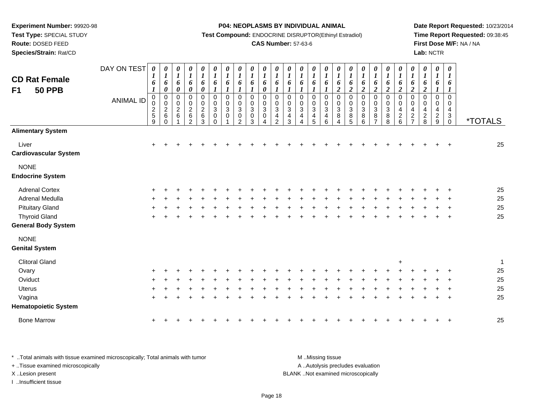**Test Type:** SPECIAL STUDY

**Route:** DOSED FEED

**Species/Strain:** Rat/CD

#### **P04: NEOPLASMS BY INDIVIDUAL ANIMAL**

**Test Compound:** ENDOCRINE DISRUPTOR(Ethinyl Estradiol)

## **CAS Number:** 57-63-6

**Date Report Requested:** 10/23/2014**Time Report Requested:** 09:38:45**First Dose M/F:** NA / NA**Lab:** NCTR

| <b>CD Rat Female</b><br><b>50 PPB</b><br>F <sub>1</sub> | DAY ON TEST<br><b>ANIMAL ID</b> | 0<br>$\boldsymbol{l}$<br>6<br>$\boldsymbol{l}$<br>$\pmb{0}$<br>0<br>$\frac{2}{5}$<br>9 | 0<br>$\boldsymbol{l}$<br>6<br>$\pmb{\theta}$<br>$\pmb{0}$<br>$\pmb{0}$<br>$\frac{2}{6}$<br>$\Omega$ | $\boldsymbol{\theta}$<br>$\boldsymbol{l}$<br>6<br>$\pmb{\theta}$<br>$\boldsymbol{0}$<br>$\mathbf 0$<br>$\sqrt{2}$<br>$\,6$ | $\pmb{\theta}$<br>$\boldsymbol{l}$<br>6<br>$\pmb{\theta}$<br>$\overline{0}$<br>$\pmb{0}$<br>$\frac{2}{6}$<br>2 | $\boldsymbol{\theta}$<br>$\boldsymbol{l}$<br>6<br>$\pmb{\theta}$<br>$\mathsf 0$<br>$\pmb{0}$<br>$\frac{2}{6}$<br>3 | 0<br>$\boldsymbol{l}$<br>6<br>$\boldsymbol{l}$<br>$\mathsf 0$<br>0<br>$\ensuremath{\mathsf{3}}$<br>$\mathsf 0$<br>$\Omega$ | 0<br>$\boldsymbol{l}$<br>6<br>$\mathbf{I}$<br>$\pmb{0}$<br>$\mathbf 0$<br>$\sqrt{3}$<br>$\pmb{0}$ | 0<br>$\boldsymbol{l}$<br>6<br>$\mathbf 0$<br>$\mathbf 0$<br>3<br>0<br>2 | $\pmb{\theta}$<br>$\boldsymbol{l}$<br>6<br>$\boldsymbol{l}$<br>$\pmb{0}$<br>0<br>$\ensuremath{\mathsf{3}}$<br>$\pmb{0}$<br>3 | $\boldsymbol{\theta}$<br>$\boldsymbol{l}$<br>6<br>$\boldsymbol{\theta}$<br>$\boldsymbol{0}$<br>0<br>$\sqrt{3}$<br>$\mathbf 0$ | $\pmb{\theta}$<br>$\boldsymbol{l}$<br>6<br>$\pmb{0}$<br>$\pmb{0}$<br>$\overline{3}$<br>$\overline{\mathbf{4}}$<br>$\mathcal{P}$ | 0<br>$\boldsymbol{l}$<br>6<br>$\pmb{0}$<br>0<br>$\mathbf{3}$<br>$\overline{4}$<br>3 | 0<br>$\boldsymbol{l}$<br>6<br>$\mathbf{I}$<br>0<br>0<br>$\overline{3}$<br>$\overline{\mathbf{4}}$<br>4 | 0<br>$\boldsymbol{l}$<br>6<br>$\pmb{0}$<br>$\mathbf 0$<br>$\sqrt{3}$<br>4<br>5 | 0<br>$\boldsymbol{l}$<br>6<br>$\mathbf 0$<br>0<br>3<br>4<br>6 | 0<br>$\boldsymbol{l}$<br>6<br>$\boldsymbol{2}$<br>$\pmb{0}$<br>0<br>$\ensuremath{\mathsf{3}}$<br>$\bf 8$<br>4 | $\boldsymbol{\theta}$<br>$\boldsymbol{l}$<br>6<br>$\overline{2}$<br>$\mathbf 0$<br>0<br>$\sqrt{3}$<br>8<br>5 | $\pmb{\theta}$<br>$\boldsymbol{l}$<br>6<br>$\boldsymbol{2}$<br>$\mathbf 0$<br>$\ddot{\mathbf{0}}$<br>$\overline{3}$<br>$\bf 8$<br>6 | $\boldsymbol{\theta}$<br>$\boldsymbol{l}$<br>6<br>$\overline{\mathbf{c}}$<br>0<br>$\mathsf 0$<br>$\ensuremath{\mathsf{3}}$<br>$\bf8$<br>$\overline{7}$ | 0<br>$\boldsymbol{l}$<br>6<br>$\boldsymbol{2}$<br>$\mathsf 0$<br>0<br>$\ensuremath{\mathsf{3}}$<br>$\bf 8$<br>8 | 0<br>$\boldsymbol{l}$<br>6<br>$\boldsymbol{2}$<br>$\pmb{0}$<br>0<br>$\overline{4}$<br>$\sqrt{2}$<br>$6\phantom{a}$ | 0<br>$\boldsymbol{l}$<br>6<br>$\overline{c}$<br>$\mathbf 0$<br>$\mathbf 0$<br>4<br>$\overline{c}$<br>$\overline{7}$ | 0<br>$\boldsymbol{l}$<br>6<br>$\boldsymbol{2}$<br>$\mathbf 0$<br>0<br>4<br>$\frac{2}{8}$ | $\boldsymbol{\theta}$<br>$\boldsymbol{l}$<br>6<br>$\Omega$<br>$\mathbf 0$<br>4<br>$\sqrt{2}$<br>9 | $\boldsymbol{\theta}$<br>$\boldsymbol{l}$<br>6<br>$\overline{0}$<br>0<br>$\overline{4}$<br>$_{\rm 0}^3$ | <i><b>*TOTALS</b></i> |
|---------------------------------------------------------|---------------------------------|----------------------------------------------------------------------------------------|-----------------------------------------------------------------------------------------------------|----------------------------------------------------------------------------------------------------------------------------|----------------------------------------------------------------------------------------------------------------|--------------------------------------------------------------------------------------------------------------------|----------------------------------------------------------------------------------------------------------------------------|---------------------------------------------------------------------------------------------------|-------------------------------------------------------------------------|------------------------------------------------------------------------------------------------------------------------------|-------------------------------------------------------------------------------------------------------------------------------|---------------------------------------------------------------------------------------------------------------------------------|-------------------------------------------------------------------------------------|--------------------------------------------------------------------------------------------------------|--------------------------------------------------------------------------------|---------------------------------------------------------------|---------------------------------------------------------------------------------------------------------------|--------------------------------------------------------------------------------------------------------------|-------------------------------------------------------------------------------------------------------------------------------------|--------------------------------------------------------------------------------------------------------------------------------------------------------|-----------------------------------------------------------------------------------------------------------------|--------------------------------------------------------------------------------------------------------------------|---------------------------------------------------------------------------------------------------------------------|------------------------------------------------------------------------------------------|---------------------------------------------------------------------------------------------------|---------------------------------------------------------------------------------------------------------|-----------------------|
| <b>Alimentary System</b>                                |                                 |                                                                                        |                                                                                                     |                                                                                                                            |                                                                                                                |                                                                                                                    |                                                                                                                            |                                                                                                   |                                                                         |                                                                                                                              |                                                                                                                               |                                                                                                                                 |                                                                                     |                                                                                                        |                                                                                |                                                               |                                                                                                               |                                                                                                              |                                                                                                                                     |                                                                                                                                                        |                                                                                                                 |                                                                                                                    |                                                                                                                     |                                                                                          |                                                                                                   |                                                                                                         |                       |
| Liver<br><b>Cardiovascular System</b>                   |                                 | ÷.                                                                                     |                                                                                                     |                                                                                                                            |                                                                                                                |                                                                                                                    |                                                                                                                            |                                                                                                   |                                                                         |                                                                                                                              |                                                                                                                               |                                                                                                                                 |                                                                                     |                                                                                                        |                                                                                |                                                               |                                                                                                               |                                                                                                              |                                                                                                                                     |                                                                                                                                                        |                                                                                                                 |                                                                                                                    |                                                                                                                     |                                                                                          |                                                                                                   |                                                                                                         | 25                    |
| <b>NONE</b><br><b>Endocrine System</b>                  |                                 |                                                                                        |                                                                                                     |                                                                                                                            |                                                                                                                |                                                                                                                    |                                                                                                                            |                                                                                                   |                                                                         |                                                                                                                              |                                                                                                                               |                                                                                                                                 |                                                                                     |                                                                                                        |                                                                                |                                                               |                                                                                                               |                                                                                                              |                                                                                                                                     |                                                                                                                                                        |                                                                                                                 |                                                                                                                    |                                                                                                                     |                                                                                          |                                                                                                   |                                                                                                         |                       |
| <b>Adrenal Cortex</b>                                   |                                 |                                                                                        |                                                                                                     |                                                                                                                            |                                                                                                                |                                                                                                                    |                                                                                                                            |                                                                                                   |                                                                         |                                                                                                                              |                                                                                                                               |                                                                                                                                 |                                                                                     |                                                                                                        |                                                                                |                                                               |                                                                                                               |                                                                                                              |                                                                                                                                     |                                                                                                                                                        |                                                                                                                 |                                                                                                                    |                                                                                                                     |                                                                                          |                                                                                                   |                                                                                                         | 25                    |
| Adrenal Medulla                                         |                                 |                                                                                        |                                                                                                     |                                                                                                                            |                                                                                                                |                                                                                                                    |                                                                                                                            |                                                                                                   |                                                                         |                                                                                                                              |                                                                                                                               |                                                                                                                                 |                                                                                     |                                                                                                        |                                                                                |                                                               |                                                                                                               |                                                                                                              |                                                                                                                                     |                                                                                                                                                        |                                                                                                                 |                                                                                                                    |                                                                                                                     |                                                                                          |                                                                                                   |                                                                                                         | 25                    |
| <b>Pituitary Gland</b>                                  |                                 |                                                                                        |                                                                                                     |                                                                                                                            |                                                                                                                |                                                                                                                    |                                                                                                                            |                                                                                                   |                                                                         |                                                                                                                              |                                                                                                                               |                                                                                                                                 |                                                                                     |                                                                                                        |                                                                                |                                                               |                                                                                                               |                                                                                                              |                                                                                                                                     |                                                                                                                                                        |                                                                                                                 |                                                                                                                    |                                                                                                                     |                                                                                          |                                                                                                   |                                                                                                         | 25                    |
| <b>Thyroid Gland</b>                                    |                                 |                                                                                        |                                                                                                     |                                                                                                                            |                                                                                                                |                                                                                                                    |                                                                                                                            |                                                                                                   |                                                                         |                                                                                                                              |                                                                                                                               |                                                                                                                                 |                                                                                     |                                                                                                        |                                                                                |                                                               |                                                                                                               |                                                                                                              |                                                                                                                                     |                                                                                                                                                        |                                                                                                                 |                                                                                                                    |                                                                                                                     |                                                                                          |                                                                                                   | $\ddot{}$                                                                                               | 25                    |
| <b>General Body System</b>                              |                                 |                                                                                        |                                                                                                     |                                                                                                                            |                                                                                                                |                                                                                                                    |                                                                                                                            |                                                                                                   |                                                                         |                                                                                                                              |                                                                                                                               |                                                                                                                                 |                                                                                     |                                                                                                        |                                                                                |                                                               |                                                                                                               |                                                                                                              |                                                                                                                                     |                                                                                                                                                        |                                                                                                                 |                                                                                                                    |                                                                                                                     |                                                                                          |                                                                                                   |                                                                                                         |                       |
| <b>NONE</b>                                             |                                 |                                                                                        |                                                                                                     |                                                                                                                            |                                                                                                                |                                                                                                                    |                                                                                                                            |                                                                                                   |                                                                         |                                                                                                                              |                                                                                                                               |                                                                                                                                 |                                                                                     |                                                                                                        |                                                                                |                                                               |                                                                                                               |                                                                                                              |                                                                                                                                     |                                                                                                                                                        |                                                                                                                 |                                                                                                                    |                                                                                                                     |                                                                                          |                                                                                                   |                                                                                                         |                       |
| <b>Genital System</b>                                   |                                 |                                                                                        |                                                                                                     |                                                                                                                            |                                                                                                                |                                                                                                                    |                                                                                                                            |                                                                                                   |                                                                         |                                                                                                                              |                                                                                                                               |                                                                                                                                 |                                                                                     |                                                                                                        |                                                                                |                                                               |                                                                                                               |                                                                                                              |                                                                                                                                     |                                                                                                                                                        |                                                                                                                 |                                                                                                                    |                                                                                                                     |                                                                                          |                                                                                                   |                                                                                                         |                       |
| <b>Clitoral Gland</b>                                   |                                 |                                                                                        |                                                                                                     |                                                                                                                            |                                                                                                                |                                                                                                                    |                                                                                                                            |                                                                                                   |                                                                         |                                                                                                                              |                                                                                                                               |                                                                                                                                 |                                                                                     |                                                                                                        |                                                                                |                                                               |                                                                                                               |                                                                                                              |                                                                                                                                     |                                                                                                                                                        |                                                                                                                 | $\ddot{+}$                                                                                                         |                                                                                                                     |                                                                                          |                                                                                                   |                                                                                                         | $\mathbf{1}$          |
| Ovary                                                   |                                 |                                                                                        |                                                                                                     |                                                                                                                            |                                                                                                                |                                                                                                                    |                                                                                                                            |                                                                                                   |                                                                         |                                                                                                                              |                                                                                                                               |                                                                                                                                 |                                                                                     |                                                                                                        |                                                                                |                                                               |                                                                                                               |                                                                                                              |                                                                                                                                     |                                                                                                                                                        |                                                                                                                 |                                                                                                                    |                                                                                                                     |                                                                                          |                                                                                                   |                                                                                                         | 25                    |
| Oviduct                                                 |                                 |                                                                                        |                                                                                                     |                                                                                                                            |                                                                                                                |                                                                                                                    |                                                                                                                            |                                                                                                   |                                                                         |                                                                                                                              |                                                                                                                               |                                                                                                                                 |                                                                                     |                                                                                                        |                                                                                |                                                               |                                                                                                               |                                                                                                              |                                                                                                                                     |                                                                                                                                                        |                                                                                                                 |                                                                                                                    |                                                                                                                     |                                                                                          |                                                                                                   |                                                                                                         | 25                    |
| <b>Uterus</b>                                           |                                 |                                                                                        |                                                                                                     |                                                                                                                            |                                                                                                                |                                                                                                                    |                                                                                                                            |                                                                                                   |                                                                         |                                                                                                                              |                                                                                                                               |                                                                                                                                 |                                                                                     |                                                                                                        |                                                                                |                                                               |                                                                                                               |                                                                                                              |                                                                                                                                     |                                                                                                                                                        |                                                                                                                 |                                                                                                                    |                                                                                                                     |                                                                                          |                                                                                                   |                                                                                                         | 25                    |
| Vagina                                                  |                                 |                                                                                        |                                                                                                     |                                                                                                                            |                                                                                                                |                                                                                                                    |                                                                                                                            |                                                                                                   |                                                                         |                                                                                                                              |                                                                                                                               |                                                                                                                                 |                                                                                     |                                                                                                        |                                                                                |                                                               |                                                                                                               |                                                                                                              |                                                                                                                                     |                                                                                                                                                        |                                                                                                                 |                                                                                                                    |                                                                                                                     |                                                                                          |                                                                                                   | $\overline{ }$                                                                                          | 25                    |
| <b>Hematopoietic System</b>                             |                                 |                                                                                        |                                                                                                     |                                                                                                                            |                                                                                                                |                                                                                                                    |                                                                                                                            |                                                                                                   |                                                                         |                                                                                                                              |                                                                                                                               |                                                                                                                                 |                                                                                     |                                                                                                        |                                                                                |                                                               |                                                                                                               |                                                                                                              |                                                                                                                                     |                                                                                                                                                        |                                                                                                                 |                                                                                                                    |                                                                                                                     |                                                                                          |                                                                                                   |                                                                                                         |                       |
| <b>Bone Marrow</b>                                      |                                 |                                                                                        |                                                                                                     |                                                                                                                            |                                                                                                                |                                                                                                                    |                                                                                                                            |                                                                                                   |                                                                         |                                                                                                                              |                                                                                                                               |                                                                                                                                 |                                                                                     |                                                                                                        |                                                                                |                                                               |                                                                                                               |                                                                                                              |                                                                                                                                     |                                                                                                                                                        |                                                                                                                 |                                                                                                                    |                                                                                                                     |                                                                                          |                                                                                                   |                                                                                                         | 25                    |